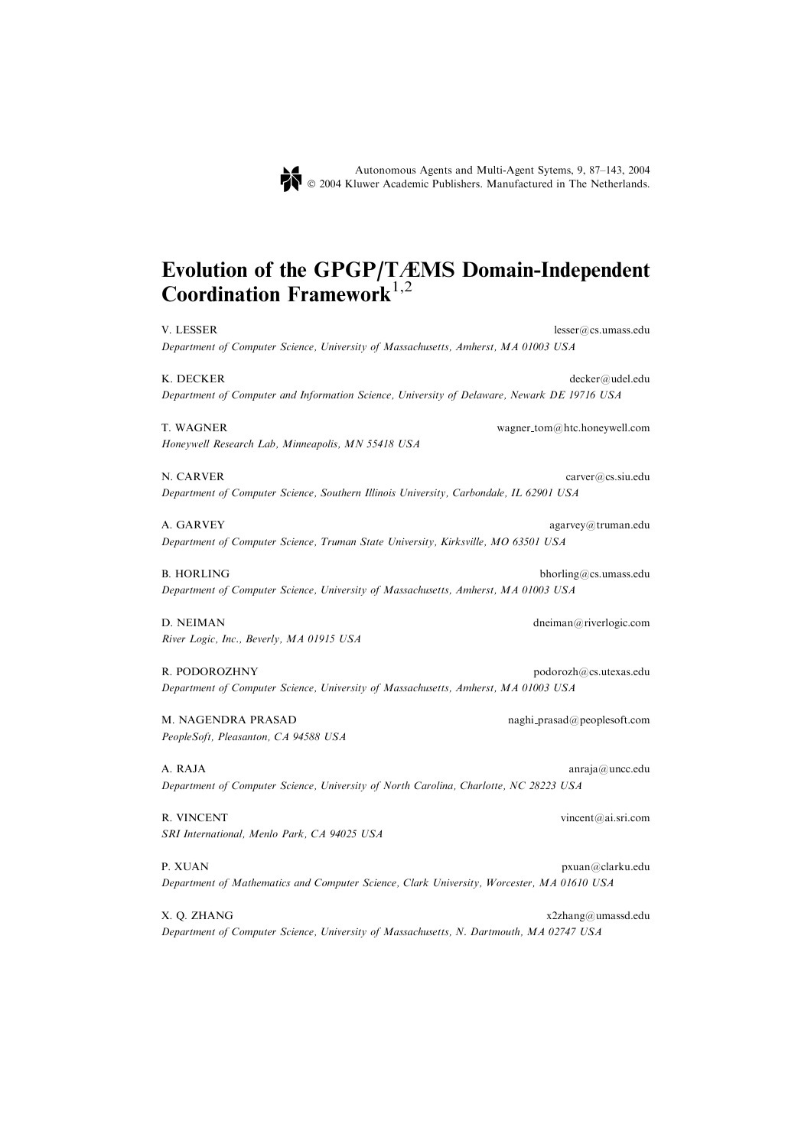# Evolution of the GPGP/TÆMS Domain-Independent Coordination Framework<sup>1,2</sup>

V. LESSER lesser@cs.umass.edu Department of Computer Science, University of Massachusetts, Amherst, MA 01003 USA K. DECKER decker@udel.edu Department of Computer and Information Science, University of Delaware, Newark DE 19716 USA T. WAGNER wagner tom@htc.honeywell.com Honeywell Research Lab, Minneapolis, MN 55418 USA N. CARVER carver@cs.siu.edu Department of Computer Science, Southern Illinois University, Carbondale, IL 62901 USA A. GARVEY agarvey@truman.edu Department of Computer Science, Truman State University, Kirksville, MO 63501 USA B. HORLING bhorling@cs.umass.edu Department of Computer Science, University of Massachusetts, Amherst, MA 01003 USA D. NEIMAN dneiman@riverlogic.com River Logic, Inc., Beverly, MA 01915 USA R. PODOROZHNY podorozh $@cs.$ utexas.edu Department of Computer Science, University of Massachusetts, Amherst, MA 01003 USA M. NAGENDRA PRASAD naghi prasad@peoplesoft.com PeopleSoft, Pleasanton, CA 94588 USA A. RAJA anraja@uncc.edu Department of Computer Science, University of North Carolina, Charlotte, NC 28223 USA R. VINCENT vincent@ai.sri.com SRI International, Menlo Park, CA 94025 USA P. XUAN pxuan@clarku.edu Department of Mathematics and Computer Science, Clark University, Worcester, MA 01610 USA X. Q. ZHANG x2zhang@umassd.edu Department of Computer Science, University of Massachusetts, N. Dartmouth, MA 02747 USA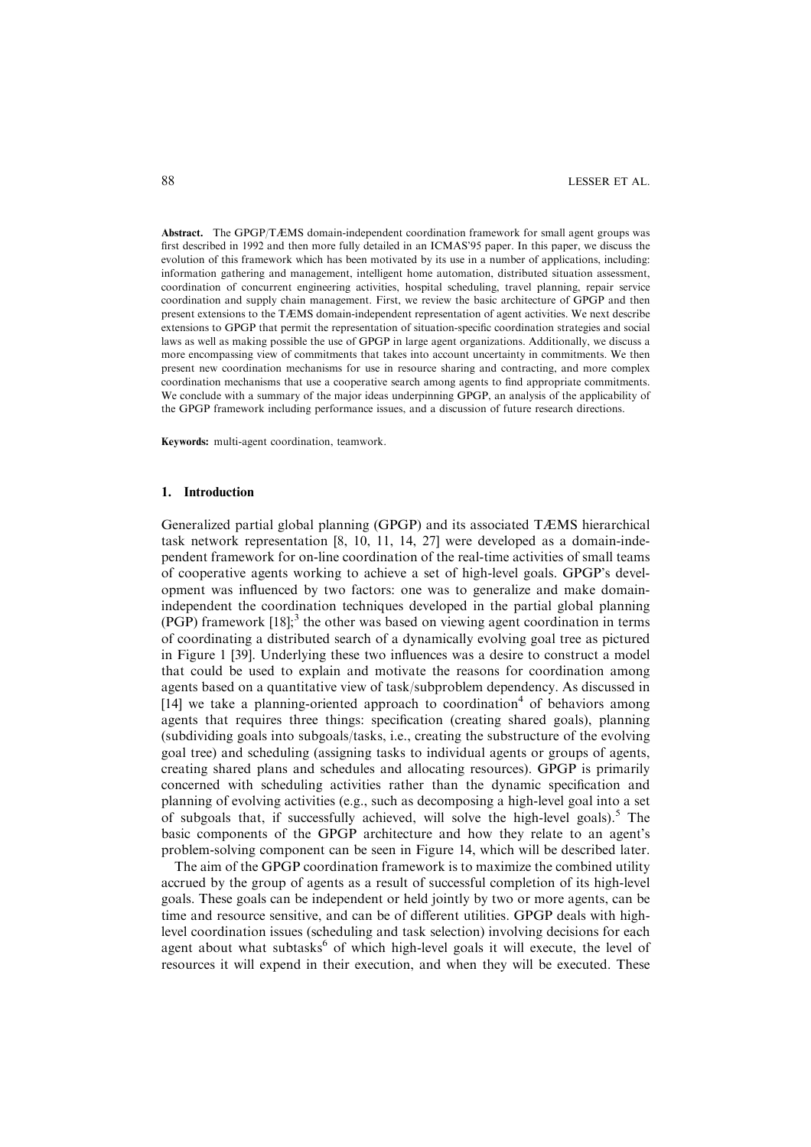Abstract. The GPGP/TÆMS domain-independent coordination framework for small agent groups was first described in 1992 and then more fully detailed in an ICMAS'95 paper. In this paper, we discuss the evolution of this framework which has been motivated by its use in a number of applications, including: information gathering and management, intelligent home automation, distributed situation assessment, coordination of concurrent engineering activities, hospital scheduling, travel planning, repair service coordination and supply chain management. First, we review the basic architecture of GPGP and then present extensions to the TÆMS domain-independent representation of agent activities. We next describe extensions to GPGP that permit the representation of situation-specific coordination strategies and social laws as well as making possible the use of GPGP in large agent organizations. Additionally, we discuss a more encompassing view of commitments that takes into account uncertainty in commitments. We then present new coordination mechanisms for use in resource sharing and contracting, and more complex coordination mechanisms that use a cooperative search among agents to find appropriate commitments. We conclude with a summary of the major ideas underpinning GPGP, an analysis of the applicability of the GPGP framework including performance issues, and a discussion of future research directions.

Keywords: multi-agent coordination, teamwork.

#### 1. Introduction

Generalized partial global planning (GPGP) and its associated TÆMS hierarchical task network representation [8, 10, 11, 14, 27] were developed as a domain-independent framework for on-line coordination of the real-time activities of small teams of cooperative agents working to achieve a set of high-level goals. GPGP's development was influenced by two factors: one was to generalize and make domainindependent the coordination techniques developed in the partial global planning (PGP) framework  $[18]$ ;<sup>3</sup> the other was based on viewing agent coordination in terms of coordinating a distributed search of a dynamically evolving goal tree as pictured in Figure 1 [39]. Underlying these two influences was a desire to construct a model that could be used to explain and motivate the reasons for coordination among agents based on a quantitative view of task/subproblem dependency. As discussed in  $[14]$  we take a planning-oriented approach to coordination<sup>4</sup> of behaviors among agents that requires three things: specification (creating shared goals), planning (subdividing goals into subgoals/tasks, i.e., creating the substructure of the evolving goal tree) and scheduling (assigning tasks to individual agents or groups of agents, creating shared plans and schedules and allocating resources). GPGP is primarily concerned with scheduling activities rather than the dynamic specification and planning of evolving activities (e.g., such as decomposing a high-level goal into a set of subgoals that, if successfully achieved, will solve the high-level goals).<sup>5</sup> The basic components of the GPGP architecture and how they relate to an agent's problem-solving component can be seen in Figure 14, which will be described later.

The aim of the GPGP coordination framework is to maximize the combined utility accrued by the group of agents as a result of successful completion of its high-level goals. These goals can be independent or held jointly by two or more agents, can be time and resource sensitive, and can be of different utilities. GPGP deals with highlevel coordination issues (scheduling and task selection) involving decisions for each agent about what subtasks $<sup>6</sup>$  of which high-level goals it will execute, the level of</sup> resources it will expend in their execution, and when they will be executed. These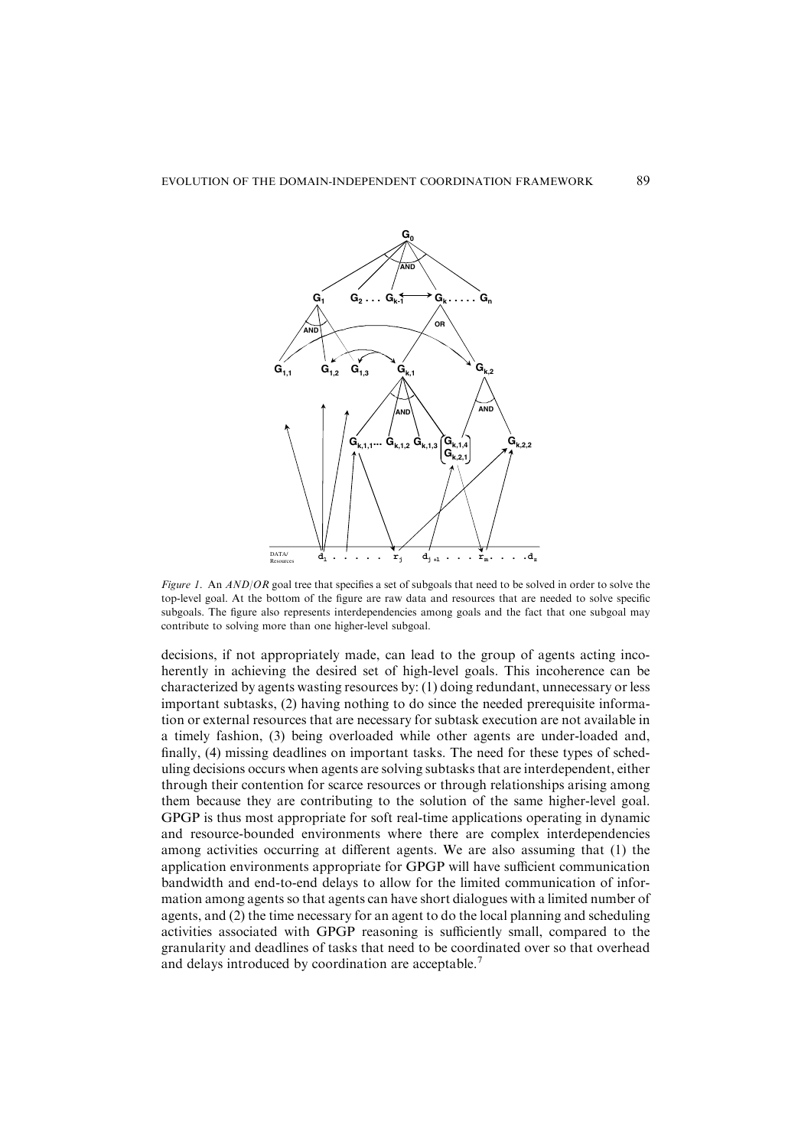

Figure 1. An  $AND/OR$  goal tree that specifies a set of subgoals that need to be solved in order to solve the top-level goal. At the bottom of the figure are raw data and resources that are needed to solve specific subgoals. The figure also represents interdependencies among goals and the fact that one subgoal may contribute to solving more than one higher-level subgoal.

decisions, if not appropriately made, can lead to the group of agents acting incoherently in achieving the desired set of high-level goals. This incoherence can be characterized by agents wasting resources by: (1) doing redundant, unnecessary or less important subtasks, (2) having nothing to do since the needed prerequisite information or external resources that are necessary for subtask execution are not available in a timely fashion, (3) being overloaded while other agents are under-loaded and, finally, (4) missing deadlines on important tasks. The need for these types of scheduling decisions occurs when agents are solving subtasks that are interdependent, either through their contention for scarce resources or through relationships arising among them because they are contributing to the solution of the same higher-level goal. GPGP is thus most appropriate for soft real-time applications operating in dynamic and resource-bounded environments where there are complex interdependencies among activities occurring at different agents. We are also assuming that (1) the application environments appropriate for GPGP will have sufficient communication bandwidth and end-to-end delays to allow for the limited communication of information among agents so that agents can have short dialogues with a limited number of agents, and (2) the time necessary for an agent to do the local planning and scheduling activities associated with GPGP reasoning is sufficiently small, compared to the granularity and deadlines of tasks that need to be coordinated over so that overhead and delays introduced by coordination are acceptable.<sup>7</sup>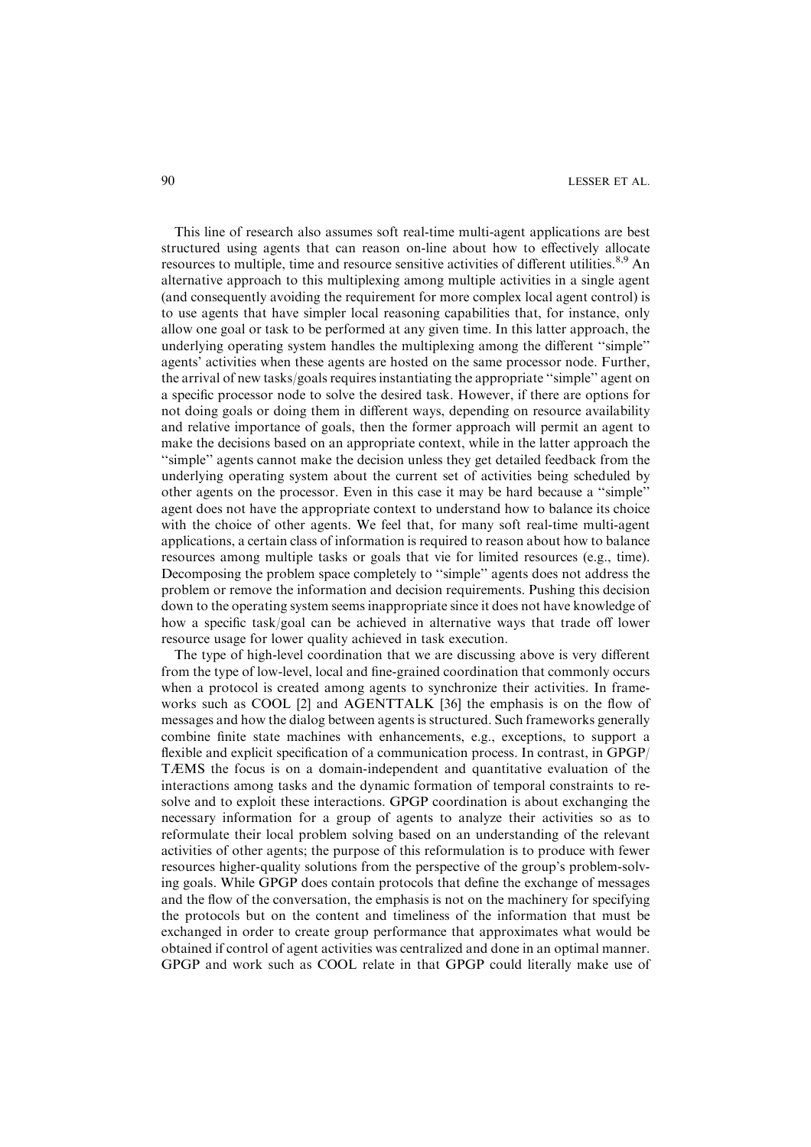This line of research also assumes soft real-time multi-agent applications are best structured using agents that can reason on-line about how to effectively allocate resources to multiple, time and resource sensitive activities of different utilities.<sup>8,9</sup> An alternative approach to this multiplexing among multiple activities in a single agent (and consequently avoiding the requirement for more complex local agent control) is to use agents that have simpler local reasoning capabilities that, for instance, only allow one goal or task to be performed at any given time. In this latter approach, the underlying operating system handles the multiplexing among the different ''simple'' agents' activities when these agents are hosted on the same processor node. Further, the arrival of new tasks/goals requires instantiating the appropriate ''simple'' agent on a specific processor node to solve the desired task. However, if there are options for not doing goals or doing them in different ways, depending on resource availability and relative importance of goals, then the former approach will permit an agent to make the decisions based on an appropriate context, while in the latter approach the ''simple'' agents cannot make the decision unless they get detailed feedback from the underlying operating system about the current set of activities being scheduled by other agents on the processor. Even in this case it may be hard because a ''simple'' agent does not have the appropriate context to understand how to balance its choice with the choice of other agents. We feel that, for many soft real-time multi-agent applications, a certain class of information is required to reason about how to balance resources among multiple tasks or goals that vie for limited resources (e.g., time). Decomposing the problem space completely to ''simple'' agents does not address the problem or remove the information and decision requirements. Pushing this decision down to the operating system seems inappropriate since it does not have knowledge of how a specific task/goal can be achieved in alternative ways that trade off lower resource usage for lower quality achieved in task execution.

The type of high-level coordination that we are discussing above is very different from the type of low-level, local and fine-grained coordination that commonly occurs when a protocol is created among agents to synchronize their activities. In frameworks such as COOL [2] and AGENTTALK [36] the emphasis is on the flow of messages and how the dialog between agents is structured. Such frameworks generally combine finite state machines with enhancements, e.g., exceptions, to support a flexible and explicit specification of a communication process. In contrast, in GPGP/ TÆMS the focus is on a domain-independent and quantitative evaluation of the interactions among tasks and the dynamic formation of temporal constraints to resolve and to exploit these interactions. GPGP coordination is about exchanging the necessary information for a group of agents to analyze their activities so as to reformulate their local problem solving based on an understanding of the relevant activities of other agents; the purpose of this reformulation is to produce with fewer resources higher-quality solutions from the perspective of the group's problem-solving goals. While GPGP does contain protocols that define the exchange of messages and the flow of the conversation, the emphasis is not on the machinery for specifying the protocols but on the content and timeliness of the information that must be exchanged in order to create group performance that approximates what would be obtained if control of agent activities was centralized and done in an optimal manner. GPGP and work such as COOL relate in that GPGP could literally make use of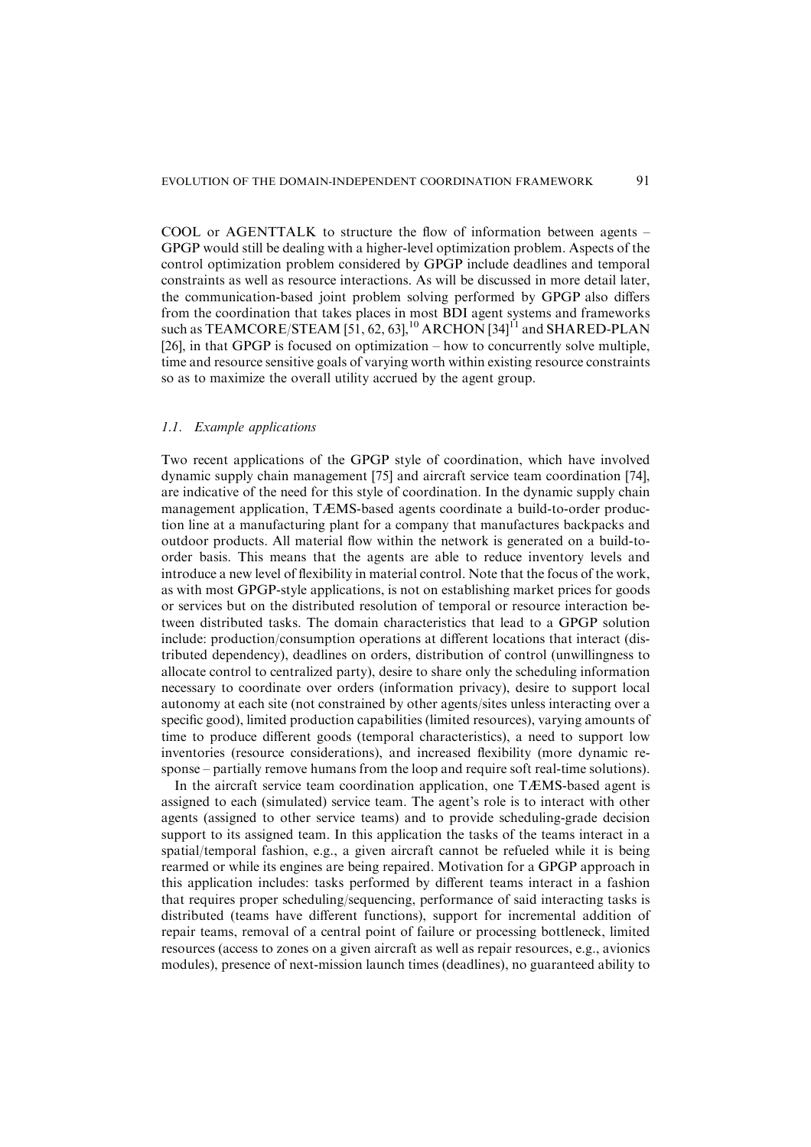COOL or AGENTTALK to structure the flow of information between agents – GPGP would still be dealing with a higher-level optimization problem. Aspects of the control optimization problem considered by GPGP include deadlines and temporal constraints as well as resource interactions. As will be discussed in more detail later, the communication-based joint problem solving performed by GPGP also differs from the coordination that takes places in most BDI agent systems and frameworks such as TEAMCORE/STEAM [51, 62, 63],<sup>10</sup> ARCHON [34]<sup>11</sup> and SHARED-PLAN [26], in that GPGP is focused on optimization – how to concurrently solve multiple, time and resource sensitive goals of varying worth within existing resource constraints so as to maximize the overall utility accrued by the agent group.

## 1.1. Example applications

Two recent applications of the GPGP style of coordination, which have involved dynamic supply chain management [75] and aircraft service team coordination [74], are indicative of the need for this style of coordination. In the dynamic supply chain management application, TÆMS-based agents coordinate a build-to-order production line at a manufacturing plant for a company that manufactures backpacks and outdoor products. All material flow within the network is generated on a build-toorder basis. This means that the agents are able to reduce inventory levels and introduce a new level of flexibility in material control. Note that the focus of the work, as with most GPGP-style applications, is not on establishing market prices for goods or services but on the distributed resolution of temporal or resource interaction between distributed tasks. The domain characteristics that lead to a GPGP solution include: production/consumption operations at different locations that interact (distributed dependency), deadlines on orders, distribution of control (unwillingness to allocate control to centralized party), desire to share only the scheduling information necessary to coordinate over orders (information privacy), desire to support local autonomy at each site (not constrained by other agents/sites unless interacting over a specific good), limited production capabilities (limited resources), varying amounts of time to produce different goods (temporal characteristics), a need to support low inventories (resource considerations), and increased flexibility (more dynamic response – partially remove humans from the loop and require soft real-time solutions).

In the aircraft service team coordination application, one TÆMS-based agent is assigned to each (simulated) service team. The agent's role is to interact with other agents (assigned to other service teams) and to provide scheduling-grade decision support to its assigned team. In this application the tasks of the teams interact in a spatial/temporal fashion, e.g., a given aircraft cannot be refueled while it is being rearmed or while its engines are being repaired. Motivation for a GPGP approach in this application includes: tasks performed by different teams interact in a fashion that requires proper scheduling/sequencing, performance of said interacting tasks is distributed (teams have different functions), support for incremental addition of repair teams, removal of a central point of failure or processing bottleneck, limited resources (access to zones on a given aircraft as well as repair resources, e.g., avionics modules), presence of next-mission launch times (deadlines), no guaranteed ability to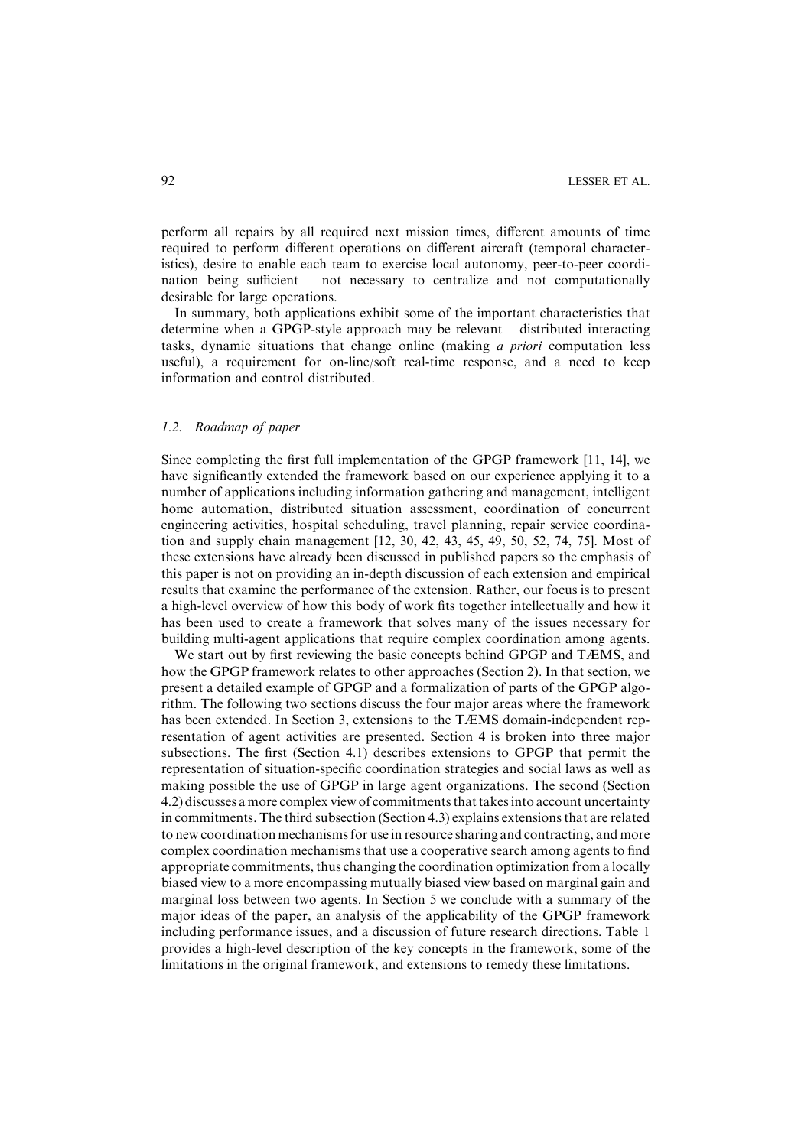perform all repairs by all required next mission times, different amounts of time required to perform different operations on different aircraft (temporal characteristics), desire to enable each team to exercise local autonomy, peer-to-peer coordination being sufficient – not necessary to centralize and not computationally desirable for large operations.

In summary, both applications exhibit some of the important characteristics that determine when a GPGP-style approach may be relevant – distributed interacting tasks, dynamic situations that change online (making a priori computation less useful), a requirement for on-line/soft real-time response, and a need to keep information and control distributed.

## 1.2. Roadmap of paper

Since completing the first full implementation of the GPGP framework [11, 14], we have significantly extended the framework based on our experience applying it to a number of applications including information gathering and management, intelligent home automation, distributed situation assessment, coordination of concurrent engineering activities, hospital scheduling, travel planning, repair service coordination and supply chain management [12, 30, 42, 43, 45, 49, 50, 52, 74, 75]. Most of these extensions have already been discussed in published papers so the emphasis of this paper is not on providing an in-depth discussion of each extension and empirical results that examine the performance of the extension. Rather, our focus is to present a high-level overview of how this body of work fits together intellectually and how it has been used to create a framework that solves many of the issues necessary for building multi-agent applications that require complex coordination among agents.

We start out by first reviewing the basic concepts behind GPGP and TÆMS, and how the GPGP framework relates to other approaches (Section 2). In that section, we present a detailed example of GPGP and a formalization of parts of the GPGP algorithm. The following two sections discuss the four major areas where the framework has been extended. In Section 3, extensions to the TÆMS domain-independent representation of agent activities are presented. Section 4 is broken into three major subsections. The first (Section 4.1) describes extensions to GPGP that permit the representation of situation-specific coordination strategies and social laws as well as making possible the use of GPGP in large agent organizations. The second (Section 4.2) discusses a more complex view of commitments that takes into account uncertainty in commitments. The third subsection (Section 4.3) explains extensions that are related to new coordination mechanisms for use in resource sharing and contracting, and more complex coordination mechanisms that use a cooperative search among agents to find appropriate commitments, thus changing the coordination optimization from a locally biased view to a more encompassing mutually biased view based on marginal gain and marginal loss between two agents. In Section 5 we conclude with a summary of the major ideas of the paper, an analysis of the applicability of the GPGP framework including performance issues, and a discussion of future research directions. Table 1 provides a high-level description of the key concepts in the framework, some of the limitations in the original framework, and extensions to remedy these limitations.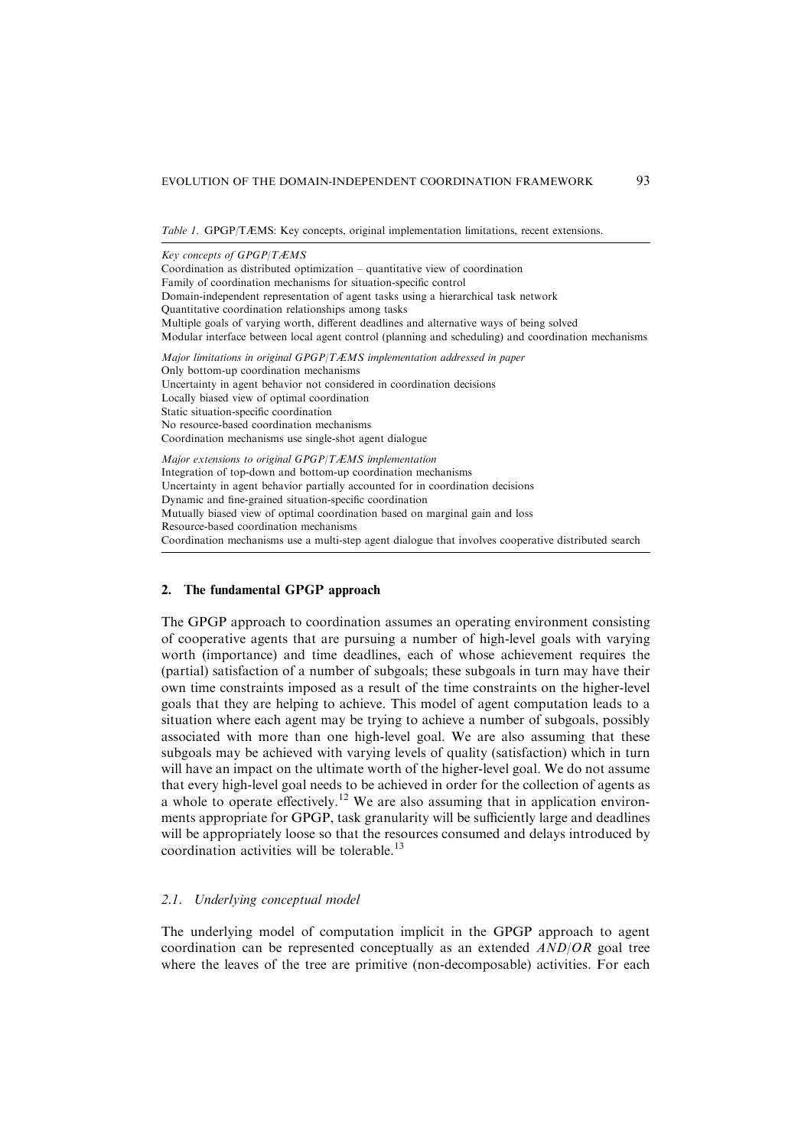Table 1. GPGP/TÆMS: Key concepts, original implementation limitations, recent extensions.

Key concepts of GPGP/TÆMS Coordination as distributed optimization – quantitative view of coordination Family of coordination mechanisms for situation-specific control Domain-independent representation of agent tasks using a hierarchical task network Quantitative coordination relationships among tasks Multiple goals of varying worth, different deadlines and alternative ways of being solved Modular interface between local agent control (planning and scheduling) and coordination mechanisms Major limitations in original GPGP/TÆMS implementation addressed in paper Only bottom-up coordination mechanisms Uncertainty in agent behavior not considered in coordination decisions Locally biased view of optimal coordination Static situation-specific coordination No resource-based coordination mechanisms Coordination mechanisms use single-shot agent dialogue Major extensions to original GPGP/TÆMS implementation Integration of top-down and bottom-up coordination mechanisms Uncertainty in agent behavior partially accounted for in coordination decisions Dynamic and fine-grained situation-specific coordination Mutually biased view of optimal coordination based on marginal gain and loss Resource-based coordination mechanisms

Coordination mechanisms use a multi-step agent dialogue that involves cooperative distributed search

# 2. The fundamental GPGP approach

The GPGP approach to coordination assumes an operating environment consisting of cooperative agents that are pursuing a number of high-level goals with varying worth (importance) and time deadlines, each of whose achievement requires the (partial) satisfaction of a number of subgoals; these subgoals in turn may have their own time constraints imposed as a result of the time constraints on the higher-level goals that they are helping to achieve. This model of agent computation leads to a situation where each agent may be trying to achieve a number of subgoals, possibly associated with more than one high-level goal. We are also assuming that these subgoals may be achieved with varying levels of quality (satisfaction) which in turn will have an impact on the ultimate worth of the higher-level goal. We do not assume that every high-level goal needs to be achieved in order for the collection of agents as a whole to operate effectively.<sup>12</sup> We are also assuming that in application environments appropriate for GPGP, task granularity will be sufficiently large and deadlines will be appropriately loose so that the resources consumed and delays introduced by coordination activities will be tolerable.<sup>13</sup>

#### 2.1. Underlying conceptual model

The underlying model of computation implicit in the GPGP approach to agent coordination can be represented conceptually as an extended  $AND/OR$  goal tree where the leaves of the tree are primitive (non-decomposable) activities. For each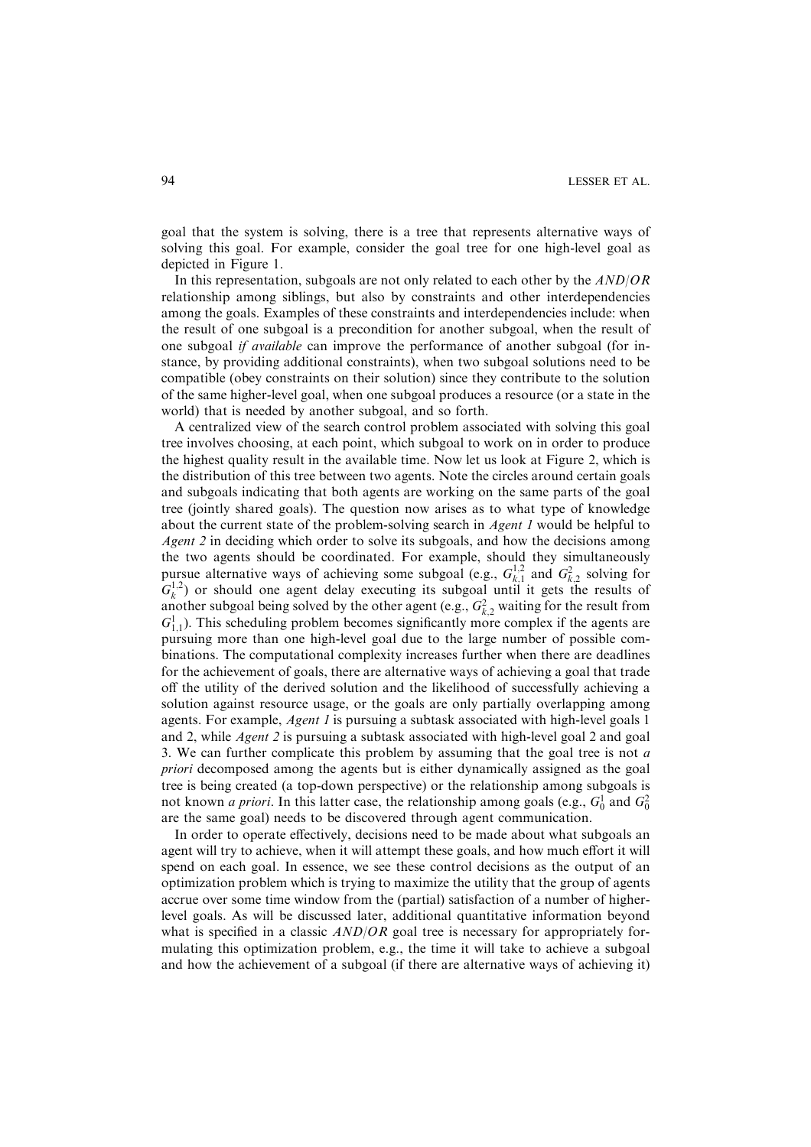goal that the system is solving, there is a tree that represents alternative ways of solving this goal. For example, consider the goal tree for one high-level goal as depicted in Figure 1.

In this representation, subgoals are not only related to each other by the AND/OR relationship among siblings, but also by constraints and other interdependencies among the goals. Examples of these constraints and interdependencies include: when the result of one subgoal is a precondition for another subgoal, when the result of one subgoal if available can improve the performance of another subgoal (for instance, by providing additional constraints), when two subgoal solutions need to be compatible (obey constraints on their solution) since they contribute to the solution of the same higher-level goal, when one subgoal produces a resource (or a state in the world) that is needed by another subgoal, and so forth.

A centralized view of the search control problem associated with solving this goal tree involves choosing, at each point, which subgoal to work on in order to produce the highest quality result in the available time. Now let us look at Figure 2, which is the distribution of this tree between two agents. Note the circles around certain goals and subgoals indicating that both agents are working on the same parts of the goal tree (jointly shared goals). The question now arises as to what type of knowledge about the current state of the problem-solving search in Agent 1 would be helpful to Agent 2 in deciding which order to solve its subgoals, and how the decisions among the two agents should be coordinated. For example, should they simultaneously pursue alternative ways of achieving some subgoal (e.g.,  $G_{k,1}^{1,2}$  and  $G_{k,2}^{2}$  solving for  $G_k^{1,2}$ ) or should one agent delay executing its subgoal until it gets the results of another subgoal being solved by the other agent (e.g.,  $G_{k,2}^2$  waiting for the result from  $G_{1,1}^1$ ). This scheduling problem becomes significantly more complex if the agents are pursuing more than one high-level goal due to the large number of possible combinations. The computational complexity increases further when there are deadlines for the achievement of goals, there are alternative ways of achieving a goal that trade off the utility of the derived solution and the likelihood of successfully achieving a solution against resource usage, or the goals are only partially overlapping among agents. For example, Agent 1 is pursuing a subtask associated with high-level goals 1 and 2, while Agent 2 is pursuing a subtask associated with high-level goal 2 and goal 3. We can further complicate this problem by assuming that the goal tree is not a priori decomposed among the agents but is either dynamically assigned as the goal tree is being created (a top-down perspective) or the relationship among subgoals is not known *a priori*. In this latter case, the relationship among goals (e.g.,  $G_0^1$  and  $G_0^2$ are the same goal) needs to be discovered through agent communication.

In order to operate effectively, decisions need to be made about what subgoals an agent will try to achieve, when it will attempt these goals, and how much effort it will spend on each goal. In essence, we see these control decisions as the output of an optimization problem which is trying to maximize the utility that the group of agents accrue over some time window from the (partial) satisfaction of a number of higherlevel goals. As will be discussed later, additional quantitative information beyond what is specified in a classic  $AND/OR$  goal tree is necessary for appropriately formulating this optimization problem, e.g., the time it will take to achieve a subgoal and how the achievement of a subgoal (if there are alternative ways of achieving it)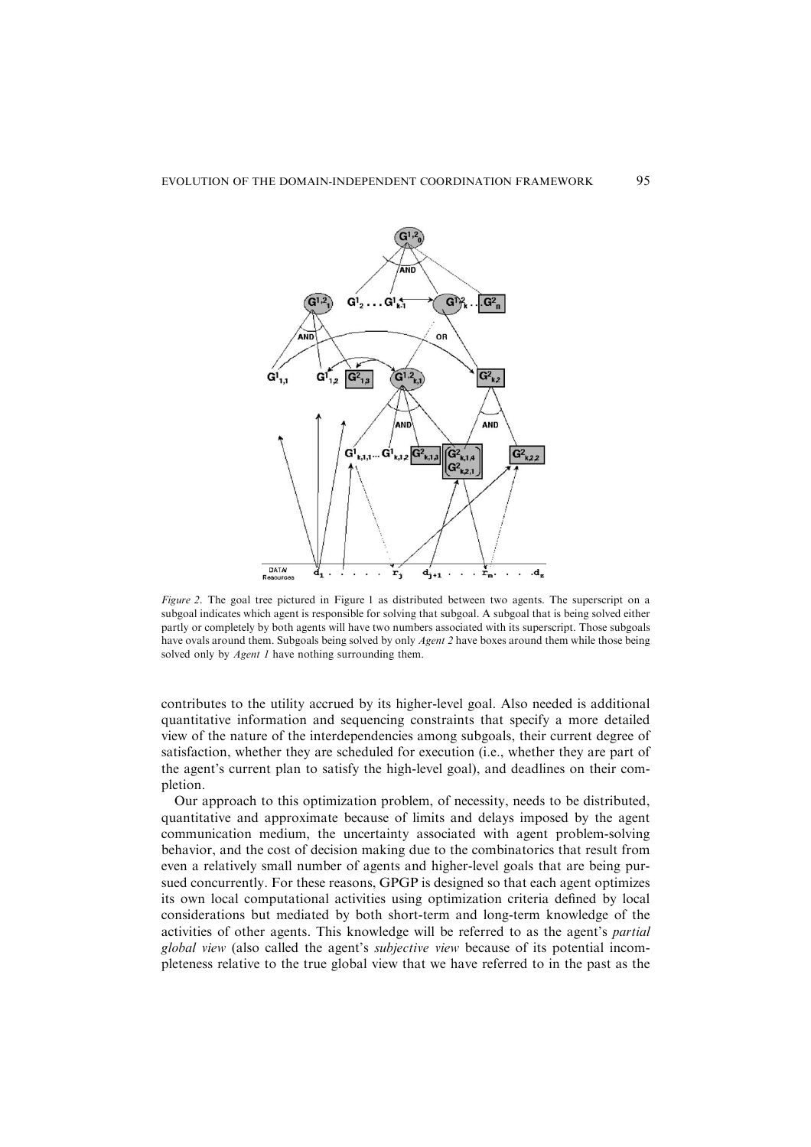

Figure 2. The goal tree pictured in Figure 1 as distributed between two agents. The superscript on a subgoal indicates which agent is responsible for solving that subgoal. A subgoal that is being solved either partly or completely by both agents will have two numbers associated with its superscript. Those subgoals have ovals around them. Subgoals being solved by only *Agent 2* have boxes around them while those being solved only by *Agent 1* have nothing surrounding them.

contributes to the utility accrued by its higher-level goal. Also needed is additional quantitative information and sequencing constraints that specify a more detailed view of the nature of the interdependencies among subgoals, their current degree of satisfaction, whether they are scheduled for execution (i.e., whether they are part of the agent's current plan to satisfy the high-level goal), and deadlines on their completion.

Our approach to this optimization problem, of necessity, needs to be distributed, quantitative and approximate because of limits and delays imposed by the agent communication medium, the uncertainty associated with agent problem-solving behavior, and the cost of decision making due to the combinatorics that result from even a relatively small number of agents and higher-level goals that are being pursued concurrently. For these reasons, GPGP is designed so that each agent optimizes its own local computational activities using optimization criteria defined by local considerations but mediated by both short-term and long-term knowledge of the activities of other agents. This knowledge will be referred to as the agent's partial global view (also called the agent's subjective view because of its potential incompleteness relative to the true global view that we have referred to in the past as the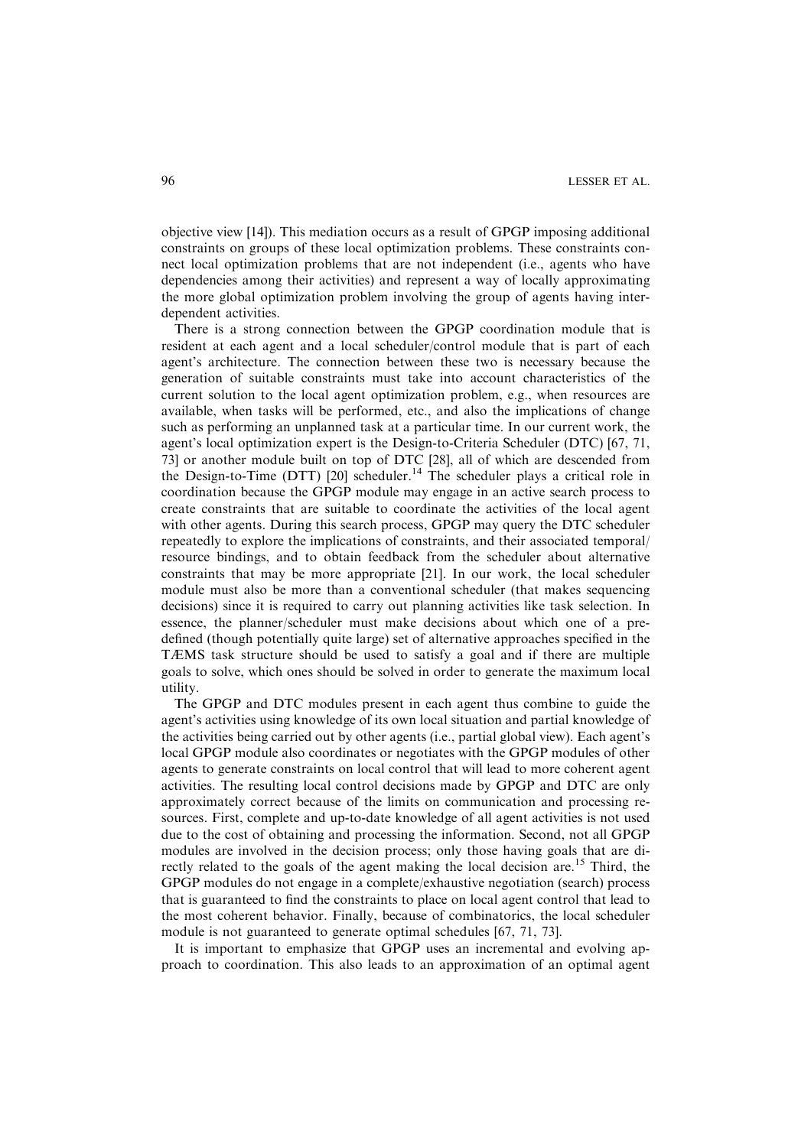objective view [14]). This mediation occurs as a result of GPGP imposing additional constraints on groups of these local optimization problems. These constraints connect local optimization problems that are not independent (i.e., agents who have dependencies among their activities) and represent a way of locally approximating the more global optimization problem involving the group of agents having interdependent activities.

There is a strong connection between the GPGP coordination module that is resident at each agent and a local scheduler/control module that is part of each agent's architecture. The connection between these two is necessary because the generation of suitable constraints must take into account characteristics of the current solution to the local agent optimization problem, e.g., when resources are available, when tasks will be performed, etc., and also the implications of change such as performing an unplanned task at a particular time. In our current work, the agent's local optimization expert is the Design-to-Criteria Scheduler (DTC) [67, 71, 73] or another module built on top of DTC [28], all of which are descended from the Design-to-Time (DTT) [20] scheduler.<sup>14</sup> The scheduler plays a critical role in coordination because the GPGP module may engage in an active search process to create constraints that are suitable to coordinate the activities of the local agent with other agents. During this search process, GPGP may query the DTC scheduler repeatedly to explore the implications of constraints, and their associated temporal/ resource bindings, and to obtain feedback from the scheduler about alternative constraints that may be more appropriate [21]. In our work, the local scheduler module must also be more than a conventional scheduler (that makes sequencing decisions) since it is required to carry out planning activities like task selection. In essence, the planner/scheduler must make decisions about which one of a predefined (though potentially quite large) set of alternative approaches specified in the TÆMS task structure should be used to satisfy a goal and if there are multiple goals to solve, which ones should be solved in order to generate the maximum local utility.

The GPGP and DTC modules present in each agent thus combine to guide the agent's activities using knowledge of its own local situation and partial knowledge of the activities being carried out by other agents (i.e., partial global view). Each agent's local GPGP module also coordinates or negotiates with the GPGP modules of other agents to generate constraints on local control that will lead to more coherent agent activities. The resulting local control decisions made by GPGP and DTC are only approximately correct because of the limits on communication and processing resources. First, complete and up-to-date knowledge of all agent activities is not used due to the cost of obtaining and processing the information. Second, not all GPGP modules are involved in the decision process; only those having goals that are directly related to the goals of the agent making the local decision are.<sup>15</sup> Third, the GPGP modules do not engage in a complete/exhaustive negotiation (search) process that is guaranteed to find the constraints to place on local agent control that lead to the most coherent behavior. Finally, because of combinatorics, the local scheduler module is not guaranteed to generate optimal schedules [67, 71, 73].

It is important to emphasize that GPGP uses an incremental and evolving approach to coordination. This also leads to an approximation of an optimal agent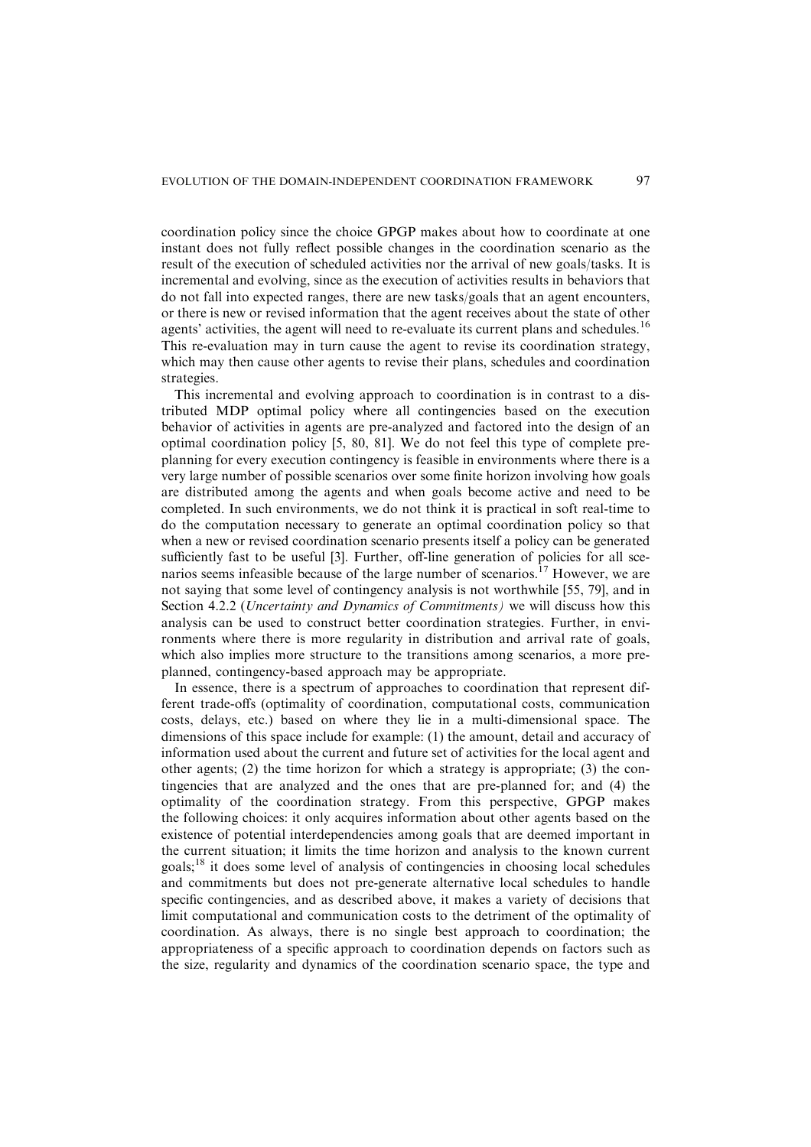coordination policy since the choice GPGP makes about how to coordinate at one instant does not fully reflect possible changes in the coordination scenario as the result of the execution of scheduled activities nor the arrival of new goals/tasks. It is incremental and evolving, since as the execution of activities results in behaviors that do not fall into expected ranges, there are new tasks/goals that an agent encounters, or there is new or revised information that the agent receives about the state of other agents' activities, the agent will need to re-evaluate its current plans and schedules.<sup>16</sup> This re-evaluation may in turn cause the agent to revise its coordination strategy, which may then cause other agents to revise their plans, schedules and coordination strategies.

This incremental and evolving approach to coordination is in contrast to a distributed MDP optimal policy where all contingencies based on the execution behavior of activities in agents are pre-analyzed and factored into the design of an optimal coordination policy [5, 80, 81]. We do not feel this type of complete preplanning for every execution contingency is feasible in environments where there is a very large number of possible scenarios over some finite horizon involving how goals are distributed among the agents and when goals become active and need to be completed. In such environments, we do not think it is practical in soft real-time to do the computation necessary to generate an optimal coordination policy so that when a new or revised coordination scenario presents itself a policy can be generated sufficiently fast to be useful [3]. Further, off-line generation of policies for all scenarios seems infeasible because of the large number of scenarios.17 However, we are not saying that some level of contingency analysis is not worthwhile [55, 79], and in Section 4.2.2 (*Uncertainty and Dynamics of Commitments*) we will discuss how this analysis can be used to construct better coordination strategies. Further, in environments where there is more regularity in distribution and arrival rate of goals, which also implies more structure to the transitions among scenarios, a more preplanned, contingency-based approach may be appropriate.

In essence, there is a spectrum of approaches to coordination that represent different trade-offs (optimality of coordination, computational costs, communication costs, delays, etc.) based on where they lie in a multi-dimensional space. The dimensions of this space include for example: (1) the amount, detail and accuracy of information used about the current and future set of activities for the local agent and other agents; (2) the time horizon for which a strategy is appropriate; (3) the contingencies that are analyzed and the ones that are pre-planned for; and (4) the optimality of the coordination strategy. From this perspective, GPGP makes the following choices: it only acquires information about other agents based on the existence of potential interdependencies among goals that are deemed important in the current situation; it limits the time horizon and analysis to the known current goals;<sup>18</sup> it does some level of analysis of contingencies in choosing local schedules and commitments but does not pre-generate alternative local schedules to handle specific contingencies, and as described above, it makes a variety of decisions that limit computational and communication costs to the detriment of the optimality of coordination. As always, there is no single best approach to coordination; the appropriateness of a specific approach to coordination depends on factors such as the size, regularity and dynamics of the coordination scenario space, the type and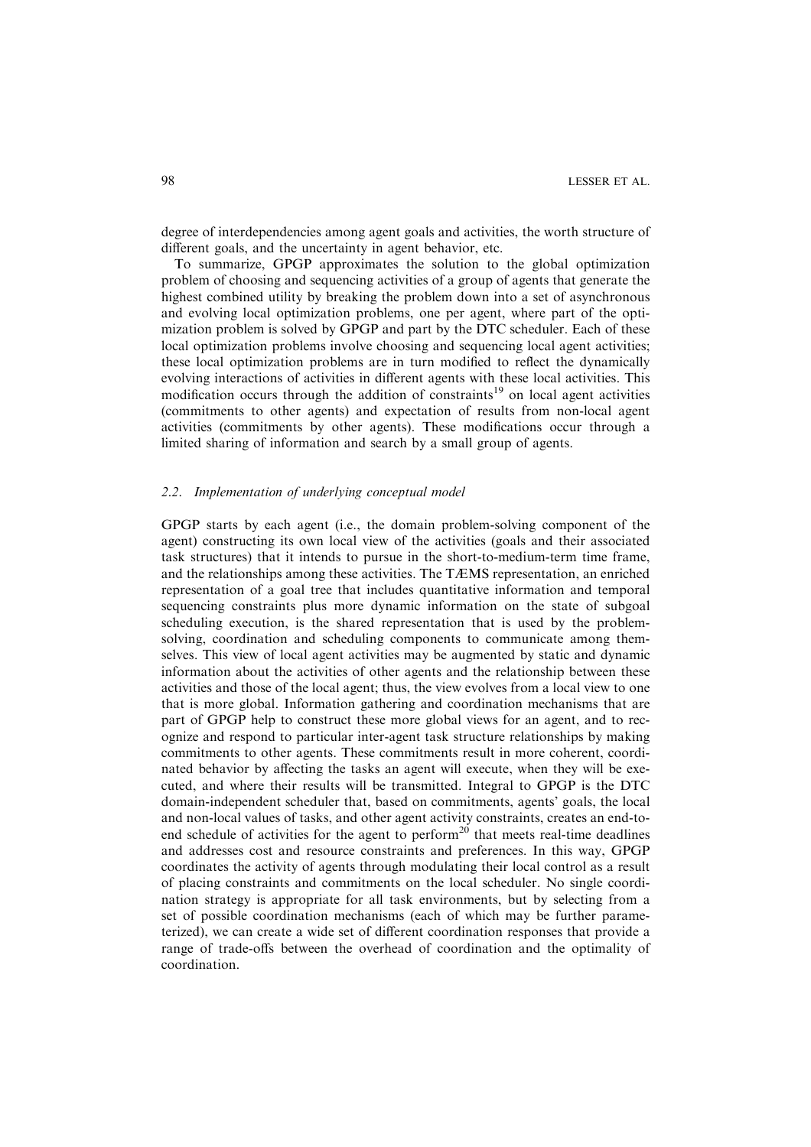degree of interdependencies among agent goals and activities, the worth structure of different goals, and the uncertainty in agent behavior, etc.

To summarize, GPGP approximates the solution to the global optimization problem of choosing and sequencing activities of a group of agents that generate the highest combined utility by breaking the problem down into a set of asynchronous and evolving local optimization problems, one per agent, where part of the optimization problem is solved by GPGP and part by the DTC scheduler. Each of these local optimization problems involve choosing and sequencing local agent activities; these local optimization problems are in turn modified to reflect the dynamically evolving interactions of activities in different agents with these local activities. This modification occurs through the addition of constraints<sup>19</sup> on local agent activities (commitments to other agents) and expectation of results from non-local agent activities (commitments by other agents). These modifications occur through a limited sharing of information and search by a small group of agents.

## 2.2. Implementation of underlying conceptual model

GPGP starts by each agent (i.e., the domain problem-solving component of the agent) constructing its own local view of the activities (goals and their associated task structures) that it intends to pursue in the short-to-medium-term time frame, and the relationships among these activities. The TÆMS representation, an enriched representation of a goal tree that includes quantitative information and temporal sequencing constraints plus more dynamic information on the state of subgoal scheduling execution, is the shared representation that is used by the problemsolving, coordination and scheduling components to communicate among themselves. This view of local agent activities may be augmented by static and dynamic information about the activities of other agents and the relationship between these activities and those of the local agent; thus, the view evolves from a local view to one that is more global. Information gathering and coordination mechanisms that are part of GPGP help to construct these more global views for an agent, and to recognize and respond to particular inter-agent task structure relationships by making commitments to other agents. These commitments result in more coherent, coordinated behavior by affecting the tasks an agent will execute, when they will be executed, and where their results will be transmitted. Integral to GPGP is the DTC domain-independent scheduler that, based on commitments, agents' goals, the local and non-local values of tasks, and other agent activity constraints, creates an end-toend schedule of activities for the agent to perform<sup>20</sup> that meets real-time deadlines and addresses cost and resource constraints and preferences. In this way, GPGP coordinates the activity of agents through modulating their local control as a result of placing constraints and commitments on the local scheduler. No single coordination strategy is appropriate for all task environments, but by selecting from a set of possible coordination mechanisms (each of which may be further parameterized), we can create a wide set of different coordination responses that provide a range of trade-offs between the overhead of coordination and the optimality of coordination.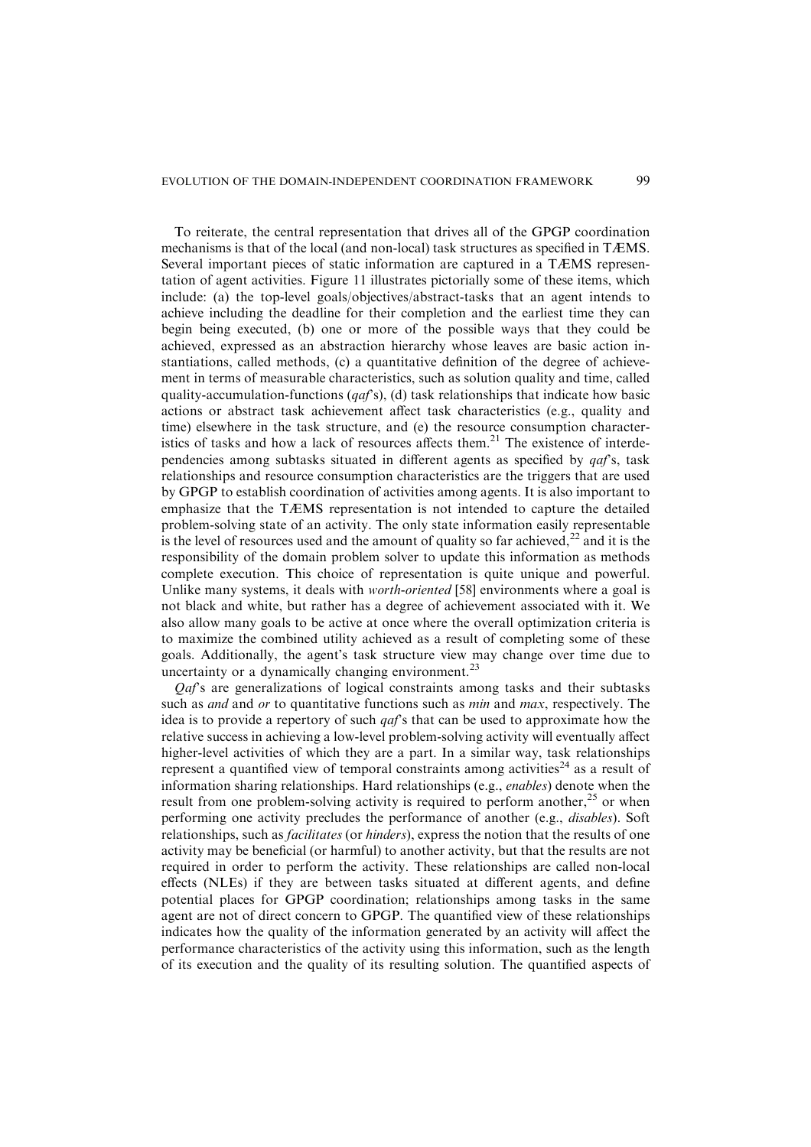To reiterate, the central representation that drives all of the GPGP coordination mechanisms is that of the local (and non-local) task structures as specified in TÆMS. Several important pieces of static information are captured in a TÆMS representation of agent activities. Figure 11 illustrates pictorially some of these items, which include: (a) the top-level goals/objectives/abstract-tasks that an agent intends to achieve including the deadline for their completion and the earliest time they can begin being executed, (b) one or more of the possible ways that they could be achieved, expressed as an abstraction hierarchy whose leaves are basic action instantiations, called methods, (c) a quantitative definition of the degree of achievement in terms of measurable characteristics, such as solution quality and time, called quality-accumulation-functions  $(qaf)$ , (d) task relationships that indicate how basic actions or abstract task achievement affect task characteristics (e.g., quality and time) elsewhere in the task structure, and (e) the resource consumption characteristics of tasks and how a lack of resources affects them.<sup>21</sup> The existence of interdependencies among subtasks situated in different agents as specified by qaf's, task relationships and resource consumption characteristics are the triggers that are used by GPGP to establish coordination of activities among agents. It is also important to emphasize that the TÆMS representation is not intended to capture the detailed problem-solving state of an activity. The only state information easily representable is the level of resources used and the amount of quality so far achieved,  $22$  and it is the responsibility of the domain problem solver to update this information as methods complete execution. This choice of representation is quite unique and powerful. Unlike many systems, it deals with *worth-oriented* [58] environments where a goal is not black and white, but rather has a degree of achievement associated with it. We also allow many goals to be active at once where the overall optimization criteria is to maximize the combined utility achieved as a result of completing some of these goals. Additionally, the agent's task structure view may change over time due to uncertainty or a dynamically changing environment.<sup>23</sup>

Qaf's are generalizations of logical constraints among tasks and their subtasks such as and and or to quantitative functions such as min and max, respectively. The idea is to provide a repertory of such  $qaf$ 's that can be used to approximate how the relative success in achieving a low-level problem-solving activity will eventually affect higher-level activities of which they are a part. In a similar way, task relationships represent a quantified view of temporal constraints among activities<sup>24</sup> as a result of information sharing relationships. Hard relationships (e.g., enables) denote when the result from one problem-solving activity is required to perform another, $25$  or when performing one activity precludes the performance of another (e.g., disables). Soft relationships, such as facilitates (or hinders), express the notion that the results of one activity may be beneficial (or harmful) to another activity, but that the results are not required in order to perform the activity. These relationships are called non-local effects (NLEs) if they are between tasks situated at different agents, and define potential places for GPGP coordination; relationships among tasks in the same agent are not of direct concern to GPGP. The quantified view of these relationships indicates how the quality of the information generated by an activity will affect the performance characteristics of the activity using this information, such as the length of its execution and the quality of its resulting solution. The quantified aspects of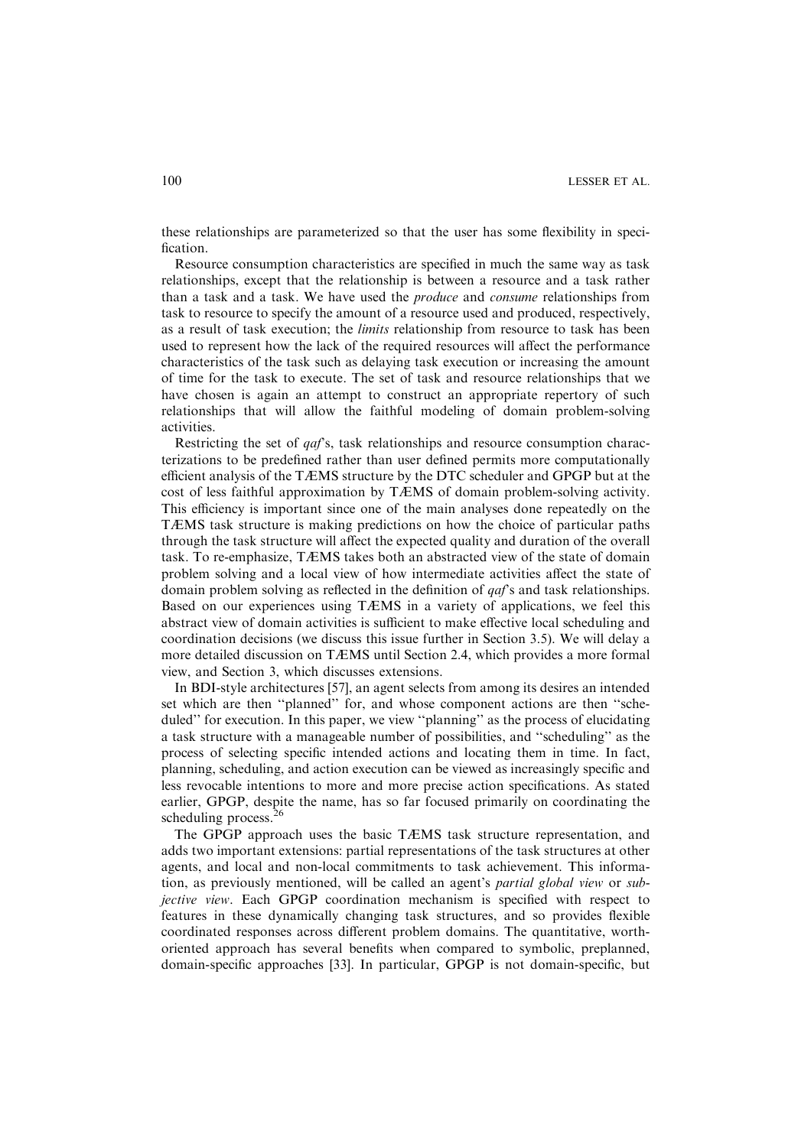these relationships are parameterized so that the user has some flexibility in specification.

Resource consumption characteristics are specified in much the same way as task relationships, except that the relationship is between a resource and a task rather than a task and a task. We have used the produce and consume relationships from task to resource to specify the amount of a resource used and produced, respectively, as a result of task execution; the limits relationship from resource to task has been used to represent how the lack of the required resources will affect the performance characteristics of the task such as delaying task execution or increasing the amount of time for the task to execute. The set of task and resource relationships that we have chosen is again an attempt to construct an appropriate repertory of such relationships that will allow the faithful modeling of domain problem-solving activities.

Restricting the set of *qaf's*, task relationships and resource consumption characterizations to be predefined rather than user defined permits more computationally efficient analysis of the TÆMS structure by the DTC scheduler and GPGP but at the cost of less faithful approximation by TÆMS of domain problem-solving activity. This efficiency is important since one of the main analyses done repeatedly on the TÆMS task structure is making predictions on how the choice of particular paths through the task structure will affect the expected quality and duration of the overall task. To re-emphasize, TÆMS takes both an abstracted view of the state of domain problem solving and a local view of how intermediate activities affect the state of domain problem solving as reflected in the definition of qaf's and task relationships. Based on our experiences using TÆMS in a variety of applications, we feel this abstract view of domain activities is sufficient to make effective local scheduling and coordination decisions (we discuss this issue further in Section 3.5). We will delay a more detailed discussion on TÆMS until Section 2.4, which provides a more formal view, and Section 3, which discusses extensions.

In BDI-style architectures [57], an agent selects from among its desires an intended set which are then ''planned'' for, and whose component actions are then ''scheduled'' for execution. In this paper, we view ''planning'' as the process of elucidating a task structure with a manageable number of possibilities, and ''scheduling'' as the process of selecting specific intended actions and locating them in time. In fact, planning, scheduling, and action execution can be viewed as increasingly specific and less revocable intentions to more and more precise action specifications. As stated earlier, GPGP, despite the name, has so far focused primarily on coordinating the scheduling process.<sup>26</sup>

The GPGP approach uses the basic TÆMS task structure representation, and adds two important extensions: partial representations of the task structures at other agents, and local and non-local commitments to task achievement. This information, as previously mentioned, will be called an agent's partial global view or subjective view. Each GPGP coordination mechanism is specified with respect to features in these dynamically changing task structures, and so provides flexible coordinated responses across different problem domains. The quantitative, worthoriented approach has several benefits when compared to symbolic, preplanned, domain-specific approaches [33]. In particular, GPGP is not domain-specific, but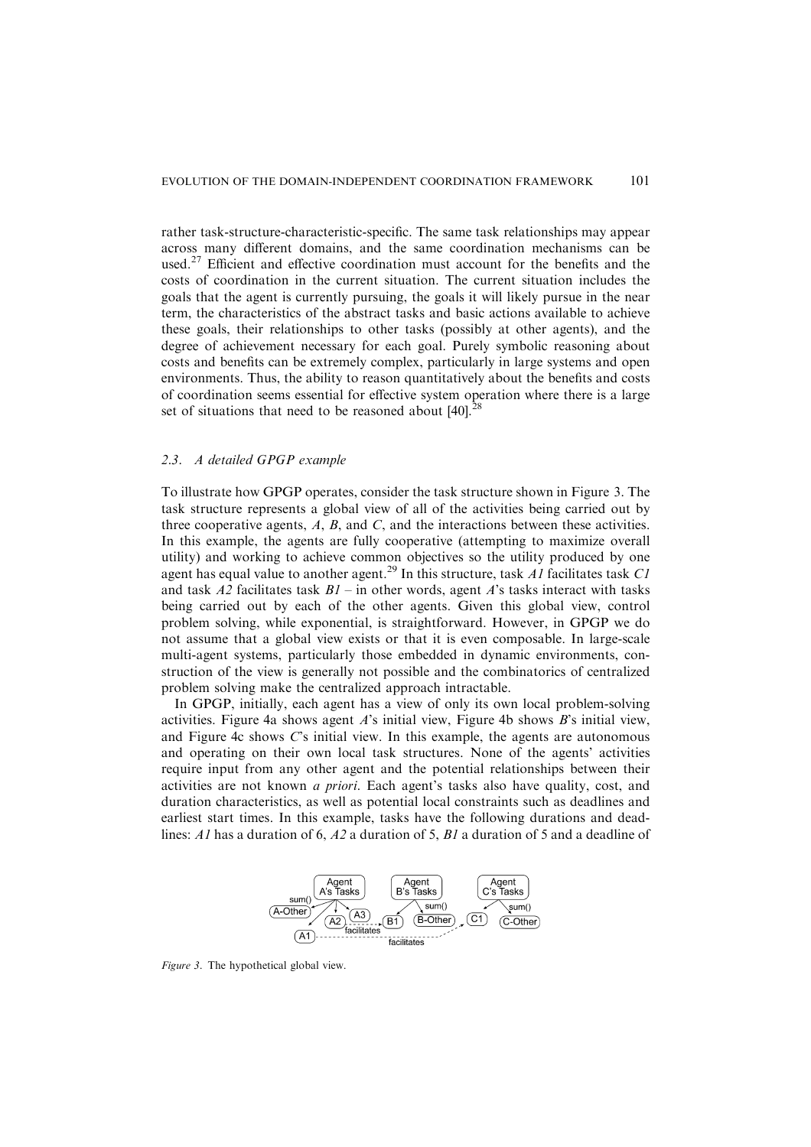rather task-structure-characteristic-specific. The same task relationships may appear across many different domains, and the same coordination mechanisms can be used.<sup>27</sup> Efficient and effective coordination must account for the benefits and the costs of coordination in the current situation. The current situation includes the goals that the agent is currently pursuing, the goals it will likely pursue in the near term, the characteristics of the abstract tasks and basic actions available to achieve these goals, their relationships to other tasks (possibly at other agents), and the degree of achievement necessary for each goal. Purely symbolic reasoning about costs and benefits can be extremely complex, particularly in large systems and open environments. Thus, the ability to reason quantitatively about the benefits and costs of coordination seems essential for effective system operation where there is a large set of situations that need to be reasoned about  $[40]$ <sup>28</sup>

# 2.3. A detailed GPGP example

To illustrate how GPGP operates, consider the task structure shown in Figure 3. The task structure represents a global view of all of the activities being carried out by three cooperative agents, A, B, and C, and the interactions between these activities. In this example, the agents are fully cooperative (attempting to maximize overall utility) and working to achieve common objectives so the utility produced by one agent has equal value to another agent.<sup>29</sup> In this structure, task  $AI$  facilitates task  $CI$ and task  $\overline{A2}$  facilitates task  $\overline{B1}$  – in other words, agent  $\overline{A}$ 's tasks interact with tasks being carried out by each of the other agents. Given this global view, control problem solving, while exponential, is straightforward. However, in GPGP we do not assume that a global view exists or that it is even composable. In large-scale multi-agent systems, particularly those embedded in dynamic environments, construction of the view is generally not possible and the combinatorics of centralized problem solving make the centralized approach intractable.

In GPGP, initially, each agent has a view of only its own local problem-solving activities. Figure 4a shows agent  $A$ 's initial view, Figure 4b shows  $B$ 's initial view, and Figure 4c shows C's initial view. In this example, the agents are autonomous and operating on their own local task structures. None of the agents' activities require input from any other agent and the potential relationships between their activities are not known a priori. Each agent's tasks also have quality, cost, and duration characteristics, as well as potential local constraints such as deadlines and earliest start times. In this example, tasks have the following durations and deadlines: A1 has a duration of 6, A2 a duration of 5, B1 a duration of 5 and a deadline of



Figure 3. The hypothetical global view.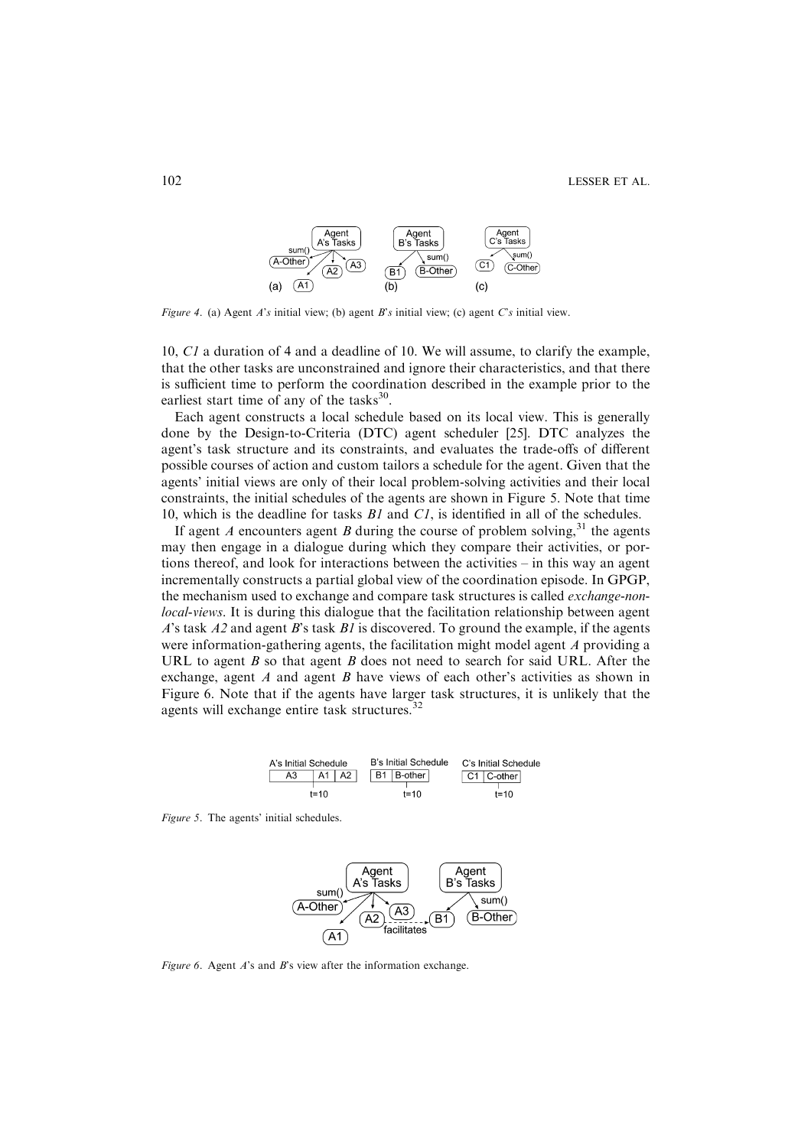

Figure 4. (a) Agent A's initial view; (b) agent B's initial view; (c) agent  $C$ 's initial view.

10, C1 a duration of 4 and a deadline of 10. We will assume, to clarify the example, that the other tasks are unconstrained and ignore their characteristics, and that there is sufficient time to perform the coordination described in the example prior to the earliest start time of any of the tasks $30$ .

Each agent constructs a local schedule based on its local view. This is generally done by the Design-to-Criteria (DTC) agent scheduler [25]. DTC analyzes the agent's task structure and its constraints, and evaluates the trade-offs of different possible courses of action and custom tailors a schedule for the agent. Given that the agents' initial views are only of their local problem-solving activities and their local constraints, the initial schedules of the agents are shown in Figure 5. Note that time 10, which is the deadline for tasks  $BI$  and  $CI$ , is identified in all of the schedules.

If agent  $A$  encounters agent  $B$  during the course of problem solving,<sup>31</sup> the agents may then engage in a dialogue during which they compare their activities, or portions thereof, and look for interactions between the activities – in this way an agent incrementally constructs a partial global view of the coordination episode. In GPGP, the mechanism used to exchange and compare task structures is called exchange-nonlocal-views. It is during this dialogue that the facilitation relationship between agent  $A$ 's task  $A2$  and agent  $B$ 's task  $B1$  is discovered. To ground the example, if the agents were information-gathering agents, the facilitation might model agent A providing a URL to agent  $B$  so that agent  $B$  does not need to search for said URL. After the exchange, agent A and agent B have views of each other's activities as shown in Figure 6. Note that if the agents have larger task structures, it is unlikely that the agents will exchange entire task structures.<sup>32</sup>



Figure 5. The agents' initial schedules.



Figure 6. Agent A's and B's view after the information exchange.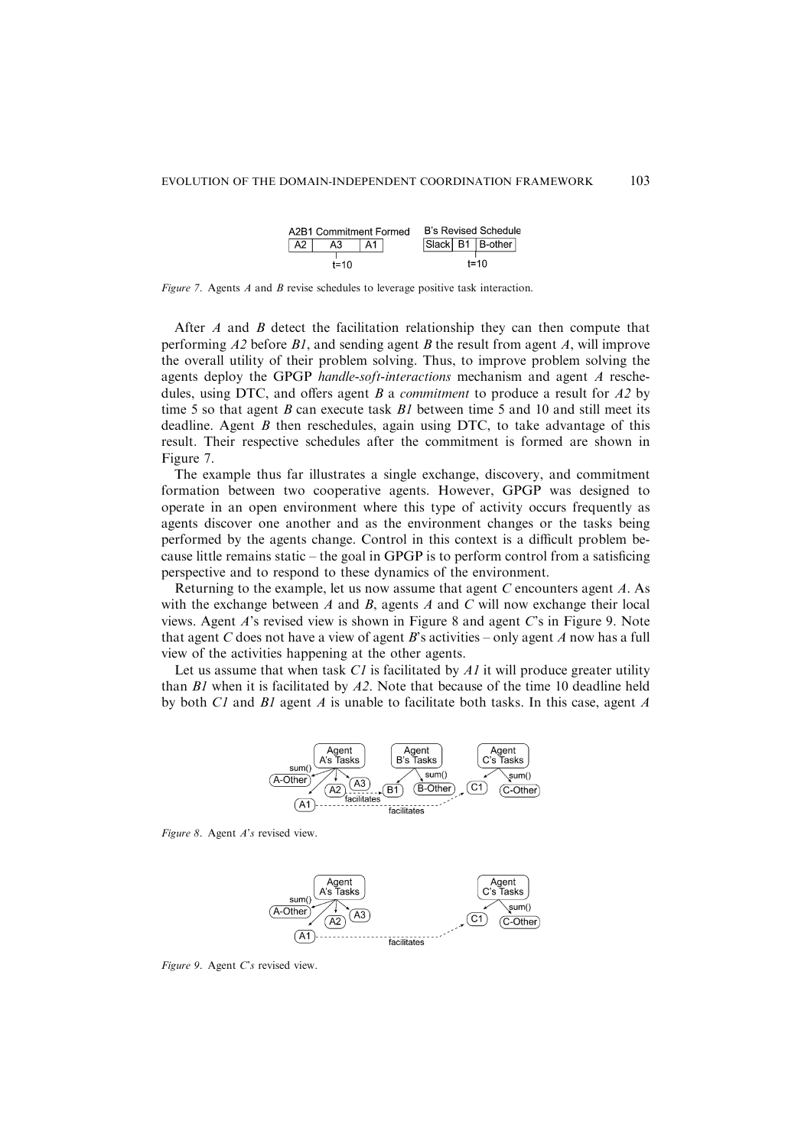| A2B1 Commitment Formed |          |     |  | <b>B's Revised Schedule</b> |  |                      |  |
|------------------------|----------|-----|--|-----------------------------|--|----------------------|--|
| $ $ A2 $ $             | А3       | A1. |  |                             |  | Slack   B1   B-other |  |
|                        | $t = 10$ |     |  |                             |  | $t = 10$             |  |

Figure 7. Agents A and B revise schedules to leverage positive task interaction.

After  $A$  and  $B$  detect the facilitation relationship they can then compute that performing  $A2$  before  $B1$ , and sending agent B the result from agent A, will improve the overall utility of their problem solving. Thus, to improve problem solving the agents deploy the GPGP handle-soft-interactions mechanism and agent A reschedules, using DTC, and offers agent B a *commitment* to produce a result for  $A2$  by time 5 so that agent B can execute task  $BI$  between time 5 and 10 and still meet its deadline. Agent  $B$  then reschedules, again using DTC, to take advantage of this result. Their respective schedules after the commitment is formed are shown in Figure 7.

The example thus far illustrates a single exchange, discovery, and commitment formation between two cooperative agents. However, GPGP was designed to operate in an open environment where this type of activity occurs frequently as agents discover one another and as the environment changes or the tasks being performed by the agents change. Control in this context is a difficult problem because little remains static – the goal in GPGP is to perform control from a satisficing perspective and to respond to these dynamics of the environment.

Returning to the example, let us now assume that agent C encounters agent  $\Lambda$ . As with the exchange between  $A$  and  $B$ , agents  $A$  and  $C$  will now exchange their local views. Agent A's revised view is shown in Figure 8 and agent C's in Figure 9. Note that agent C does not have a view of agent B's activities – only agent A now has a full view of the activities happening at the other agents.

Let us assume that when task  $CI$  is facilitated by  $AI$  it will produce greater utility than  $BI$  when it is facilitated by  $A2$ . Note that because of the time 10 deadline held by both C1 and B1 agent A is unable to facilitate both tasks. In this case, agent A



Figure 8. Agent  $A$ 's revised view.



Figure 9. Agent C's revised view.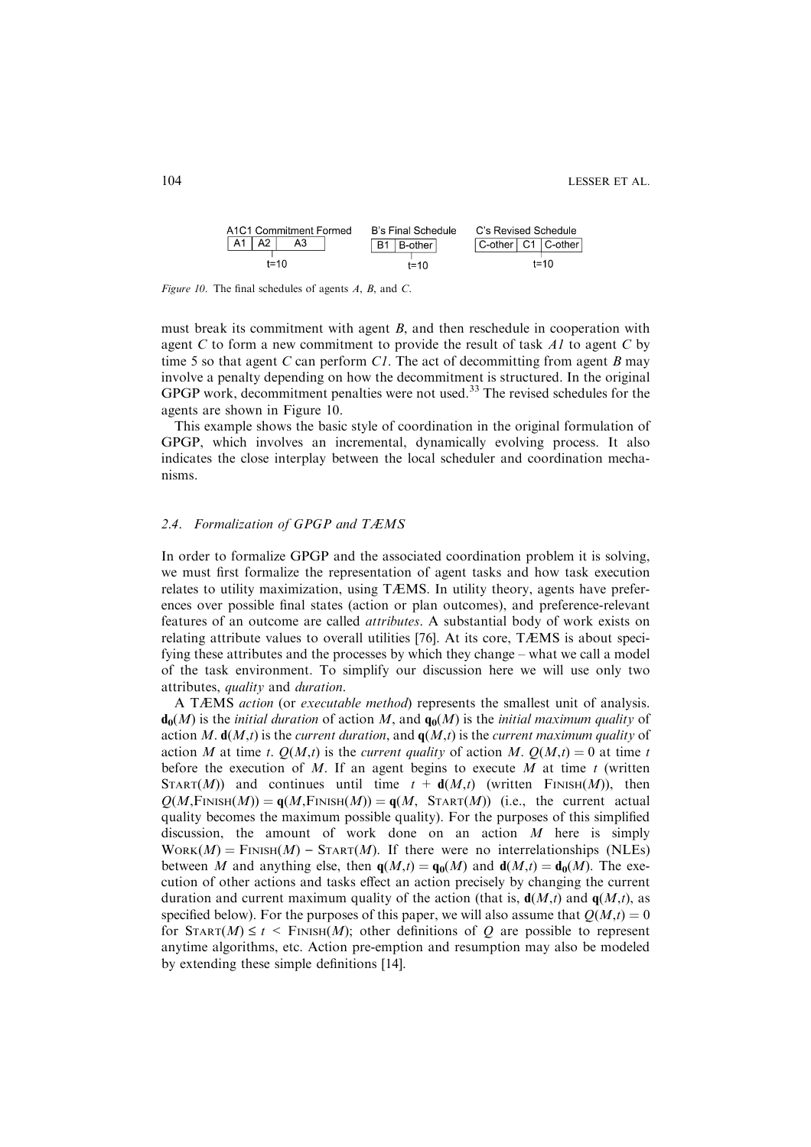

Figure 10. The final schedules of agents  $A$ ,  $B$ , and  $C$ .

must break its commitment with agent  $B$ , and then reschedule in cooperation with agent C to form a new commitment to provide the result of task  $AI$  to agent C by time 5 so that agent  $C$  can perform  $C1$ . The act of decommitting from agent  $B$  may involve a penalty depending on how the decommitment is structured. In the original GPGP work, decommitment penalties were not used.<sup>33</sup> The revised schedules for the agents are shown in Figure 10.

This example shows the basic style of coordination in the original formulation of GPGP, which involves an incremental, dynamically evolving process. It also indicates the close interplay between the local scheduler and coordination mechanisms.

## 2.4. Formalization of GPGP and TÆMS

In order to formalize GPGP and the associated coordination problem it is solving, we must first formalize the representation of agent tasks and how task execution relates to utility maximization, using TÆMS. In utility theory, agents have preferences over possible final states (action or plan outcomes), and preference-relevant features of an outcome are called attributes. A substantial body of work exists on relating attribute values to overall utilities [76]. At its core, TÆMS is about specifying these attributes and the processes by which they change – what we call a model of the task environment. To simplify our discussion here we will use only two attributes, quality and duration.

A TÆMS *action* (or *executable method*) represents the smallest unit of analysis.  $d_0(M)$  is the *initial duration* of action M, and  $q_0(M)$  is the *initial maximum quality* of action M.  $d(M,t)$  is the current duration, and  $q(M,t)$  is the current maximum quality of action M at time t.  $Q(M,t)$  is the *current quality* of action M.  $Q(M,t) = 0$  at time t before the execution of M. If an agent begins to execute M at time  $t$  (written START(M)) and continues until time  $t + d(M,t)$  (written FINISH(M)), then  $Q(M, \text{FINISH}(M)) = q(M, \text{FINISH}(M)) = q(M, \text{START}(M))$  (i.e., the current actual quality becomes the maximum possible quality). For the purposes of this simplified discussion, the amount of work done on an action  $M$  here is simply  $WORK(M) = \text{FINISH}(M) - \text{START}(M)$ . If there were no interrelationships (NLEs) between M and anything else, then  $q(M,t) = q_0(M)$  and  $d(M,t) = d_0(M)$ . The execution of other actions and tasks effect an action precisely by changing the current duration and current maximum quality of the action (that is,  $d(M,t)$  and  $q(M,t)$ , as specified below). For the purposes of this paper, we will also assume that  $Q(M,t) = 0$ for  $START(M) \le t < FINISH(M)$ ; other definitions of Q are possible to represent anytime algorithms, etc. Action pre-emption and resumption may also be modeled by extending these simple definitions [14].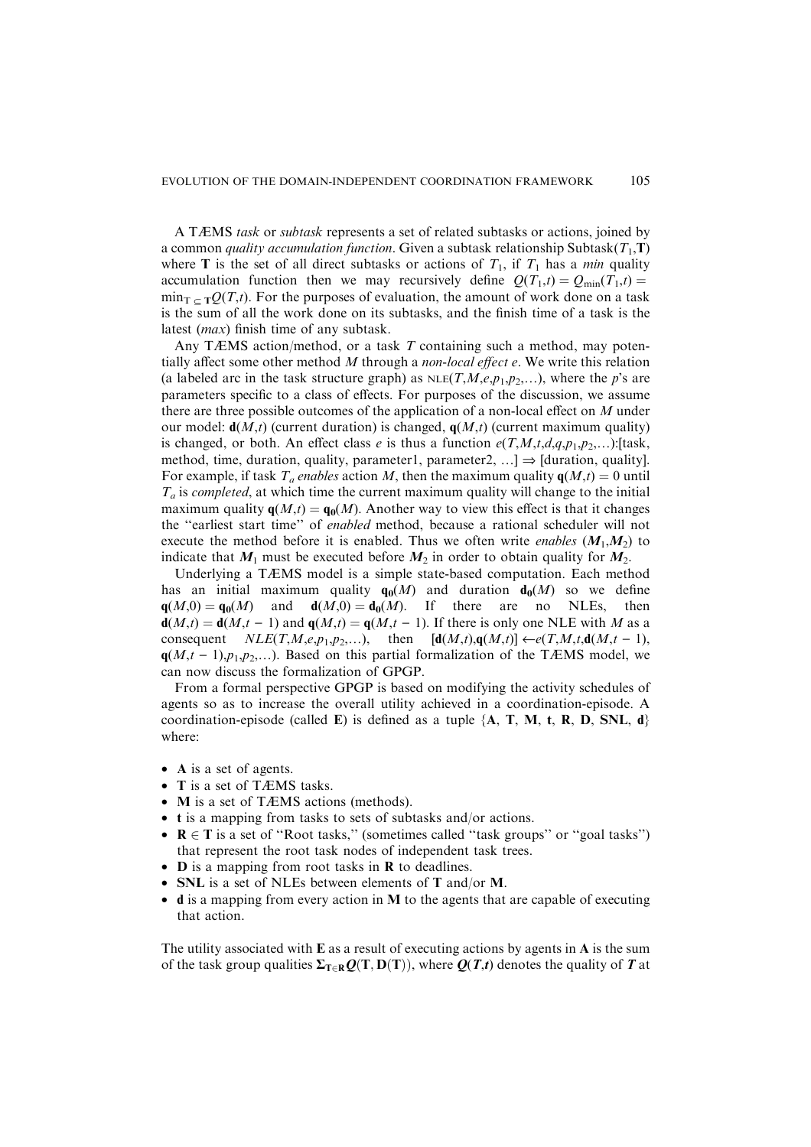A TÆMS task or subtask represents a set of related subtasks or actions, joined by a common *quality accumulation function*. Given a subtask relationship Subtask( $T_1$ , $T$ ) where T is the set of all direct subtasks or actions of  $T_1$ , if  $T_1$  has a min quality accumulation function then we may recursively define  $Q(T_1,t) = Q_{\text{min}}(T_1,t)$  $\min_{T \subset T} Q(T,t)$ . For the purposes of evaluation, the amount of work done on a task is the sum of all the work done on its subtasks, and the finish time of a task is the latest (max) finish time of any subtask.

Any TÆMS action/method, or a task  $T$  containing such a method, may potentially affect some other method  $M$  through a non-local effect  $e$ . We write this relation (a labeled arc in the task structure graph) as  $NLE(T,M,e,p_1,p_2,...)$ , where the p's are parameters specific to a class of effects. For purposes of the discussion, we assume there are three possible outcomes of the application of a non-local effect on M under our model:  $d(M,t)$  (current duration) is changed,  $q(M,t)$  (current maximum quality) is changed, or both. An effect class e is thus a function  $e(T,M,t,d,q,p_1,p_2,...)$ : [task, method, time, duration, quality, parameter1, parameter2, ...]  $\Rightarrow$  [duration, quality]. For example, if task  $T_a$  enables action M, then the maximum quality  $q(M,t) = 0$  until  $T_a$  is *completed*, at which time the current maximum quality will change to the initial maximum quality  $q(M,t) = q_0(M)$ . Another way to view this effect is that it changes the ''earliest start time'' of enabled method, because a rational scheduler will not execute the method before it is enabled. Thus we often write *enables*  $(M_1, M_2)$  to indicate that  $M_1$  must be executed before  $M_2$  in order to obtain quality for  $M_2$ .

Underlying a TÆMS model is a simple state-based computation. Each method has an initial maximum quality  $q_0(M)$  and duration  $d_0(M)$  so we define  $q(M,0) = q_0(M)$  and  $q(M,0) = d_0(M)$ . If there are no NLEs, then  $d(M,t) = d(M,t - 1)$  and  $q(M,t) = q(M,t - 1)$ . If there is only one NLE with M as a consequent  $NLE(T,M,e,p_1,p_2,...)$ , then  $[d(M,t),q(M,t)] \leftarrow e(T,M,t,d(M,t-1),$  $q(M,t-1),p_1,p_2,...)$ . Based on this partial formalization of the TÆMS model, we can now discuss the formalization of GPGP.

From a formal perspective GPGP is based on modifying the activity schedules of agents so as to increase the overall utility achieved in a coordination-episode. A coordination-episode (called E) is defined as a tuple  $\{A, T, M, t, R, D, SNL, d\}$ where:

- A is a set of agents.
- T is a set of TÆMS tasks.
- M is a set of TÆMS actions (methods).
- t is a mapping from tasks to sets of subtasks and/or actions.
- $R \in T$  is a set of "Root tasks," (sometimes called "task groups" or "goal tasks") that represent the root task nodes of independent task trees.
- **D** is a mapping from root tasks in **R** to deadlines.
- SNL is a set of NLEs between elements of T and/or M.
- d is a mapping from every action in M to the agents that are capable of executing that action.

The utility associated with  $E$  as a result of executing actions by agents in  $A$  is the sum of the task group qualities  $\Sigma_{T \in R}Q(T, D(T))$ , where  $Q(T,t)$  denotes the quality of T at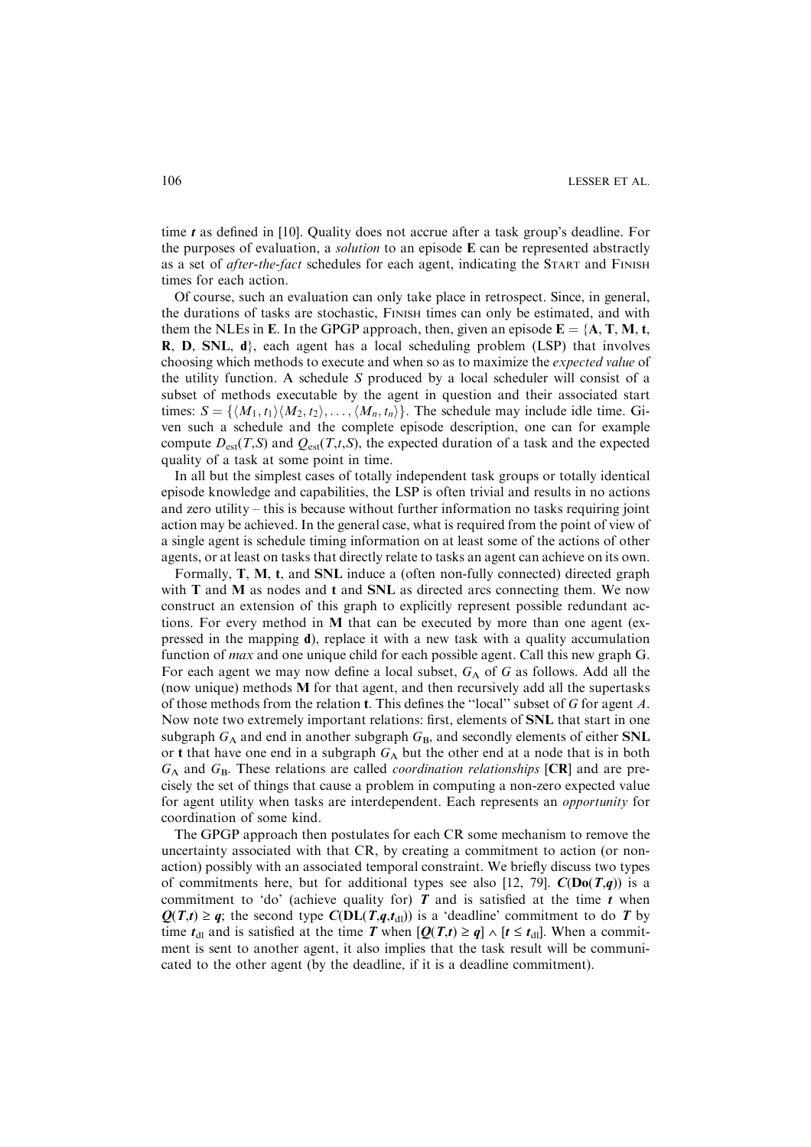time t as defined in [10]. Quality does not accrue after a task group's deadline. For the purposes of evaluation, a *solution* to an episode **E** can be represented abstractly as a set of *after-the-fact* schedules for each agent, indicating the START and FINISH times for each action.

Of course, such an evaluation can only take place in retrospect. Since, in general, the durations of tasks are stochastic, FINISH times can only be estimated, and with them the NLEs in E. In the GPGP approach, then, given an episode  $E = \{A, T, M, t,$ **R**, **D**, **SNL**, **d**<sub>}</sub>, each agent has a local scheduling problem (LSP) that involves choosing which methods to execute and when so as to maximize the expected value of the utility function. A schedule S produced by a local scheduler will consist of a subset of methods executable by the agent in question and their associated start times:  $S = \{ \langle M_1, t_1 \rangle \langle M_2, t_2 \rangle, \dots, \langle M_n, t_n \rangle \}$ . The schedule may include idle time. Given such a schedule and the complete episode description, one can for example compute  $D_{est}(T, S)$  and  $Q_{est}(T, t, S)$ , the expected duration of a task and the expected quality of a task at some point in time.

In all but the simplest cases of totally independent task groups or totally identical episode knowledge and capabilities, the LSP is often trivial and results in no actions and zero utility – this is because without further information no tasks requiring joint action may be achieved. In the general case, what is required from the point of view of a single agent is schedule timing information on at least some of the actions of other agents, or at least on tasks that directly relate to tasks an agent can achieve on its own.

Formally, T, M, t, and SNL induce a (often non-fully connected) directed graph with T and M as nodes and t and SNL as directed arcs connecting them. We now construct an extension of this graph to explicitly represent possible redundant actions. For every method in M that can be executed by more than one agent (expressed in the mapping d), replace it with a new task with a quality accumulation function of max and one unique child for each possible agent. Call this new graph G. For each agent we may now define a local subset,  $G_A$  of G as follows. Add all the (now unique) methods M for that agent, and then recursively add all the supertasks of those methods from the relation t. This defines the ''local'' subset of G for agent A. Now note two extremely important relations: first, elements of SNL that start in one subgraph  $G_A$  and end in another subgraph  $G_B$ , and secondly elements of either SNL or t that have one end in a subgraph  $G_A$  but the other end at a node that is in both  $G_A$  and  $G_B$ . These relations are called *coordination relationships* [CR] and are precisely the set of things that cause a problem in computing a non-zero expected value for agent utility when tasks are interdependent. Each represents an opportunity for coordination of some kind.

The GPGP approach then postulates for each CR some mechanism to remove the uncertainty associated with that CR, by creating a commitment to action (or nonaction) possibly with an associated temporal constraint. We briefly discuss two types of commitments here, but for additional types see also [12, 79].  $C(Do(T,q))$  is a commitment to 'do' (achieve quality for)  $T$  and is satisfied at the time  $t$  when  $Q(T,t) \geq q$ ; the second type  $C(DL(T,q,t_{dl}))$  is a 'deadline' commitment to do T by time  $t_{d}$  and is satisfied at the time T when  $[Q(T,t) \geq q] \wedge [t \leq t_{d}]$ . When a commitment is sent to another agent, it also implies that the task result will be communicated to the other agent (by the deadline, if it is a deadline commitment).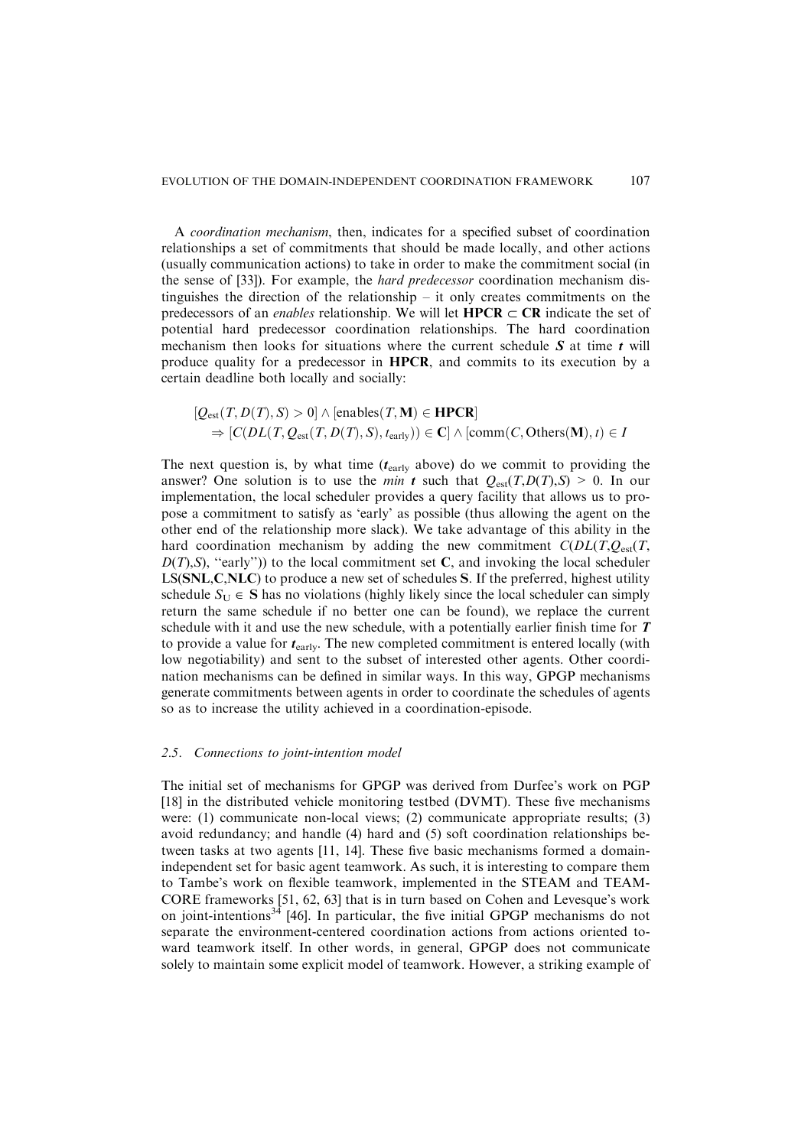A coordination mechanism, then, indicates for a specified subset of coordination relationships a set of commitments that should be made locally, and other actions (usually communication actions) to take in order to make the commitment social (in the sense of [33]). For example, the hard predecessor coordination mechanism distinguishes the direction of the relationship – it only creates commitments on the predecessors of an *enables* relationship. We will let  $HPCR \subset CR$  indicate the set of potential hard predecessor coordination relationships. The hard coordination mechanism then looks for situations where the current schedule  $S$  at time  $t$  will produce quality for a predecessor in HPCR, and commits to its execution by a certain deadline both locally and socially:

$$
[Q_{est}(T, D(T), S) > 0] \wedge [enables(T, M) \in HPCR]
$$
  
\n
$$
\Rightarrow [C(DL(T, Q_{est}(T, D(T), S), t_{early})) \in C] \wedge [comm(C, Others(M), t) \in I]
$$

The next question is, by what time  $(t_{\text{early}}$  above) do we commit to providing the answer? One solution is to use the *min* t such that  $Q_{est}(T,D(T),S) > 0$ . In our implementation, the local scheduler provides a query facility that allows us to propose a commitment to satisfy as 'early' as possible (thus allowing the agent on the other end of the relationship more slack). We take advantage of this ability in the hard coordination mechanism by adding the new commitment  $C(DL(T, O_{est}(T,$  $D(T), S$ , "early")) to the local commitment set C, and invoking the local scheduler LS(SNL,C,NLC) to produce a new set of schedules S. If the preferred, highest utility schedule  $S_{U} \in S$  has no violations (highly likely since the local scheduler can simply return the same schedule if no better one can be found), we replace the current schedule with it and use the new schedule, with a potentially earlier finish time for T to provide a value for  $t_{\text{early}}$ . The new completed commitment is entered locally (with low negotiability) and sent to the subset of interested other agents. Other coordination mechanisms can be defined in similar ways. In this way, GPGP mechanisms generate commitments between agents in order to coordinate the schedules of agents so as to increase the utility achieved in a coordination-episode.

## 2.5. Connections to joint-intention model

The initial set of mechanisms for GPGP was derived from Durfee's work on PGP [18] in the distributed vehicle monitoring testbed (DVMT). These five mechanisms were: (1) communicate non-local views; (2) communicate appropriate results; (3) avoid redundancy; and handle (4) hard and (5) soft coordination relationships between tasks at two agents [11, 14]. These five basic mechanisms formed a domainindependent set for basic agent teamwork. As such, it is interesting to compare them to Tambe's work on flexible teamwork, implemented in the STEAM and TEAM-CORE frameworks [51, 62, 63] that is in turn based on Cohen and Levesque's work on joint-intentions $34$  [46]. In particular, the five initial GPGP mechanisms do not separate the environment-centered coordination actions from actions oriented toward teamwork itself. In other words, in general, GPGP does not communicate solely to maintain some explicit model of teamwork. However, a striking example of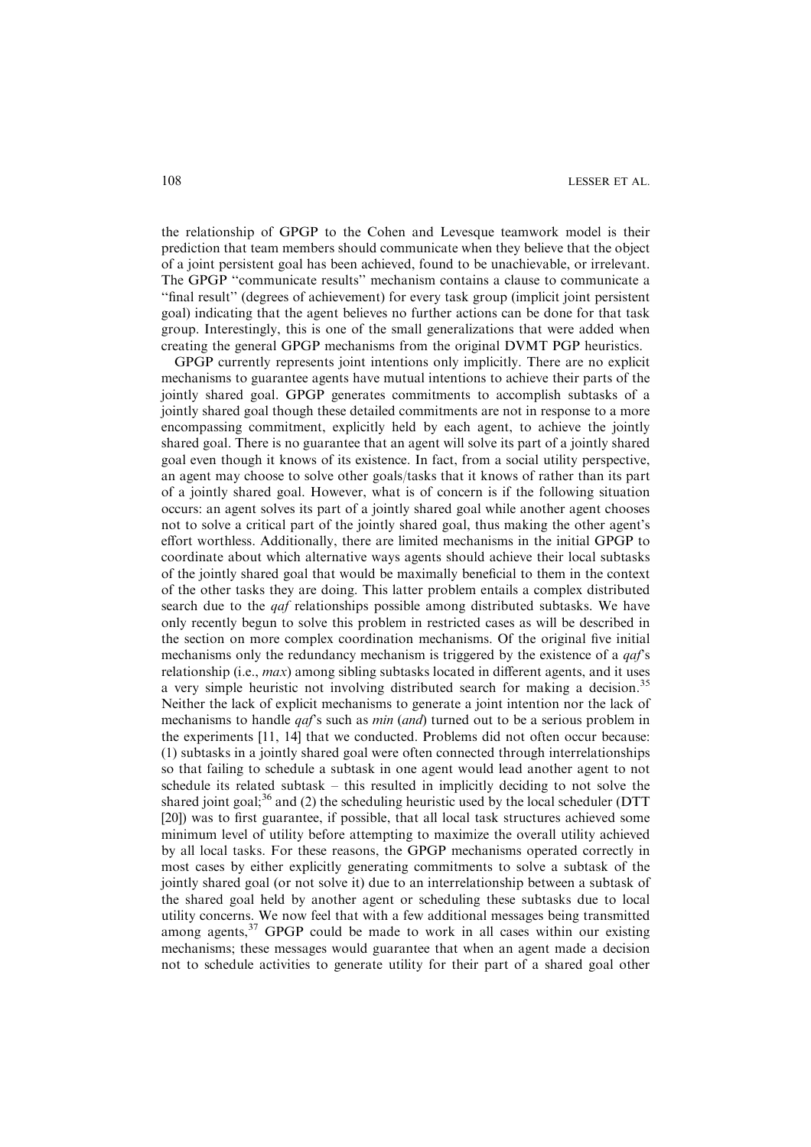the relationship of GPGP to the Cohen and Levesque teamwork model is their prediction that team members should communicate when they believe that the object of a joint persistent goal has been achieved, found to be unachievable, or irrelevant. The GPGP ''communicate results'' mechanism contains a clause to communicate a ''final result'' (degrees of achievement) for every task group (implicit joint persistent goal) indicating that the agent believes no further actions can be done for that task group. Interestingly, this is one of the small generalizations that were added when creating the general GPGP mechanisms from the original DVMT PGP heuristics.

GPGP currently represents joint intentions only implicitly. There are no explicit mechanisms to guarantee agents have mutual intentions to achieve their parts of the jointly shared goal. GPGP generates commitments to accomplish subtasks of a jointly shared goal though these detailed commitments are not in response to a more encompassing commitment, explicitly held by each agent, to achieve the jointly shared goal. There is no guarantee that an agent will solve its part of a jointly shared goal even though it knows of its existence. In fact, from a social utility perspective, an agent may choose to solve other goals/tasks that it knows of rather than its part of a jointly shared goal. However, what is of concern is if the following situation occurs: an agent solves its part of a jointly shared goal while another agent chooses not to solve a critical part of the jointly shared goal, thus making the other agent's effort worthless. Additionally, there are limited mechanisms in the initial GPGP to coordinate about which alternative ways agents should achieve their local subtasks of the jointly shared goal that would be maximally beneficial to them in the context of the other tasks they are doing. This latter problem entails a complex distributed search due to the *qaf* relationships possible among distributed subtasks. We have only recently begun to solve this problem in restricted cases as will be described in the section on more complex coordination mechanisms. Of the original five initial mechanisms only the redundancy mechanism is triggered by the existence of a qaf's relationship (i.e., max) among sibling subtasks located in different agents, and it uses a very simple heuristic not involving distributed search for making a decision.<sup>35</sup> Neither the lack of explicit mechanisms to generate a joint intention nor the lack of mechanisms to handle *qaf*'s such as *min* (*and*) turned out to be a serious problem in the experiments [11, 14] that we conducted. Problems did not often occur because: (1) subtasks in a jointly shared goal were often connected through interrelationships so that failing to schedule a subtask in one agent would lead another agent to not schedule its related subtask – this resulted in implicitly deciding to not solve the shared joint goal;<sup>36</sup> and (2) the scheduling heuristic used by the local scheduler (DTT [20]) was to first guarantee, if possible, that all local task structures achieved some minimum level of utility before attempting to maximize the overall utility achieved by all local tasks. For these reasons, the GPGP mechanisms operated correctly in most cases by either explicitly generating commitments to solve a subtask of the jointly shared goal (or not solve it) due to an interrelationship between a subtask of the shared goal held by another agent or scheduling these subtasks due to local utility concerns. We now feel that with a few additional messages being transmitted among agents,  $37$  GPGP could be made to work in all cases within our existing mechanisms; these messages would guarantee that when an agent made a decision not to schedule activities to generate utility for their part of a shared goal other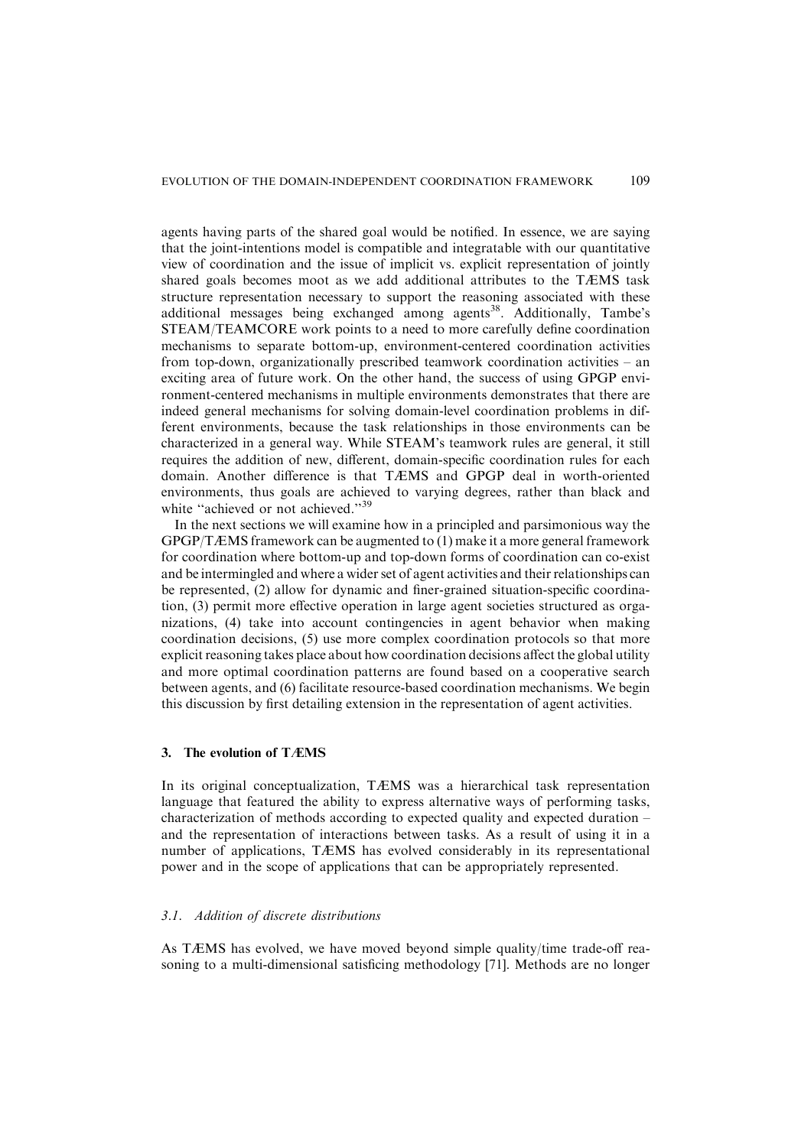agents having parts of the shared goal would be notified. In essence, we are saying that the joint-intentions model is compatible and integratable with our quantitative view of coordination and the issue of implicit vs. explicit representation of jointly shared goals becomes moot as we add additional attributes to the TÆMS task structure representation necessary to support the reasoning associated with these additional messages being exchanged among agents<sup>38</sup>. Additionally, Tambe's STEAM/TEAMCORE work points to a need to more carefully define coordination mechanisms to separate bottom-up, environment-centered coordination activities from top-down, organizationally prescribed teamwork coordination activities – an exciting area of future work. On the other hand, the success of using GPGP environment-centered mechanisms in multiple environments demonstrates that there are indeed general mechanisms for solving domain-level coordination problems in different environments, because the task relationships in those environments can be characterized in a general way. While STEAM's teamwork rules are general, it still requires the addition of new, different, domain-specific coordination rules for each domain. Another difference is that TÆMS and GPGP deal in worth-oriented environments, thus goals are achieved to varying degrees, rather than black and white "achieved or not achieved."<sup>39</sup>

In the next sections we will examine how in a principled and parsimonious way the GPGP/TÆMS framework can be augmented to (1) make it a more general framework for coordination where bottom-up and top-down forms of coordination can co-exist and be intermingled and where a wider set of agent activities and their relationships can be represented, (2) allow for dynamic and finer-grained situation-specific coordination, (3) permit more effective operation in large agent societies structured as organizations, (4) take into account contingencies in agent behavior when making coordination decisions, (5) use more complex coordination protocols so that more explicit reasoning takes place about how coordination decisions affect the global utility and more optimal coordination patterns are found based on a cooperative search between agents, and (6) facilitate resource-based coordination mechanisms. We begin this discussion by first detailing extension in the representation of agent activities.

# 3. The evolution of TÆMS

In its original conceptualization, TÆMS was a hierarchical task representation language that featured the ability to express alternative ways of performing tasks, characterization of methods according to expected quality and expected duration – and the representation of interactions between tasks. As a result of using it in a number of applications, TÆMS has evolved considerably in its representational power and in the scope of applications that can be appropriately represented.

#### 3.1. Addition of discrete distributions

As TÆMS has evolved, we have moved beyond simple quality/time trade-off reasoning to a multi-dimensional satisficing methodology [71]. Methods are no longer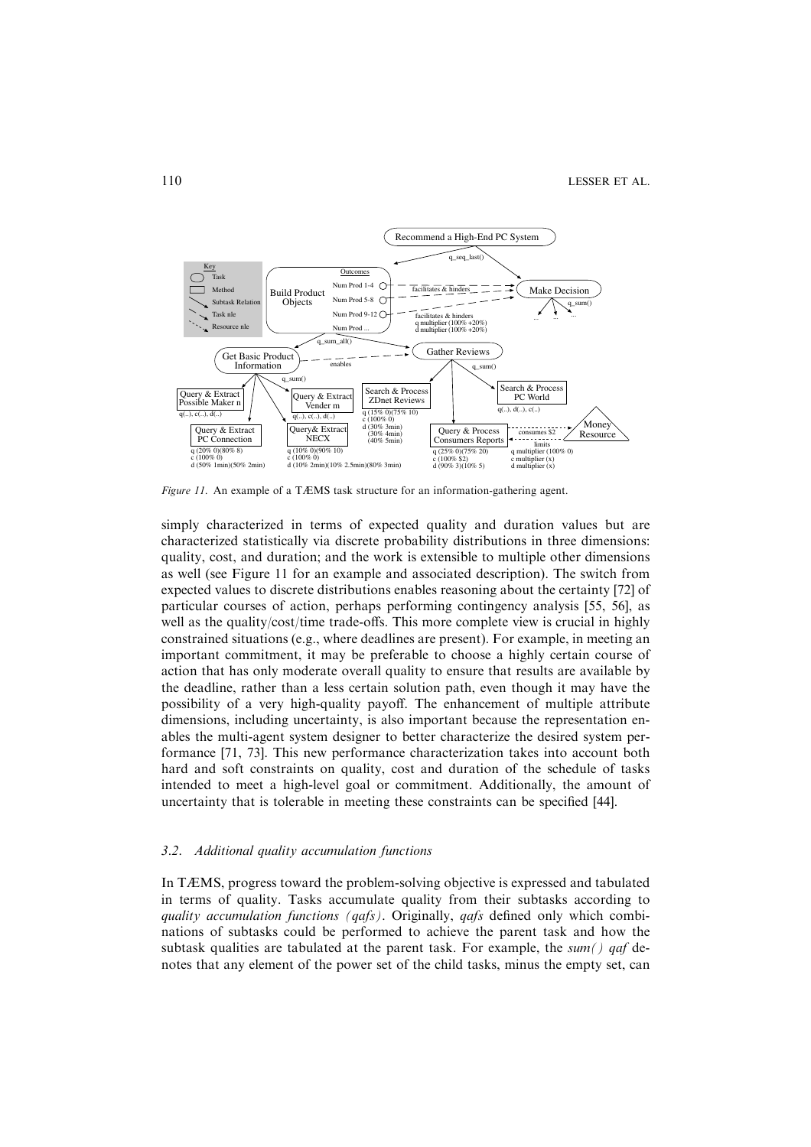

Figure 11. An example of a TÆMS task structure for an information-gathering agent.

simply characterized in terms of expected quality and duration values but are characterized statistically via discrete probability distributions in three dimensions: quality, cost, and duration; and the work is extensible to multiple other dimensions as well (see Figure 11 for an example and associated description). The switch from expected values to discrete distributions enables reasoning about the certainty [72] of particular courses of action, perhaps performing contingency analysis [55, 56], as well as the quality/cost/time trade-offs. This more complete view is crucial in highly constrained situations (e.g., where deadlines are present). For example, in meeting an important commitment, it may be preferable to choose a highly certain course of action that has only moderate overall quality to ensure that results are available by the deadline, rather than a less certain solution path, even though it may have the possibility of a very high-quality payoff. The enhancement of multiple attribute dimensions, including uncertainty, is also important because the representation enables the multi-agent system designer to better characterize the desired system performance [71, 73]. This new performance characterization takes into account both hard and soft constraints on quality, cost and duration of the schedule of tasks intended to meet a high-level goal or commitment. Additionally, the amount of uncertainty that is tolerable in meeting these constraints can be specified [44].

## 3.2. Additional quality accumulation functions

In TÆMS, progress toward the problem-solving objective is expressed and tabulated in terms of quality. Tasks accumulate quality from their subtasks according to quality accumulation functions (qafs). Originally, qafs defined only which combinations of subtasks could be performed to achieve the parent task and how the subtask qualities are tabulated at the parent task. For example, the sum() gaf denotes that any element of the power set of the child tasks, minus the empty set, can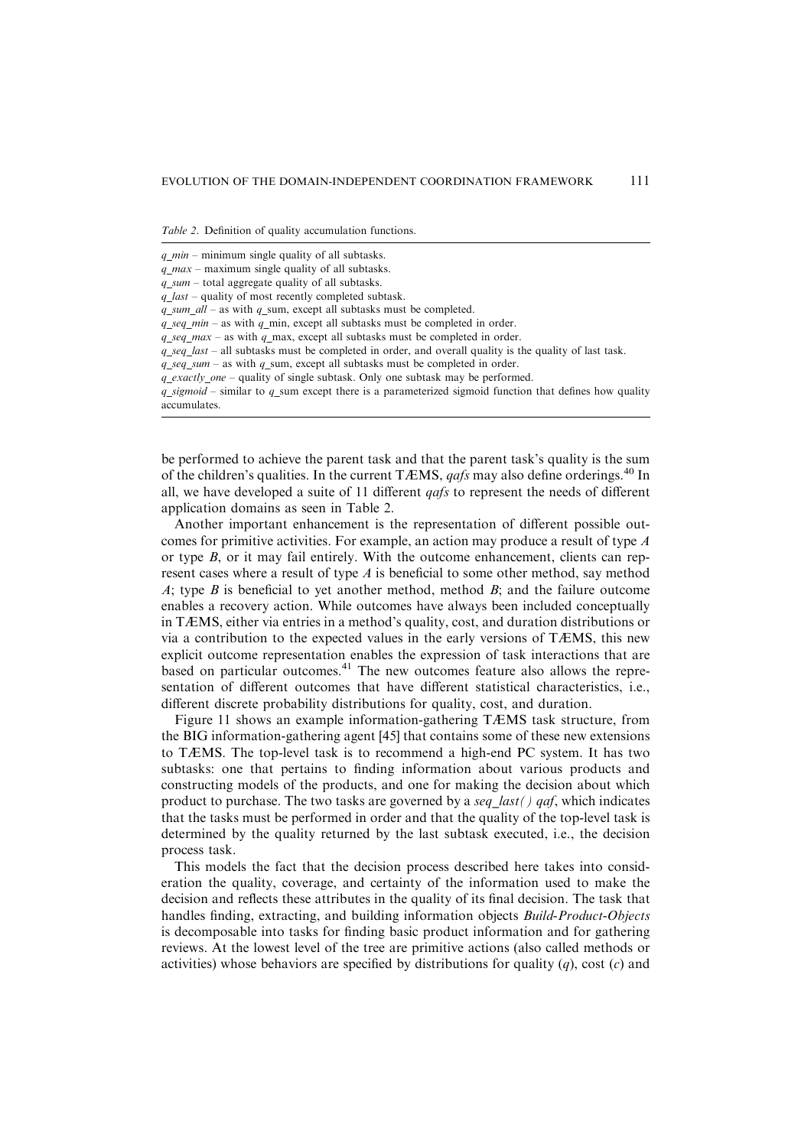Table 2. Definition of quality accumulation functions.

| q min – minimum single quality of all subtasks.                                                        |
|--------------------------------------------------------------------------------------------------------|
| q max – maximum single quality of all subtasks.                                                        |
| q sum – total aggregate quality of all subtasks.                                                       |
| q last – quality of most recently completed subtask.                                                   |
| q sum $all - as$ with q sum, except all subtasks must be completed.                                    |
| q seq min – as with q min, except all subtasks must be completed in order.                             |
| q seq max – as with q max, except all subtasks must be completed in order.                             |
| q seq last – all subtasks must be completed in order, and overall quality is the quality of last task. |
| q seq sum – as with q sum, except all subtasks must be completed in order.                             |
| <i>q exactly one</i> – quality of single subtask. Only one subtask may be performed.                   |
| q sigmoid – similar to q sum except there is a parameterized sigmoid function that defines how quality |
| accumulates.                                                                                           |
|                                                                                                        |

be performed to achieve the parent task and that the parent task's quality is the sum of the children's qualities. In the current TÆMS, *qafs* may also define orderings.<sup>40</sup> In all, we have developed a suite of 11 different  $qafs$  to represent the needs of different application domains as seen in Table 2.

Another important enhancement is the representation of different possible outcomes for primitive activities. For example, an action may produce a result of type A or type  $B$ , or it may fail entirely. With the outcome enhancement, clients can represent cases where a result of type A is beneficial to some other method, say method A; type B is beneficial to yet another method, method B; and the failure outcome enables a recovery action. While outcomes have always been included conceptually in TÆMS, either via entries in a method's quality, cost, and duration distributions or via a contribution to the expected values in the early versions of TÆMS, this new explicit outcome representation enables the expression of task interactions that are based on particular outcomes.<sup>41</sup> The new outcomes feature also allows the representation of different outcomes that have different statistical characteristics, i.e., different discrete probability distributions for quality, cost, and duration.

Figure 11 shows an example information-gathering TÆMS task structure, from the BIG information-gathering agent [45] that contains some of these new extensions to TÆMS. The top-level task is to recommend a high-end PC system. It has two subtasks: one that pertains to finding information about various products and constructing models of the products, and one for making the decision about which product to purchase. The two tasks are governed by a seq last() qaf, which indicates that the tasks must be performed in order and that the quality of the top-level task is determined by the quality returned by the last subtask executed, i.e., the decision process task.

This models the fact that the decision process described here takes into consideration the quality, coverage, and certainty of the information used to make the decision and reflects these attributes in the quality of its final decision. The task that handles finding, extracting, and building information objects Build-Product-Objects is decomposable into tasks for finding basic product information and for gathering reviews. At the lowest level of the tree are primitive actions (also called methods or activities) whose behaviors are specified by distributions for quality  $(q)$ , cost  $(c)$  and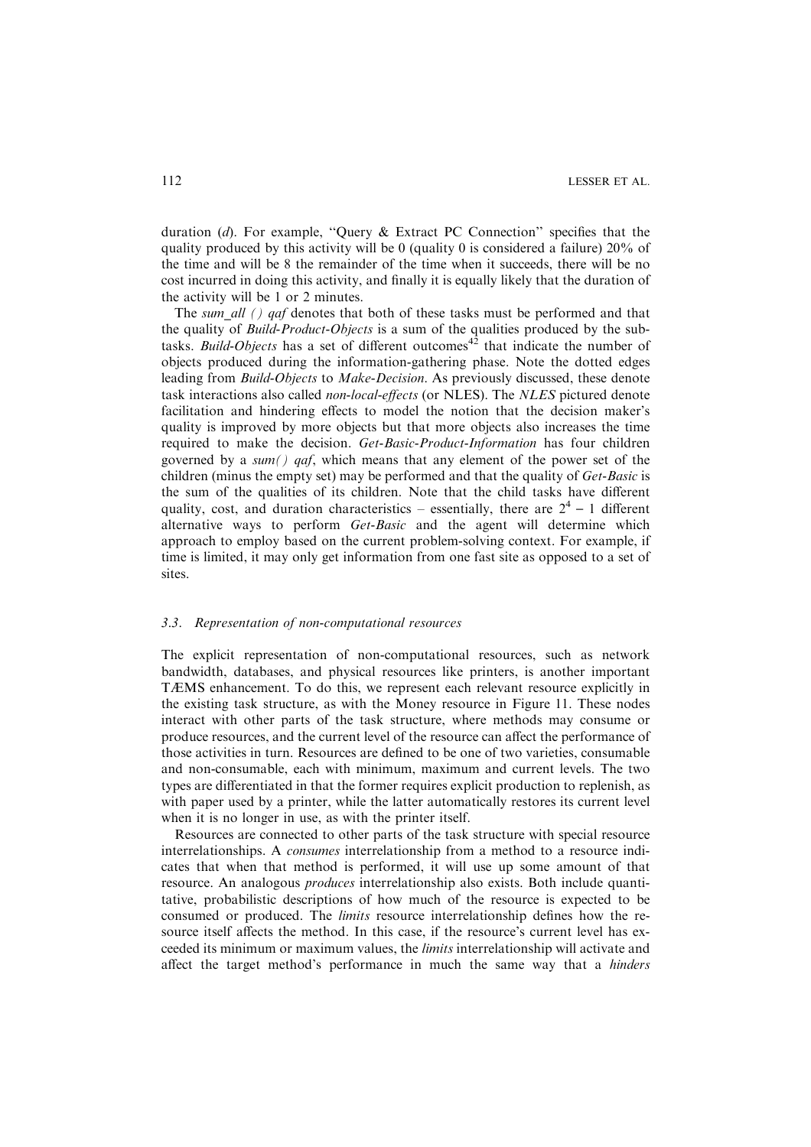duration  $(d)$ . For example, "Query & Extract PC Connection" specifies that the quality produced by this activity will be 0 (quality 0 is considered a failure)  $20\%$  of the time and will be 8 the remainder of the time when it succeeds, there will be no cost incurred in doing this activity, and finally it is equally likely that the duration of the activity will be 1 or 2 minutes.

The sum all () gaf denotes that both of these tasks must be performed and that the quality of *Build-Product-Objects* is a sum of the qualities produced by the subtasks. Build-Objects has a set of different outcomes<sup>42</sup> that indicate the number of objects produced during the information-gathering phase. Note the dotted edges leading from *Build-Objects* to *Make-Decision*. As previously discussed, these denote task interactions also called non-local-effects (or NLES). The NLES pictured denote facilitation and hindering effects to model the notion that the decision maker's quality is improved by more objects but that more objects also increases the time required to make the decision. Get-Basic-Product-Information has four children governed by a  $sum()$  *qaf*, which means that any element of the power set of the children (minus the empty set) may be performed and that the quality of Get-Basic is the sum of the qualities of its children. Note that the child tasks have different quality, cost, and duration characteristics – essentially, there are  $2^4 - 1$  different alternative ways to perform Get-Basic and the agent will determine which approach to employ based on the current problem-solving context. For example, if time is limited, it may only get information from one fast site as opposed to a set of sites.

#### 3.3. Representation of non-computational resources

The explicit representation of non-computational resources, such as network bandwidth, databases, and physical resources like printers, is another important TÆMS enhancement. To do this, we represent each relevant resource explicitly in the existing task structure, as with the Money resource in Figure 11. These nodes interact with other parts of the task structure, where methods may consume or produce resources, and the current level of the resource can affect the performance of those activities in turn. Resources are defined to be one of two varieties, consumable and non-consumable, each with minimum, maximum and current levels. The two types are differentiated in that the former requires explicit production to replenish, as with paper used by a printer, while the latter automatically restores its current level when it is no longer in use, as with the printer itself.

Resources are connected to other parts of the task structure with special resource interrelationships. A consumes interrelationship from a method to a resource indicates that when that method is performed, it will use up some amount of that resource. An analogous produces interrelationship also exists. Both include quantitative, probabilistic descriptions of how much of the resource is expected to be consumed or produced. The limits resource interrelationship defines how the resource itself affects the method. In this case, if the resource's current level has exceeded its minimum or maximum values, the limits interrelationship will activate and affect the target method's performance in much the same way that a hinders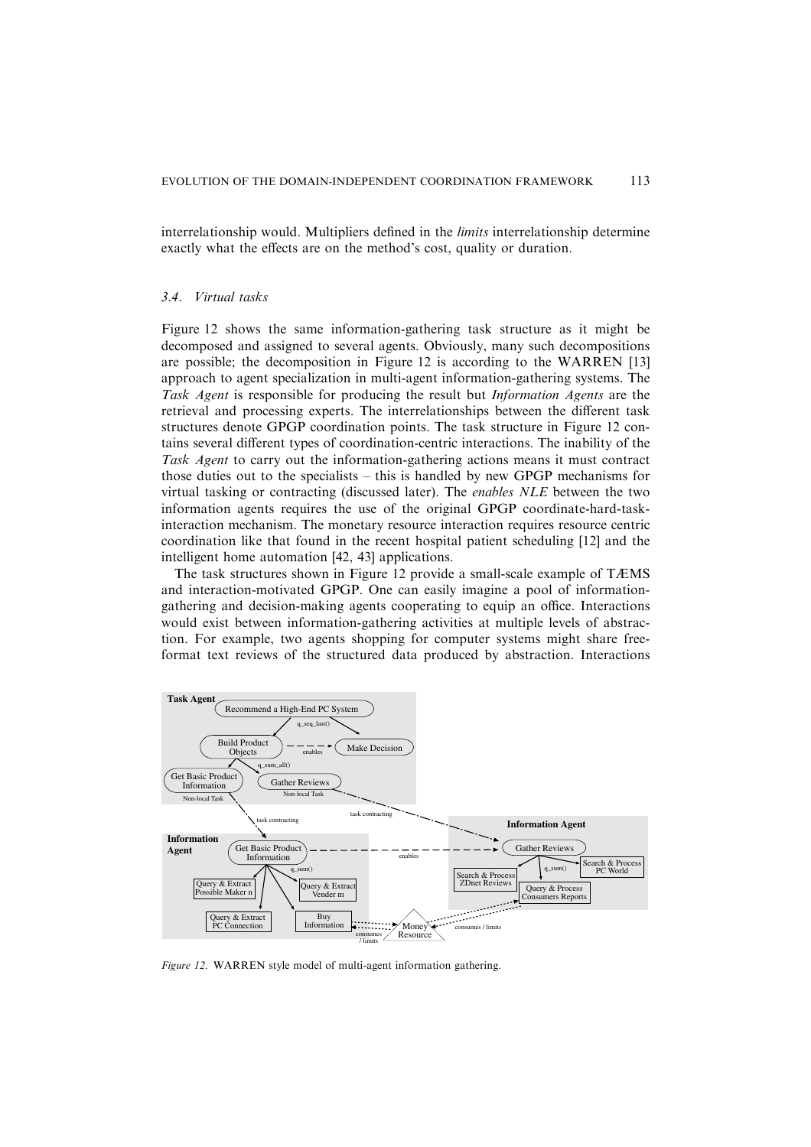interrelationship would. Multipliers defined in the limits interrelationship determine exactly what the effects are on the method's cost, quality or duration.

## 3.4. Virtual tasks

Figure 12 shows the same information-gathering task structure as it might be decomposed and assigned to several agents. Obviously, many such decompositions are possible; the decomposition in Figure 12 is according to the WARREN [13] approach to agent specialization in multi-agent information-gathering systems. The Task Agent is responsible for producing the result but Information Agents are the retrieval and processing experts. The interrelationships between the different task structures denote GPGP coordination points. The task structure in Figure 12 contains several different types of coordination-centric interactions. The inability of the Task Agent to carry out the information-gathering actions means it must contract those duties out to the specialists – this is handled by new GPGP mechanisms for virtual tasking or contracting (discussed later). The enables NLE between the two information agents requires the use of the original GPGP coordinate-hard-taskinteraction mechanism. The monetary resource interaction requires resource centric coordination like that found in the recent hospital patient scheduling [12] and the intelligent home automation [42, 43] applications.

The task structures shown in Figure 12 provide a small-scale example of TÆMS and interaction-motivated GPGP. One can easily imagine a pool of informationgathering and decision-making agents cooperating to equip an office. Interactions would exist between information-gathering activities at multiple levels of abstraction. For example, two agents shopping for computer systems might share freeformat text reviews of the structured data produced by abstraction. Interactions



Figure 12. WARREN style model of multi-agent information gathering.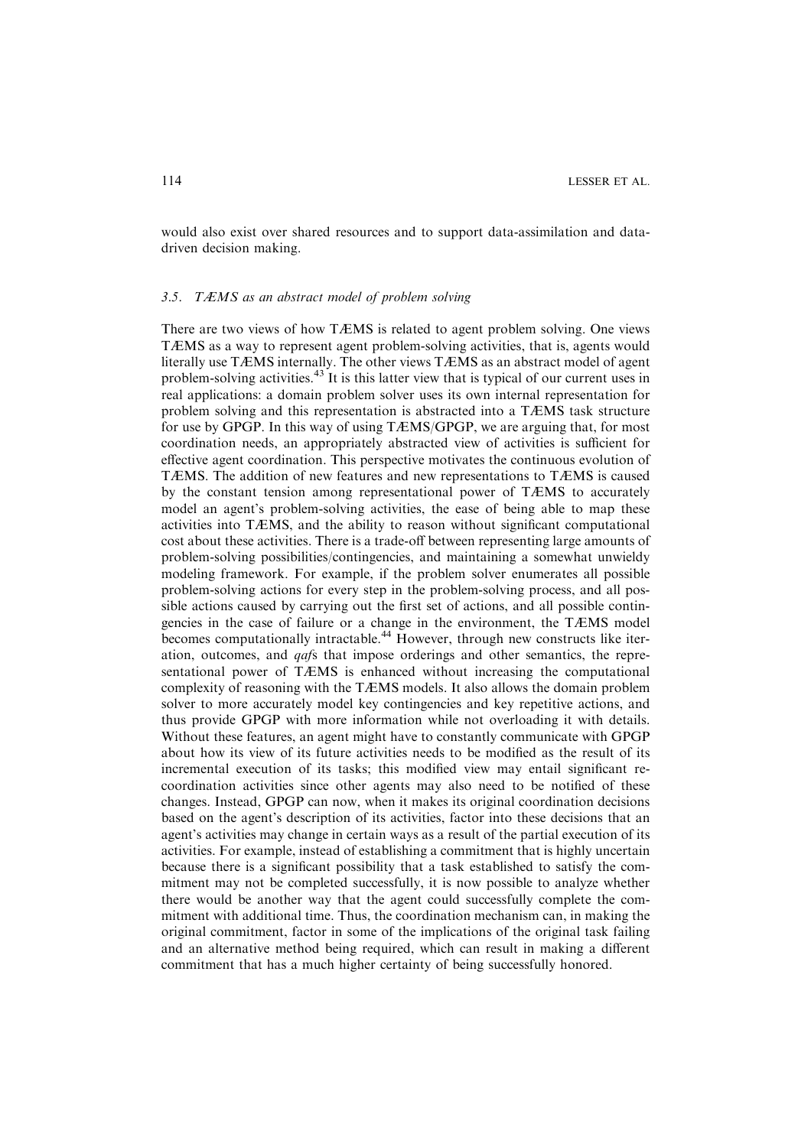would also exist over shared resources and to support data-assimilation and datadriven decision making.

## 3.5. TÆMS as an abstract model of problem solving

There are two views of how TÆMS is related to agent problem solving. One views TÆMS as a way to represent agent problem-solving activities, that is, agents would literally use TÆMS internally. The other views TÆMS as an abstract model of agent problem-solving activities.<sup>43</sup> It is this latter view that is typical of our current uses in real applications: a domain problem solver uses its own internal representation for problem solving and this representation is abstracted into a TÆMS task structure for use by GPGP. In this way of using TÆMS/GPGP, we are arguing that, for most coordination needs, an appropriately abstracted view of activities is sufficient for effective agent coordination. This perspective motivates the continuous evolution of TÆMS. The addition of new features and new representations to TÆMS is caused by the constant tension among representational power of TÆMS to accurately model an agent's problem-solving activities, the ease of being able to map these activities into TÆMS, and the ability to reason without significant computational cost about these activities. There is a trade-off between representing large amounts of problem-solving possibilities/contingencies, and maintaining a somewhat unwieldy modeling framework. For example, if the problem solver enumerates all possible problem-solving actions for every step in the problem-solving process, and all possible actions caused by carrying out the first set of actions, and all possible contingencies in the case of failure or a change in the environment, the TÆMS model becomes computationally intractable.<sup>44</sup> However, through new constructs like iteration, outcomes, and qafs that impose orderings and other semantics, the representational power of TÆMS is enhanced without increasing the computational complexity of reasoning with the TÆMS models. It also allows the domain problem solver to more accurately model key contingencies and key repetitive actions, and thus provide GPGP with more information while not overloading it with details. Without these features, an agent might have to constantly communicate with GPGP about how its view of its future activities needs to be modified as the result of its incremental execution of its tasks; this modified view may entail significant recoordination activities since other agents may also need to be notified of these changes. Instead, GPGP can now, when it makes its original coordination decisions based on the agent's description of its activities, factor into these decisions that an agent's activities may change in certain ways as a result of the partial execution of its activities. For example, instead of establishing a commitment that is highly uncertain because there is a significant possibility that a task established to satisfy the commitment may not be completed successfully, it is now possible to analyze whether there would be another way that the agent could successfully complete the commitment with additional time. Thus, the coordination mechanism can, in making the original commitment, factor in some of the implications of the original task failing and an alternative method being required, which can result in making a different commitment that has a much higher certainty of being successfully honored.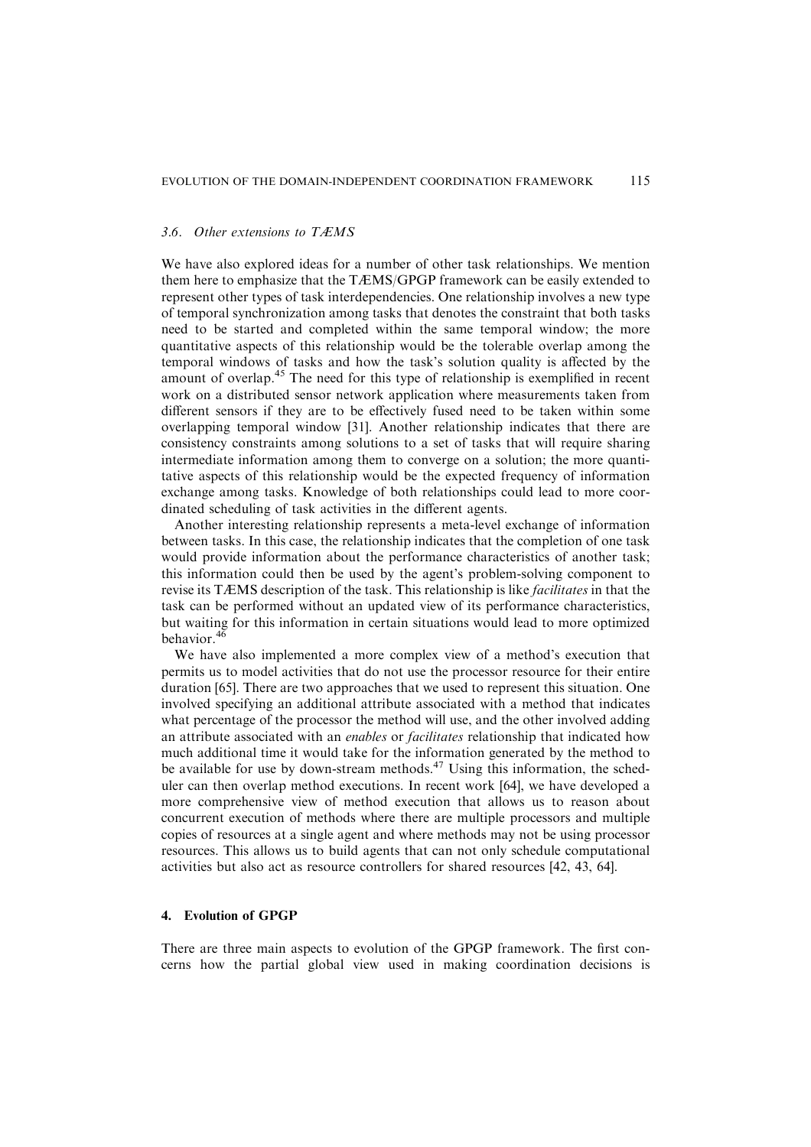# 3.6. Other extensions to TÆMS

We have also explored ideas for a number of other task relationships. We mention them here to emphasize that the TÆMS/GPGP framework can be easily extended to represent other types of task interdependencies. One relationship involves a new type of temporal synchronization among tasks that denotes the constraint that both tasks need to be started and completed within the same temporal window; the more quantitative aspects of this relationship would be the tolerable overlap among the temporal windows of tasks and how the task's solution quality is affected by the amount of overlap.<sup>45</sup> The need for this type of relationship is exemplified in recent work on a distributed sensor network application where measurements taken from different sensors if they are to be effectively fused need to be taken within some overlapping temporal window [31]. Another relationship indicates that there are consistency constraints among solutions to a set of tasks that will require sharing intermediate information among them to converge on a solution; the more quantitative aspects of this relationship would be the expected frequency of information exchange among tasks. Knowledge of both relationships could lead to more coordinated scheduling of task activities in the different agents.

Another interesting relationship represents a meta-level exchange of information between tasks. In this case, the relationship indicates that the completion of one task would provide information about the performance characteristics of another task; this information could then be used by the agent's problem-solving component to revise its TÆMS description of the task. This relationship is like *facilitates* in that the task can be performed without an updated view of its performance characteristics, but waiting for this information in certain situations would lead to more optimized behavior. $46$ 

We have also implemented a more complex view of a method's execution that permits us to model activities that do not use the processor resource for their entire duration [65]. There are two approaches that we used to represent this situation. One involved specifying an additional attribute associated with a method that indicates what percentage of the processor the method will use, and the other involved adding an attribute associated with an enables or facilitates relationship that indicated how much additional time it would take for the information generated by the method to be available for use by down-stream methods.<sup>47</sup> Using this information, the scheduler can then overlap method executions. In recent work [64], we have developed a more comprehensive view of method execution that allows us to reason about concurrent execution of methods where there are multiple processors and multiple copies of resources at a single agent and where methods may not be using processor resources. This allows us to build agents that can not only schedule computational activities but also act as resource controllers for shared resources [42, 43, 64].

# 4. Evolution of GPGP

There are three main aspects to evolution of the GPGP framework. The first concerns how the partial global view used in making coordination decisions is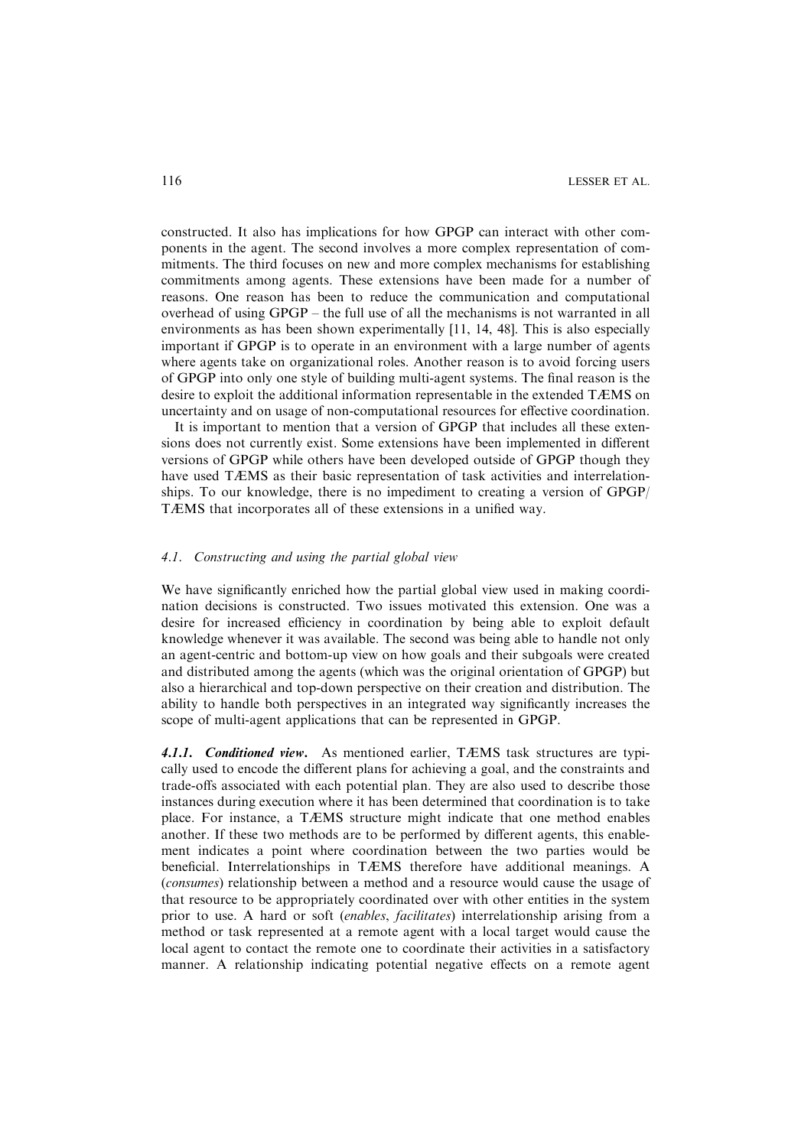constructed. It also has implications for how GPGP can interact with other components in the agent. The second involves a more complex representation of commitments. The third focuses on new and more complex mechanisms for establishing commitments among agents. These extensions have been made for a number of reasons. One reason has been to reduce the communication and computational overhead of using GPGP – the full use of all the mechanisms is not warranted in all environments as has been shown experimentally [11, 14, 48]. This is also especially important if GPGP is to operate in an environment with a large number of agents where agents take on organizational roles. Another reason is to avoid forcing users of GPGP into only one style of building multi-agent systems. The final reason is the desire to exploit the additional information representable in the extended TÆMS on uncertainty and on usage of non-computational resources for effective coordination.

It is important to mention that a version of GPGP that includes all these extensions does not currently exist. Some extensions have been implemented in different versions of GPGP while others have been developed outside of GPGP though they have used TÆMS as their basic representation of task activities and interrelationships. To our knowledge, there is no impediment to creating a version of GPGP/ TÆMS that incorporates all of these extensions in a unified way.

# 4.1. Constructing and using the partial global view

We have significantly enriched how the partial global view used in making coordination decisions is constructed. Two issues motivated this extension. One was a desire for increased efficiency in coordination by being able to exploit default knowledge whenever it was available. The second was being able to handle not only an agent-centric and bottom-up view on how goals and their subgoals were created and distributed among the agents (which was the original orientation of GPGP) but also a hierarchical and top-down perspective on their creation and distribution. The ability to handle both perspectives in an integrated way significantly increases the scope of multi-agent applications that can be represented in GPGP.

4.1.1. Conditioned view. As mentioned earlier, TÆMS task structures are typically used to encode the different plans for achieving a goal, and the constraints and trade-offs associated with each potential plan. They are also used to describe those instances during execution where it has been determined that coordination is to take place. For instance, a TÆMS structure might indicate that one method enables another. If these two methods are to be performed by different agents, this enablement indicates a point where coordination between the two parties would be beneficial. Interrelationships in TÆMS therefore have additional meanings. A (consumes) relationship between a method and a resource would cause the usage of that resource to be appropriately coordinated over with other entities in the system prior to use. A hard or soft (enables, facilitates) interrelationship arising from a method or task represented at a remote agent with a local target would cause the local agent to contact the remote one to coordinate their activities in a satisfactory manner. A relationship indicating potential negative effects on a remote agent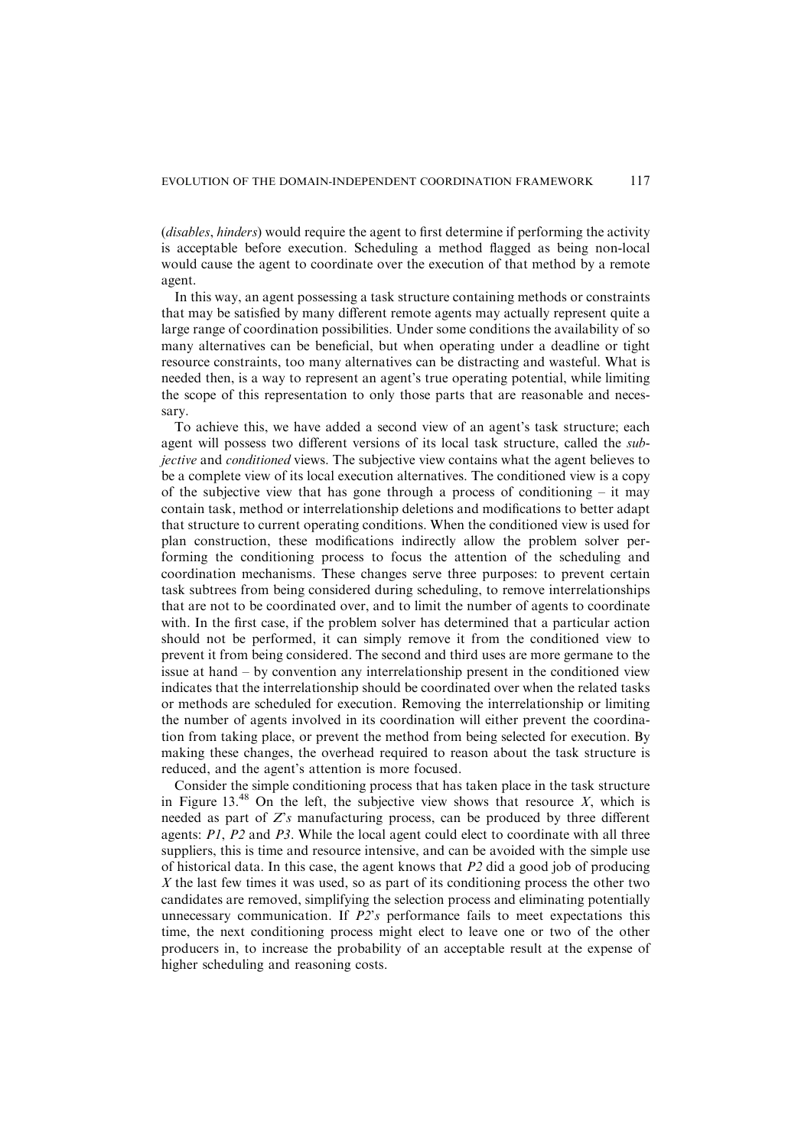(disables, hinders) would require the agent to first determine if performing the activity is acceptable before execution. Scheduling a method flagged as being non-local would cause the agent to coordinate over the execution of that method by a remote agent.

In this way, an agent possessing a task structure containing methods or constraints that may be satisfied by many different remote agents may actually represent quite a large range of coordination possibilities. Under some conditions the availability of so many alternatives can be beneficial, but when operating under a deadline or tight resource constraints, too many alternatives can be distracting and wasteful. What is needed then, is a way to represent an agent's true operating potential, while limiting the scope of this representation to only those parts that are reasonable and necessary.

To achieve this, we have added a second view of an agent's task structure; each agent will possess two different versions of its local task structure, called the sub*jective* and *conditioned* views. The subjective view contains what the agent believes to be a complete view of its local execution alternatives. The conditioned view is a copy of the subjective view that has gone through a process of conditioning  $-$  it may contain task, method or interrelationship deletions and modifications to better adapt that structure to current operating conditions. When the conditioned view is used for plan construction, these modifications indirectly allow the problem solver performing the conditioning process to focus the attention of the scheduling and coordination mechanisms. These changes serve three purposes: to prevent certain task subtrees from being considered during scheduling, to remove interrelationships that are not to be coordinated over, and to limit the number of agents to coordinate with. In the first case, if the problem solver has determined that a particular action should not be performed, it can simply remove it from the conditioned view to prevent it from being considered. The second and third uses are more germane to the issue at hand – by convention any interrelationship present in the conditioned view indicates that the interrelationship should be coordinated over when the related tasks or methods are scheduled for execution. Removing the interrelationship or limiting the number of agents involved in its coordination will either prevent the coordination from taking place, or prevent the method from being selected for execution. By making these changes, the overhead required to reason about the task structure is reduced, and the agent's attention is more focused.

Consider the simple conditioning process that has taken place in the task structure in Figure 13.<sup>48</sup> On the left, the subjective view shows that resource  $X$ , which is needed as part of Z's manufacturing process, can be produced by three different agents: P1, P2 and P3. While the local agent could elect to coordinate with all three suppliers, this is time and resource intensive, and can be avoided with the simple use of historical data. In this case, the agent knows that P2 did a good job of producing X the last few times it was used, so as part of its conditioning process the other two candidates are removed, simplifying the selection process and eliminating potentially unnecessary communication. If  $P2's$  performance fails to meet expectations this time, the next conditioning process might elect to leave one or two of the other producers in, to increase the probability of an acceptable result at the expense of higher scheduling and reasoning costs.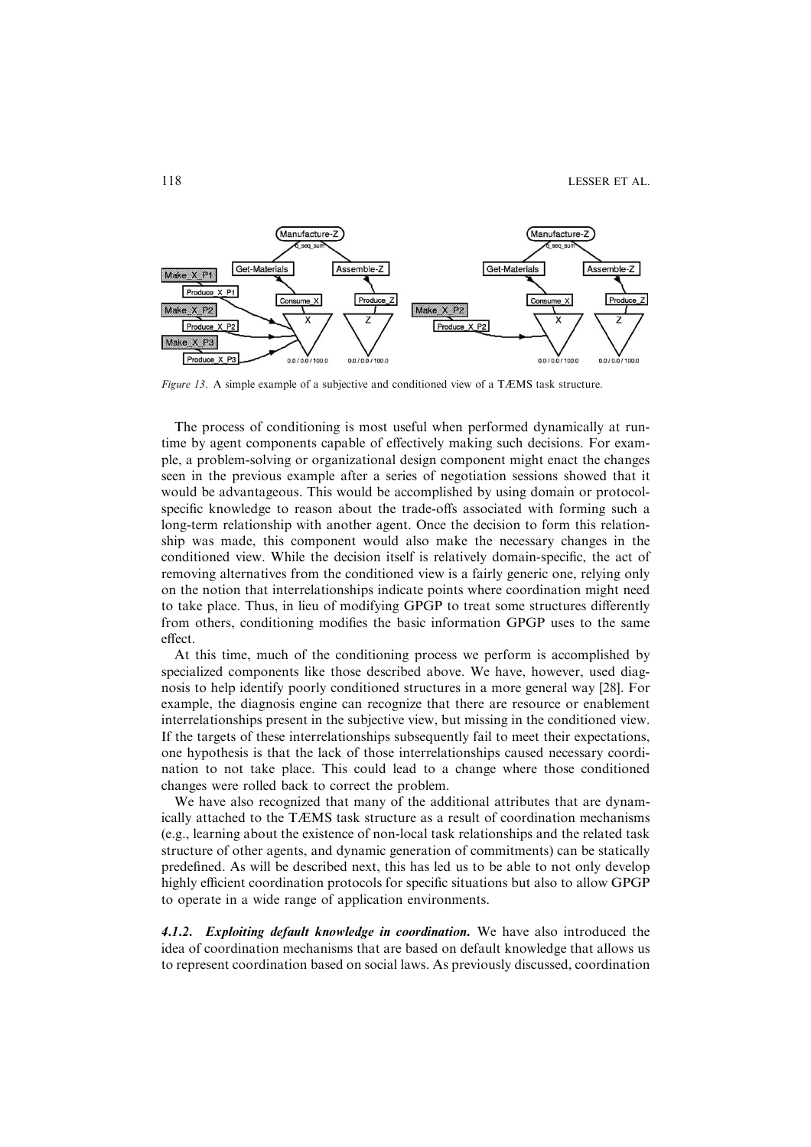

Figure 13. A simple example of a subjective and conditioned view of a TÆMS task structure.

The process of conditioning is most useful when performed dynamically at runtime by agent components capable of effectively making such decisions. For example, a problem-solving or organizational design component might enact the changes seen in the previous example after a series of negotiation sessions showed that it would be advantageous. This would be accomplished by using domain or protocolspecific knowledge to reason about the trade-offs associated with forming such a long-term relationship with another agent. Once the decision to form this relationship was made, this component would also make the necessary changes in the conditioned view. While the decision itself is relatively domain-specific, the act of removing alternatives from the conditioned view is a fairly generic one, relying only on the notion that interrelationships indicate points where coordination might need to take place. Thus, in lieu of modifying GPGP to treat some structures differently from others, conditioning modifies the basic information GPGP uses to the same effect.

At this time, much of the conditioning process we perform is accomplished by specialized components like those described above. We have, however, used diagnosis to help identify poorly conditioned structures in a more general way [28]. For example, the diagnosis engine can recognize that there are resource or enablement interrelationships present in the subjective view, but missing in the conditioned view. If the targets of these interrelationships subsequently fail to meet their expectations, one hypothesis is that the lack of those interrelationships caused necessary coordination to not take place. This could lead to a change where those conditioned changes were rolled back to correct the problem.

We have also recognized that many of the additional attributes that are dynamically attached to the TÆMS task structure as a result of coordination mechanisms (e.g., learning about the existence of non-local task relationships and the related task structure of other agents, and dynamic generation of commitments) can be statically predefined. As will be described next, this has led us to be able to not only develop highly efficient coordination protocols for specific situations but also to allow GPGP to operate in a wide range of application environments.

4.1.2. Exploiting default knowledge in coordination. We have also introduced the idea of coordination mechanisms that are based on default knowledge that allows us to represent coordination based on social laws. As previously discussed, coordination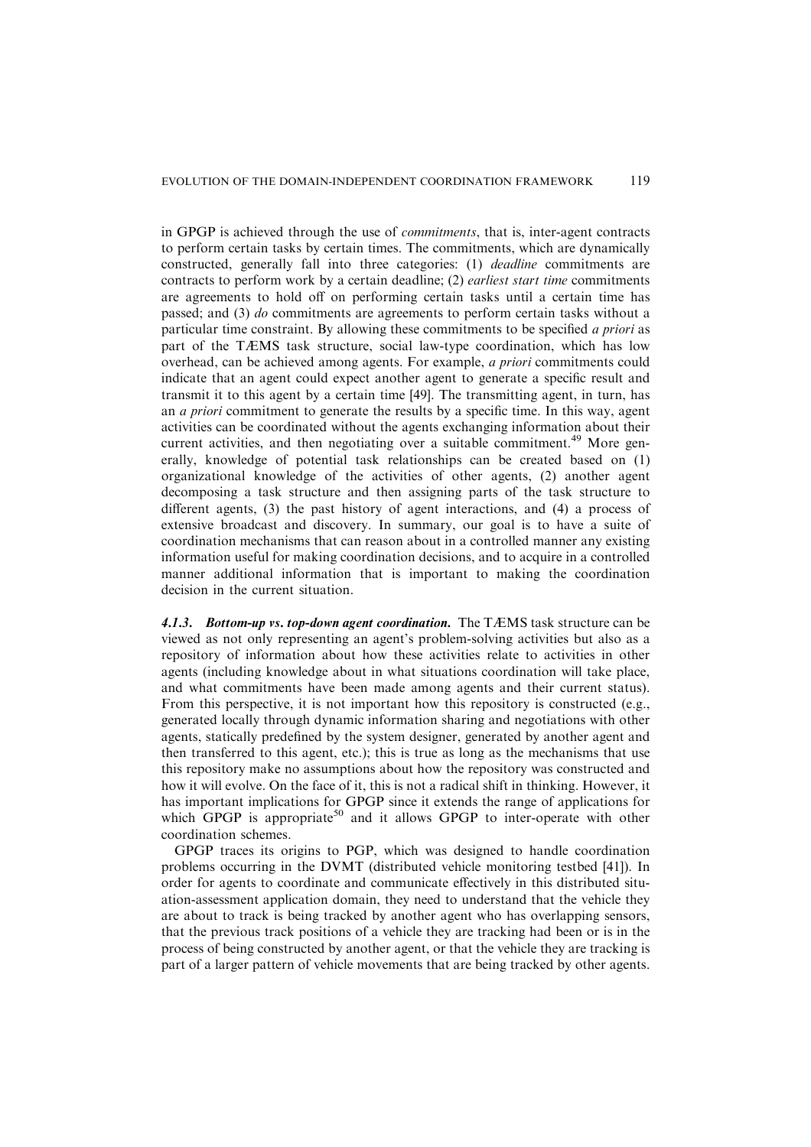in GPGP is achieved through the use of commitments, that is, inter-agent contracts to perform certain tasks by certain times. The commitments, which are dynamically constructed, generally fall into three categories: (1) deadline commitments are contracts to perform work by a certain deadline; (2) earliest start time commitments are agreements to hold off on performing certain tasks until a certain time has passed; and (3) do commitments are agreements to perform certain tasks without a particular time constraint. By allowing these commitments to be specified a priori as part of the TÆMS task structure, social law-type coordination, which has low overhead, can be achieved among agents. For example, a priori commitments could indicate that an agent could expect another agent to generate a specific result and transmit it to this agent by a certain time [49]. The transmitting agent, in turn, has an a priori commitment to generate the results by a specific time. In this way, agent activities can be coordinated without the agents exchanging information about their current activities, and then negotiating over a suitable commitment.<sup>49</sup> More generally, knowledge of potential task relationships can be created based on (1) organizational knowledge of the activities of other agents, (2) another agent decomposing a task structure and then assigning parts of the task structure to different agents, (3) the past history of agent interactions, and (4) a process of extensive broadcast and discovery. In summary, our goal is to have a suite of coordination mechanisms that can reason about in a controlled manner any existing information useful for making coordination decisions, and to acquire in a controlled manner additional information that is important to making the coordination decision in the current situation.

4.1.3. Bottom-up vs. top-down agent coordination. The TÆMS task structure can be viewed as not only representing an agent's problem-solving activities but also as a repository of information about how these activities relate to activities in other agents (including knowledge about in what situations coordination will take place, and what commitments have been made among agents and their current status). From this perspective, it is not important how this repository is constructed (e.g., generated locally through dynamic information sharing and negotiations with other agents, statically predefined by the system designer, generated by another agent and then transferred to this agent, etc.); this is true as long as the mechanisms that use this repository make no assumptions about how the repository was constructed and how it will evolve. On the face of it, this is not a radical shift in thinking. However, it has important implications for GPGP since it extends the range of applications for which GPGP is appropriate<sup>50</sup> and it allows GPGP to inter-operate with other coordination schemes.

GPGP traces its origins to PGP, which was designed to handle coordination problems occurring in the DVMT (distributed vehicle monitoring testbed [41]). In order for agents to coordinate and communicate effectively in this distributed situation-assessment application domain, they need to understand that the vehicle they are about to track is being tracked by another agent who has overlapping sensors, that the previous track positions of a vehicle they are tracking had been or is in the process of being constructed by another agent, or that the vehicle they are tracking is part of a larger pattern of vehicle movements that are being tracked by other agents.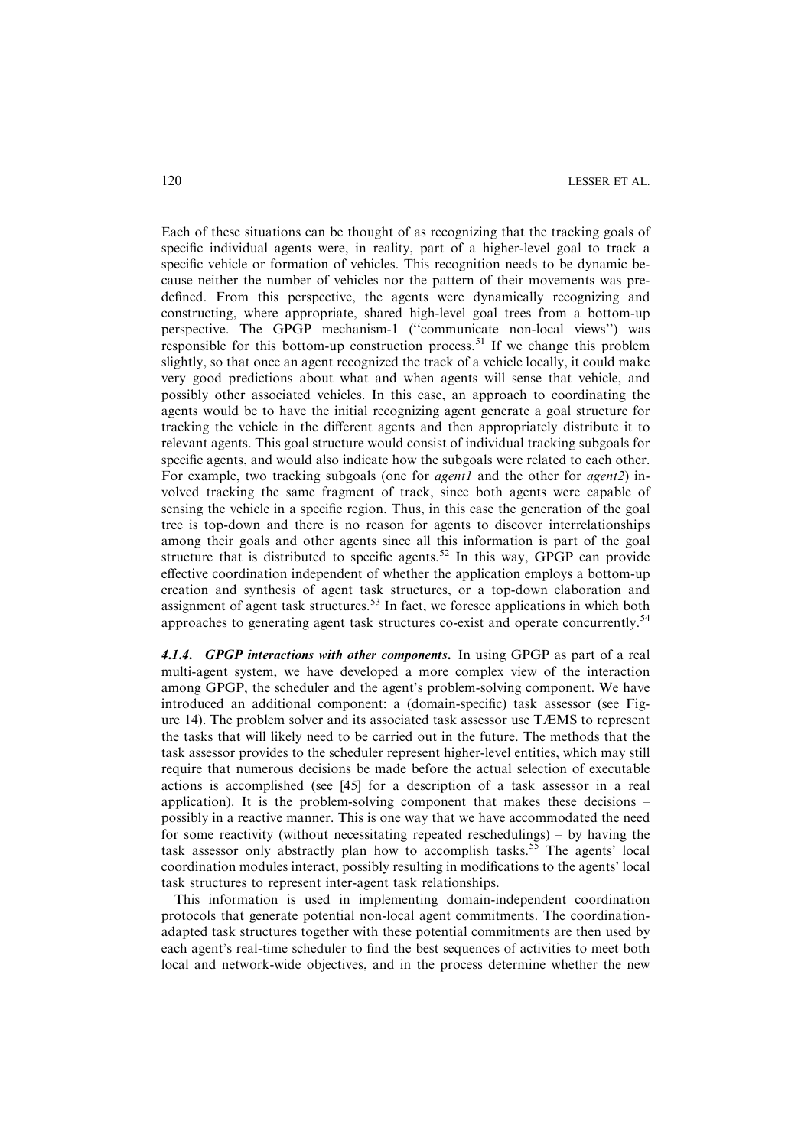Each of these situations can be thought of as recognizing that the tracking goals of specific individual agents were, in reality, part of a higher-level goal to track a specific vehicle or formation of vehicles. This recognition needs to be dynamic because neither the number of vehicles nor the pattern of their movements was predefined. From this perspective, the agents were dynamically recognizing and constructing, where appropriate, shared high-level goal trees from a bottom-up perspective. The GPGP mechanism-1 (''communicate non-local views'') was responsible for this bottom-up construction process.<sup>51</sup> If we change this problem slightly, so that once an agent recognized the track of a vehicle locally, it could make very good predictions about what and when agents will sense that vehicle, and possibly other associated vehicles. In this case, an approach to coordinating the agents would be to have the initial recognizing agent generate a goal structure for tracking the vehicle in the different agents and then appropriately distribute it to relevant agents. This goal structure would consist of individual tracking subgoals for specific agents, and would also indicate how the subgoals were related to each other. For example, two tracking subgoals (one for *agent1* and the other for *agent2*) involved tracking the same fragment of track, since both agents were capable of sensing the vehicle in a specific region. Thus, in this case the generation of the goal tree is top-down and there is no reason for agents to discover interrelationships among their goals and other agents since all this information is part of the goal structure that is distributed to specific agents.<sup>52</sup> In this way, GPGP can provide effective coordination independent of whether the application employs a bottom-up creation and synthesis of agent task structures, or a top-down elaboration and assignment of agent task structures.<sup>53</sup> In fact, we foresee applications in which both approaches to generating agent task structures co-exist and operate concurrently.<sup>54</sup>

4.1.4. GPGP interactions with other components. In using GPGP as part of a real multi-agent system, we have developed a more complex view of the interaction among GPGP, the scheduler and the agent's problem-solving component. We have introduced an additional component: a (domain-specific) task assessor (see Figure 14). The problem solver and its associated task assessor use TÆMS to represent the tasks that will likely need to be carried out in the future. The methods that the task assessor provides to the scheduler represent higher-level entities, which may still require that numerous decisions be made before the actual selection of executable actions is accomplished (see [45] for a description of a task assessor in a real application). It is the problem-solving component that makes these decisions – possibly in a reactive manner. This is one way that we have accommodated the need for some reactivity (without necessitating repeated reschedulings) – by having the task assessor only abstractly plan how to accomplish tasks.<sup>55</sup> The agents' local coordination modules interact, possibly resulting in modifications to the agents' local task structures to represent inter-agent task relationships.

This information is used in implementing domain-independent coordination protocols that generate potential non-local agent commitments. The coordinationadapted task structures together with these potential commitments are then used by each agent's real-time scheduler to find the best sequences of activities to meet both local and network-wide objectives, and in the process determine whether the new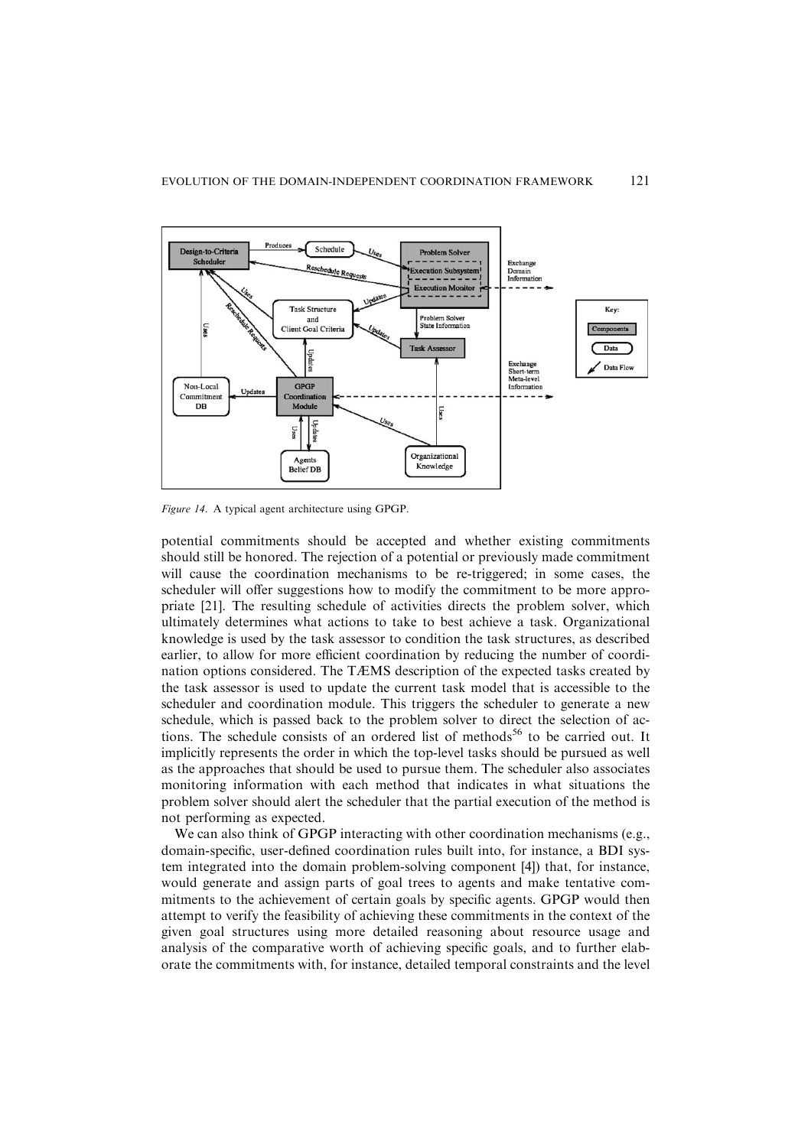

Figure 14. A typical agent architecture using GPGP.

potential commitments should be accepted and whether existing commitments should still be honored. The rejection of a potential or previously made commitment will cause the coordination mechanisms to be re-triggered; in some cases, the scheduler will offer suggestions how to modify the commitment to be more appropriate [21]. The resulting schedule of activities directs the problem solver, which ultimately determines what actions to take to best achieve a task. Organizational knowledge is used by the task assessor to condition the task structures, as described earlier, to allow for more efficient coordination by reducing the number of coordination options considered. The TÆMS description of the expected tasks created by the task assessor is used to update the current task model that is accessible to the scheduler and coordination module. This triggers the scheduler to generate a new schedule, which is passed back to the problem solver to direct the selection of actions. The schedule consists of an ordered list of methods<sup>56</sup> to be carried out. It implicitly represents the order in which the top-level tasks should be pursued as well as the approaches that should be used to pursue them. The scheduler also associates monitoring information with each method that indicates in what situations the problem solver should alert the scheduler that the partial execution of the method is not performing as expected.

We can also think of GPGP interacting with other coordination mechanisms (e.g., domain-specific, user-defined coordination rules built into, for instance, a BDI system integrated into the domain problem-solving component [4]) that, for instance, would generate and assign parts of goal trees to agents and make tentative commitments to the achievement of certain goals by specific agents. GPGP would then attempt to verify the feasibility of achieving these commitments in the context of the given goal structures using more detailed reasoning about resource usage and analysis of the comparative worth of achieving specific goals, and to further elaborate the commitments with, for instance, detailed temporal constraints and the level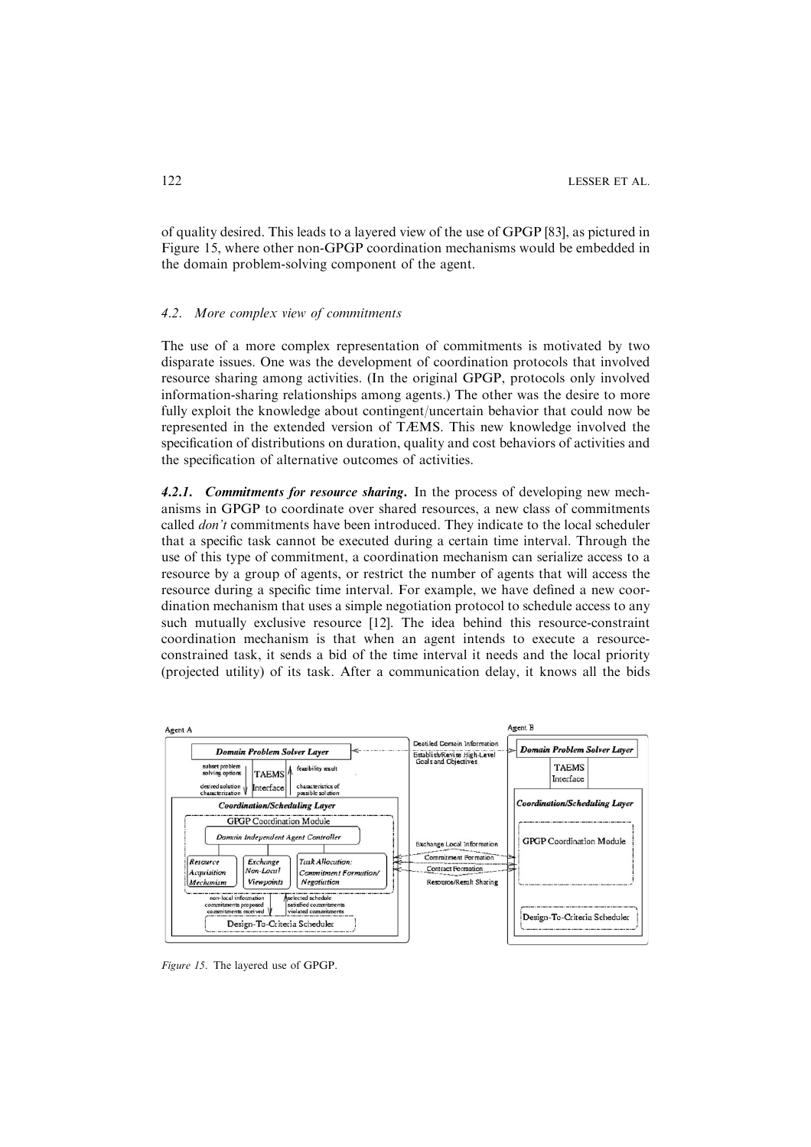of quality desired. This leads to a layered view of the use of GPGP [83], as pictured in Figure 15, where other non-GPGP coordination mechanisms would be embedded in the domain problem-solving component of the agent.

## 4.2. More complex view of commitments

The use of a more complex representation of commitments is motivated by two disparate issues. One was the development of coordination protocols that involved resource sharing among activities. (In the original GPGP, protocols only involved information-sharing relationships among agents.) The other was the desire to more fully exploit the knowledge about contingent/uncertain behavior that could now be represented in the extended version of TÆMS. This new knowledge involved the specification of distributions on duration, quality and cost behaviors of activities and the specification of alternative outcomes of activities.

4.2.1. Commitments for resource sharing. In the process of developing new mechanisms in GPGP to coordinate over shared resources, a new class of commitments called don't commitments have been introduced. They indicate to the local scheduler that a specific task cannot be executed during a certain time interval. Through the use of this type of commitment, a coordination mechanism can serialize access to a resource by a group of agents, or restrict the number of agents that will access the resource during a specific time interval. For example, we have defined a new coordination mechanism that uses a simple negotiation protocol to schedule access to any such mutually exclusive resource [12]. The idea behind this resource-constraint coordination mechanism is that when an agent intends to execute a resourceconstrained task, it sends a bid of the time interval it needs and the local priority (projected utility) of its task. After a communication delay, it knows all the bids



Figure 15. The layered use of GPGP.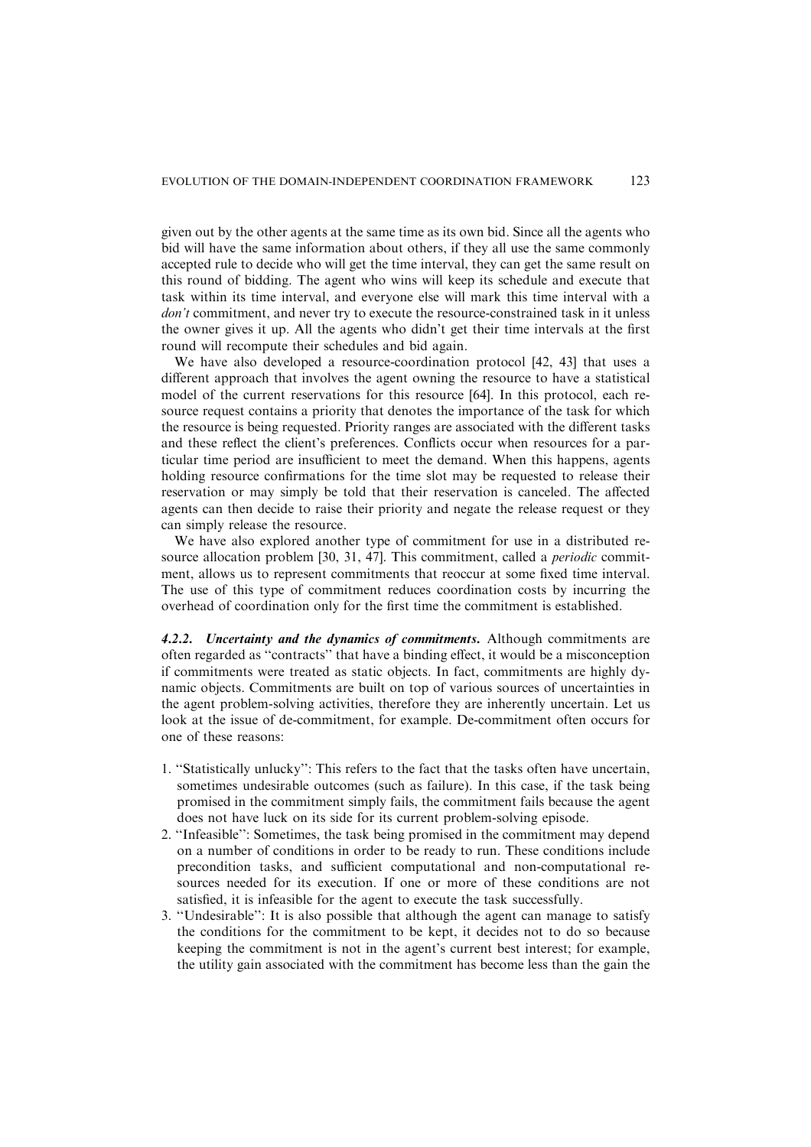given out by the other agents at the same time as its own bid. Since all the agents who bid will have the same information about others, if they all use the same commonly accepted rule to decide who will get the time interval, they can get the same result on this round of bidding. The agent who wins will keep its schedule and execute that task within its time interval, and everyone else will mark this time interval with a don't commitment, and never try to execute the resource-constrained task in it unless the owner gives it up. All the agents who didn't get their time intervals at the first round will recompute their schedules and bid again.

We have also developed a resource-coordination protocol [42, 43] that uses a different approach that involves the agent owning the resource to have a statistical model of the current reservations for this resource [64]. In this protocol, each resource request contains a priority that denotes the importance of the task for which the resource is being requested. Priority ranges are associated with the different tasks and these reflect the client's preferences. Conflicts occur when resources for a particular time period are insufficient to meet the demand. When this happens, agents holding resource confirmations for the time slot may be requested to release their reservation or may simply be told that their reservation is canceled. The affected agents can then decide to raise their priority and negate the release request or they can simply release the resource.

We have also explored another type of commitment for use in a distributed resource allocation problem [30, 31, 47]. This commitment, called a *periodic* commitment, allows us to represent commitments that reoccur at some fixed time interval. The use of this type of commitment reduces coordination costs by incurring the overhead of coordination only for the first time the commitment is established.

4.2.2. Uncertainty and the dynamics of commitments. Although commitments are often regarded as ''contracts'' that have a binding effect, it would be a misconception if commitments were treated as static objects. In fact, commitments are highly dynamic objects. Commitments are built on top of various sources of uncertainties in the agent problem-solving activities, therefore they are inherently uncertain. Let us look at the issue of de-commitment, for example. De-commitment often occurs for one of these reasons:

- 1. ''Statistically unlucky'': This refers to the fact that the tasks often have uncertain, sometimes undesirable outcomes (such as failure). In this case, if the task being promised in the commitment simply fails, the commitment fails because the agent does not have luck on its side for its current problem-solving episode.
- 2. ''Infeasible'': Sometimes, the task being promised in the commitment may depend on a number of conditions in order to be ready to run. These conditions include precondition tasks, and sufficient computational and non-computational resources needed for its execution. If one or more of these conditions are not satisfied, it is infeasible for the agent to execute the task successfully.
- 3. ''Undesirable'': It is also possible that although the agent can manage to satisfy the conditions for the commitment to be kept, it decides not to do so because keeping the commitment is not in the agent's current best interest; for example, the utility gain associated with the commitment has become less than the gain the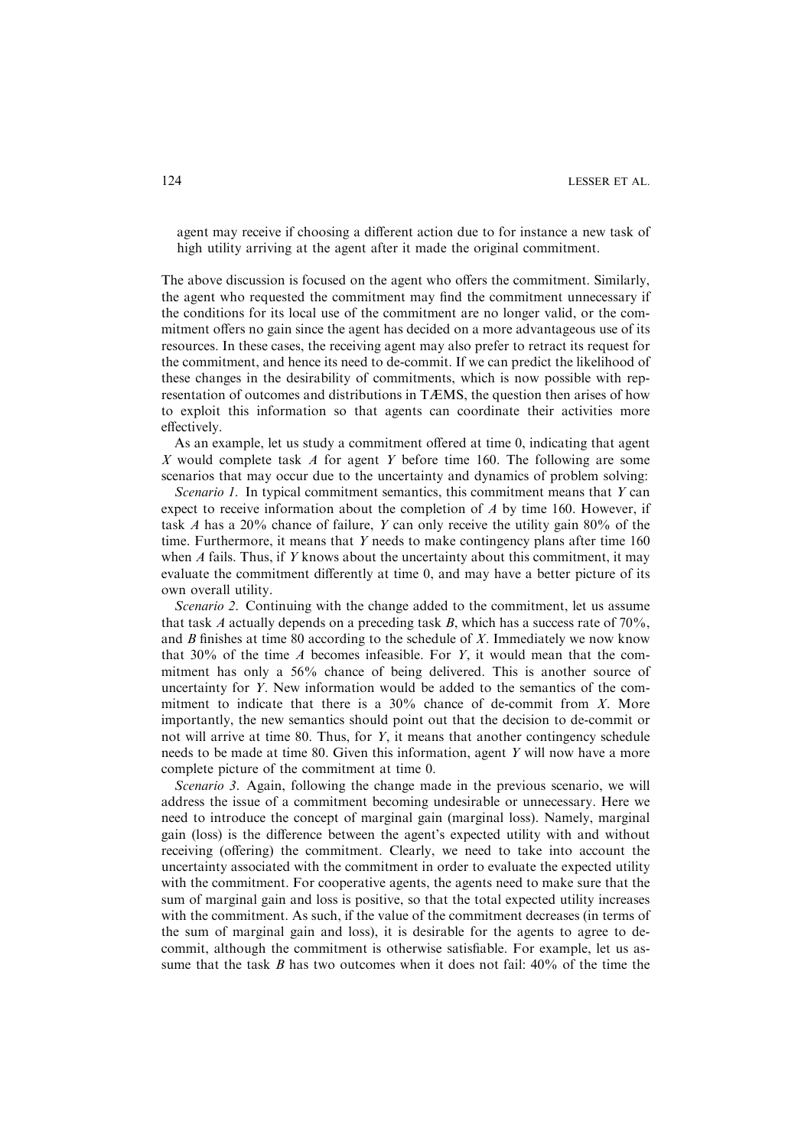agent may receive if choosing a different action due to for instance a new task of high utility arriving at the agent after it made the original commitment.

The above discussion is focused on the agent who offers the commitment. Similarly, the agent who requested the commitment may find the commitment unnecessary if the conditions for its local use of the commitment are no longer valid, or the commitment offers no gain since the agent has decided on a more advantageous use of its resources. In these cases, the receiving agent may also prefer to retract its request for the commitment, and hence its need to de-commit. If we can predict the likelihood of these changes in the desirability of commitments, which is now possible with representation of outcomes and distributions in TÆMS, the question then arises of how to exploit this information so that agents can coordinate their activities more effectively.

As an example, let us study a commitment offered at time 0, indicating that agent X would complete task A for agent Y before time 160. The following are some scenarios that may occur due to the uncertainty and dynamics of problem solving:

Scenario 1. In typical commitment semantics, this commitment means that Y can expect to receive information about the completion of  $A$  by time 160. However, if task A has a 20% chance of failure, Y can only receive the utility gain 80% of the time. Furthermore, it means that Y needs to make contingency plans after time 160 when  $\vec{A}$  fails. Thus, if  $\vec{Y}$  knows about the uncertainty about this commitment, it may evaluate the commitment differently at time 0, and may have a better picture of its own overall utility.

Scenario 2. Continuing with the change added to the commitment, let us assume that task A actually depends on a preceding task B, which has a success rate of  $70\%$ . and B finishes at time 80 according to the schedule of X. Immediately we now know that  $30\%$  of the time A becomes infeasible. For Y, it would mean that the commitment has only a 56% chance of being delivered. This is another source of uncertainty for Y. New information would be added to the semantics of the commitment to indicate that there is a  $30\%$  chance of de-commit from X. More importantly, the new semantics should point out that the decision to de-commit or not will arrive at time 80. Thus, for Y, it means that another contingency schedule needs to be made at time 80. Given this information, agent Y will now have a more complete picture of the commitment at time 0.

Scenario 3. Again, following the change made in the previous scenario, we will address the issue of a commitment becoming undesirable or unnecessary. Here we need to introduce the concept of marginal gain (marginal loss). Namely, marginal gain (loss) is the difference between the agent's expected utility with and without receiving (offering) the commitment. Clearly, we need to take into account the uncertainty associated with the commitment in order to evaluate the expected utility with the commitment. For cooperative agents, the agents need to make sure that the sum of marginal gain and loss is positive, so that the total expected utility increases with the commitment. As such, if the value of the commitment decreases (in terms of the sum of marginal gain and loss), it is desirable for the agents to agree to decommit, although the commitment is otherwise satisfiable. For example, let us assume that the task B has two outcomes when it does not fail:  $40\%$  of the time the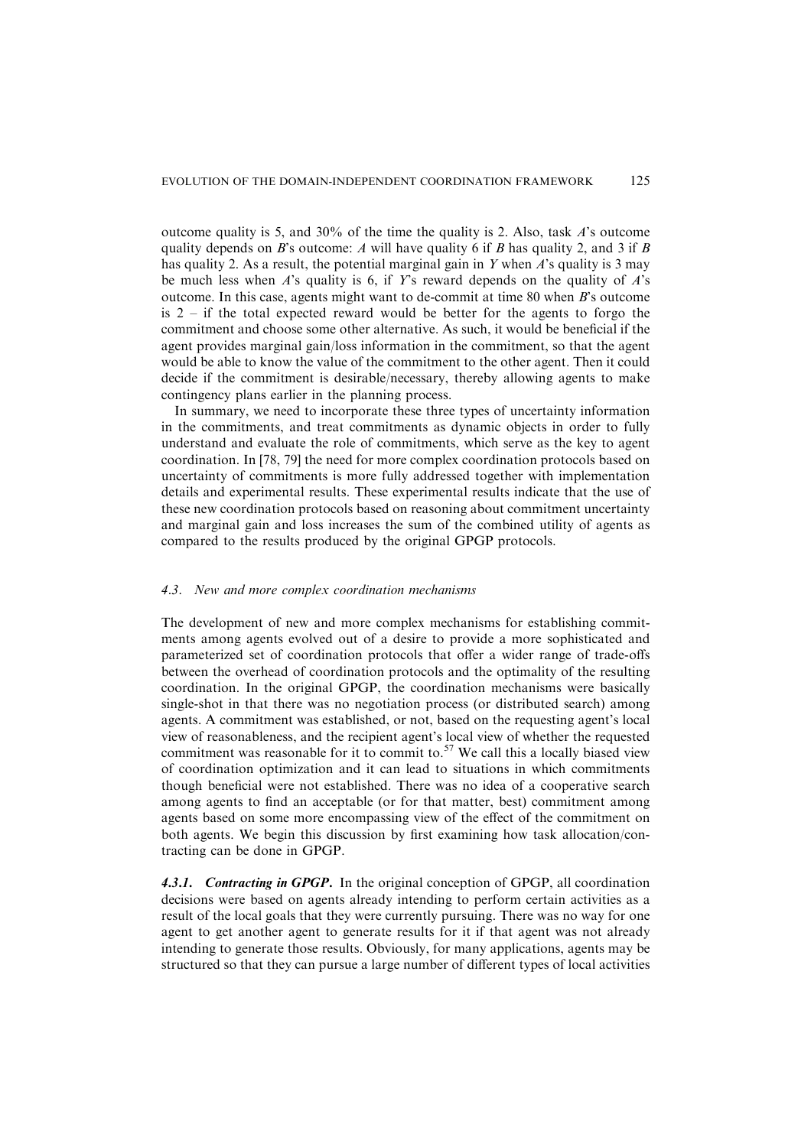outcome quality is 5, and 30% of the time the quality is 2. Also, task A's outcome quality depends on B's outcome: A will have quality 6 if B has quality 2, and 3 if B has quality 2. As a result, the potential marginal gain in Y when  $A$ 's quality is 3 may be much less when  $A$ 's quality is 6, if  $Y$ 's reward depends on the quality of  $A$ 's outcome. In this case, agents might want to de-commit at time  $80$  when  $B$ 's outcome is  $2 - if$  the total expected reward would be better for the agents to forgo the commitment and choose some other alternative. As such, it would be beneficial if the agent provides marginal gain/loss information in the commitment, so that the agent would be able to know the value of the commitment to the other agent. Then it could decide if the commitment is desirable/necessary, thereby allowing agents to make contingency plans earlier in the planning process.

In summary, we need to incorporate these three types of uncertainty information in the commitments, and treat commitments as dynamic objects in order to fully understand and evaluate the role of commitments, which serve as the key to agent coordination. In [78, 79] the need for more complex coordination protocols based on uncertainty of commitments is more fully addressed together with implementation details and experimental results. These experimental results indicate that the use of these new coordination protocols based on reasoning about commitment uncertainty and marginal gain and loss increases the sum of the combined utility of agents as compared to the results produced by the original GPGP protocols.

# 4.3. New and more complex coordination mechanisms

The development of new and more complex mechanisms for establishing commitments among agents evolved out of a desire to provide a more sophisticated and parameterized set of coordination protocols that offer a wider range of trade-offs between the overhead of coordination protocols and the optimality of the resulting coordination. In the original GPGP, the coordination mechanisms were basically single-shot in that there was no negotiation process (or distributed search) among agents. A commitment was established, or not, based on the requesting agent's local view of reasonableness, and the recipient agent's local view of whether the requested commitment was reasonable for it to commit to.<sup>57</sup> We call this a locally biased view of coordination optimization and it can lead to situations in which commitments though beneficial were not established. There was no idea of a cooperative search among agents to find an acceptable (or for that matter, best) commitment among agents based on some more encompassing view of the effect of the commitment on both agents. We begin this discussion by first examining how task allocation/contracting can be done in GPGP.

4.3.1. Contracting in GPGP. In the original conception of GPGP, all coordination decisions were based on agents already intending to perform certain activities as a result of the local goals that they were currently pursuing. There was no way for one agent to get another agent to generate results for it if that agent was not already intending to generate those results. Obviously, for many applications, agents may be structured so that they can pursue a large number of different types of local activities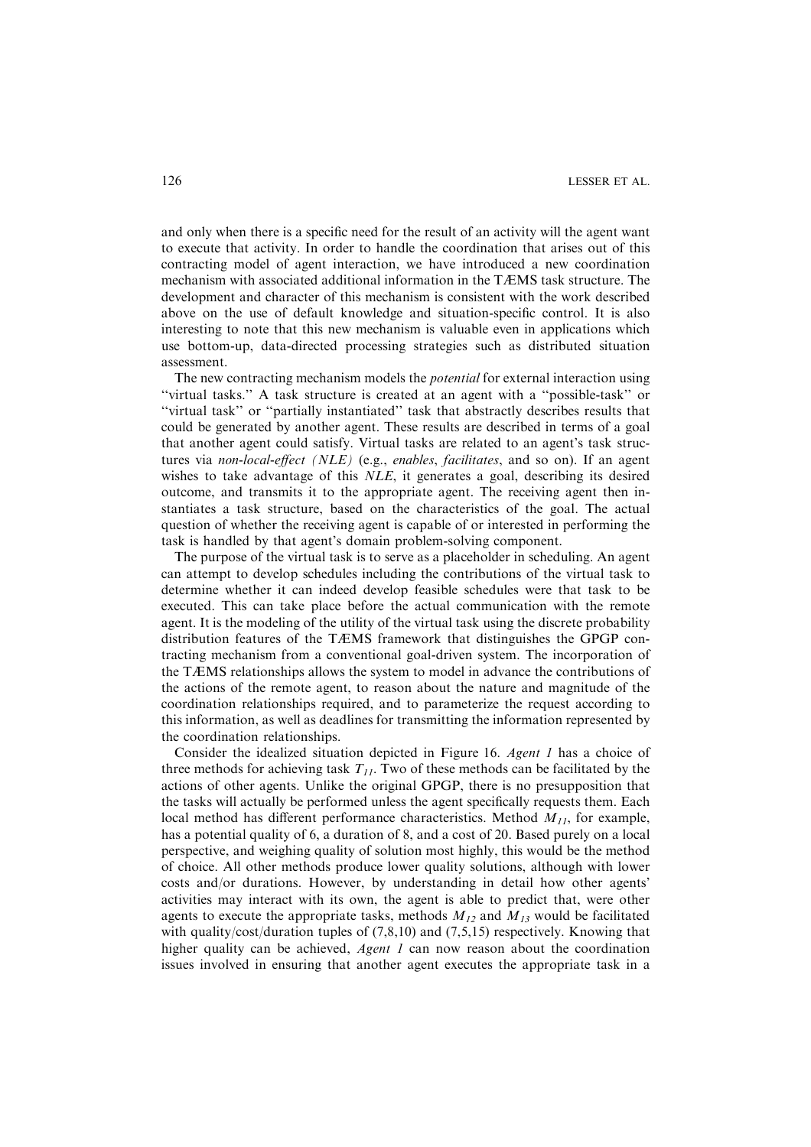and only when there is a specific need for the result of an activity will the agent want to execute that activity. In order to handle the coordination that arises out of this contracting model of agent interaction, we have introduced a new coordination mechanism with associated additional information in the TÆMS task structure. The development and character of this mechanism is consistent with the work described above on the use of default knowledge and situation-specific control. It is also interesting to note that this new mechanism is valuable even in applications which use bottom-up, data-directed processing strategies such as distributed situation assessment.

The new contracting mechanism models the *potential* for external interaction using ''virtual tasks.'' A task structure is created at an agent with a ''possible-task'' or ''virtual task'' or ''partially instantiated'' task that abstractly describes results that could be generated by another agent. These results are described in terms of a goal that another agent could satisfy. Virtual tasks are related to an agent's task structures via non-local-effect (NLE) (e.g., enables, facilitates, and so on). If an agent wishes to take advantage of this NLE, it generates a goal, describing its desired outcome, and transmits it to the appropriate agent. The receiving agent then instantiates a task structure, based on the characteristics of the goal. The actual question of whether the receiving agent is capable of or interested in performing the task is handled by that agent's domain problem-solving component.

The purpose of the virtual task is to serve as a placeholder in scheduling. An agent can attempt to develop schedules including the contributions of the virtual task to determine whether it can indeed develop feasible schedules were that task to be executed. This can take place before the actual communication with the remote agent. It is the modeling of the utility of the virtual task using the discrete probability distribution features of the TÆMS framework that distinguishes the GPGP contracting mechanism from a conventional goal-driven system. The incorporation of the TÆMS relationships allows the system to model in advance the contributions of the actions of the remote agent, to reason about the nature and magnitude of the coordination relationships required, and to parameterize the request according to this information, as well as deadlines for transmitting the information represented by the coordination relationships.

Consider the idealized situation depicted in Figure 16. Agent 1 has a choice of three methods for achieving task  $T_{11}$ . Two of these methods can be facilitated by the actions of other agents. Unlike the original GPGP, there is no presupposition that the tasks will actually be performed unless the agent specifically requests them. Each local method has different performance characteristics. Method  $M_{11}$ , for example, has a potential quality of 6, a duration of 8, and a cost of 20. Based purely on a local perspective, and weighing quality of solution most highly, this would be the method of choice. All other methods produce lower quality solutions, although with lower costs and/or durations. However, by understanding in detail how other agents' activities may interact with its own, the agent is able to predict that, were other agents to execute the appropriate tasks, methods  $M_{12}$  and  $M_{13}$  would be facilitated with quality/ $\text{cost/duration tuples of } (7,8,10)$  and  $(7,5,15)$  respectively. Knowing that higher quality can be achieved,  $Agent\,I$  can now reason about the coordination issues involved in ensuring that another agent executes the appropriate task in a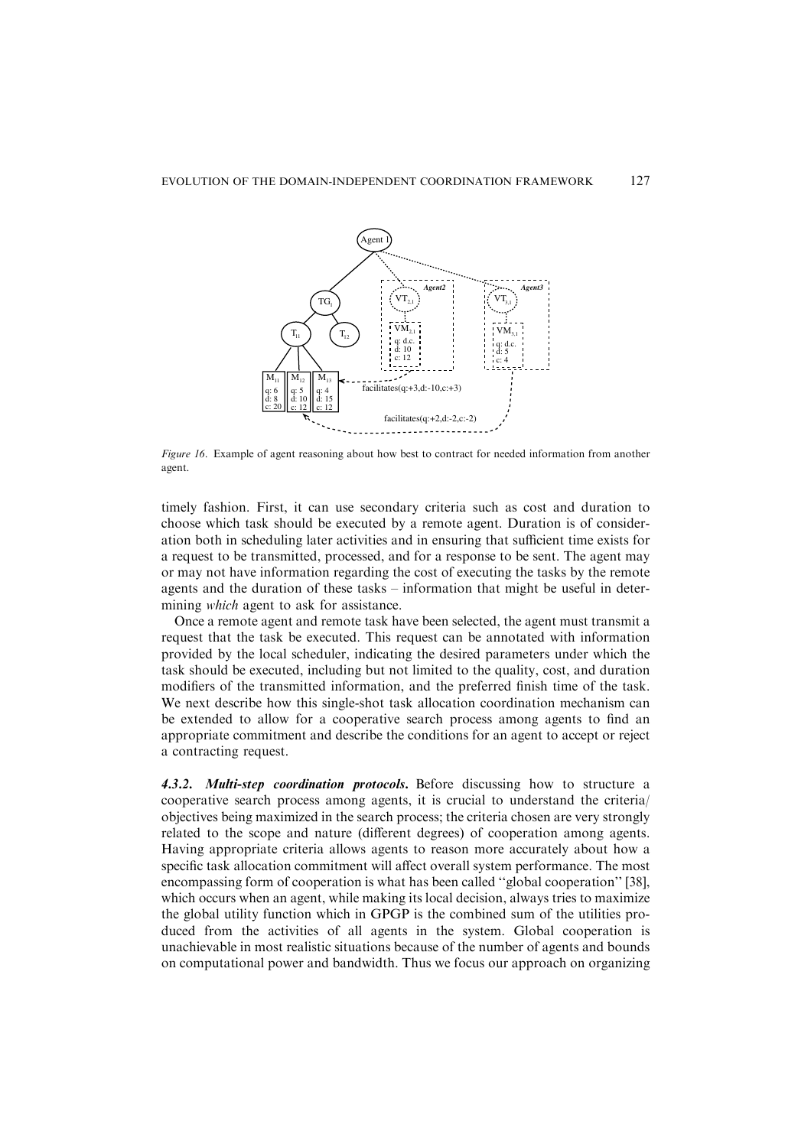

Figure 16. Example of agent reasoning about how best to contract for needed information from another agent.

timely fashion. First, it can use secondary criteria such as cost and duration to choose which task should be executed by a remote agent. Duration is of consideration both in scheduling later activities and in ensuring that sufficient time exists for a request to be transmitted, processed, and for a response to be sent. The agent may or may not have information regarding the cost of executing the tasks by the remote agents and the duration of these tasks – information that might be useful in determining *which* agent to ask for assistance.

Once a remote agent and remote task have been selected, the agent must transmit a request that the task be executed. This request can be annotated with information provided by the local scheduler, indicating the desired parameters under which the task should be executed, including but not limited to the quality, cost, and duration modifiers of the transmitted information, and the preferred finish time of the task. We next describe how this single-shot task allocation coordination mechanism can be extended to allow for a cooperative search process among agents to find an appropriate commitment and describe the conditions for an agent to accept or reject a contracting request.

4.3.2. Multi-step coordination protocols. Before discussing how to structure a cooperative search process among agents, it is crucial to understand the criteria/ objectives being maximized in the search process; the criteria chosen are very strongly related to the scope and nature (different degrees) of cooperation among agents. Having appropriate criteria allows agents to reason more accurately about how a specific task allocation commitment will affect overall system performance. The most encompassing form of cooperation is what has been called ''global cooperation'' [38], which occurs when an agent, while making its local decision, always tries to maximize the global utility function which in GPGP is the combined sum of the utilities produced from the activities of all agents in the system. Global cooperation is unachievable in most realistic situations because of the number of agents and bounds on computational power and bandwidth. Thus we focus our approach on organizing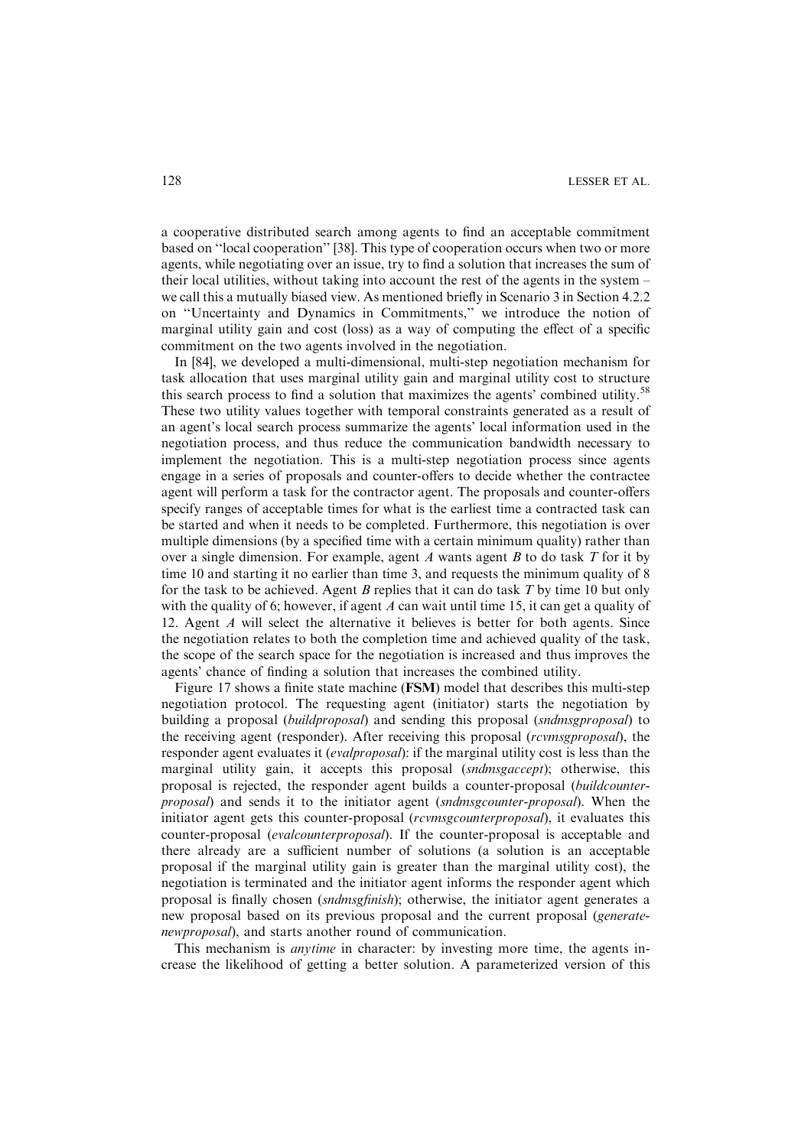a cooperative distributed search among agents to find an acceptable commitment based on ''local cooperation'' [38]. This type of cooperation occurs when two or more agents, while negotiating over an issue, try to find a solution that increases the sum of their local utilities, without taking into account the rest of the agents in the system – we call this a mutually biased view. As mentioned briefly in Scenario 3 in Section 4.2.2 on ''Uncertainty and Dynamics in Commitments,'' we introduce the notion of marginal utility gain and cost (loss) as a way of computing the effect of a specific commitment on the two agents involved in the negotiation.

In [84], we developed a multi-dimensional, multi-step negotiation mechanism for task allocation that uses marginal utility gain and marginal utility cost to structure this search process to find a solution that maximizes the agents' combined utility.<sup>58</sup> These two utility values together with temporal constraints generated as a result of an agent's local search process summarize the agents' local information used in the negotiation process, and thus reduce the communication bandwidth necessary to implement the negotiation. This is a multi-step negotiation process since agents engage in a series of proposals and counter-offers to decide whether the contractee agent will perform a task for the contractor agent. The proposals and counter-offers specify ranges of acceptable times for what is the earliest time a contracted task can be started and when it needs to be completed. Furthermore, this negotiation is over multiple dimensions (by a specified time with a certain minimum quality) rather than over a single dimension. For example, agent A wants agent B to do task T for it by time 10 and starting it no earlier than time 3, and requests the minimum quality of 8 for the task to be achieved. Agent  $B$  replies that it can do task  $T$  by time 10 but only with the quality of 6; however, if agent  $A$  can wait until time 15, it can get a quality of 12. Agent A will select the alternative it believes is better for both agents. Since the negotiation relates to both the completion time and achieved quality of the task, the scope of the search space for the negotiation is increased and thus improves the agents' chance of finding a solution that increases the combined utility.

Figure 17 shows a finite state machine (FSM) model that describes this multi-step negotiation protocol. The requesting agent (initiator) starts the negotiation by building a proposal (buildproposal) and sending this proposal (sndmsgproposal) to the receiving agent (responder). After receiving this proposal (rcvmsgproposal), the responder agent evaluates it (evalproposal): if the marginal utility cost is less than the marginal utility gain, it accepts this proposal (sndmsgaccept); otherwise, this proposal is rejected, the responder agent builds a counter-proposal (buildcounterproposal) and sends it to the initiator agent (sndmsgcounter-proposal). When the initiator agent gets this counter-proposal *(rcvmsgcounterproposal)*, it evaluates this counter-proposal (evalcounterproposal). If the counter-proposal is acceptable and there already are a sufficient number of solutions (a solution is an acceptable proposal if the marginal utility gain is greater than the marginal utility cost), the negotiation is terminated and the initiator agent informs the responder agent which proposal is finally chosen (sndmsgfinish); otherwise, the initiator agent generates a new proposal based on its previous proposal and the current proposal (generatenewproposal), and starts another round of communication.

This mechanism is anytime in character: by investing more time, the agents increase the likelihood of getting a better solution. A parameterized version of this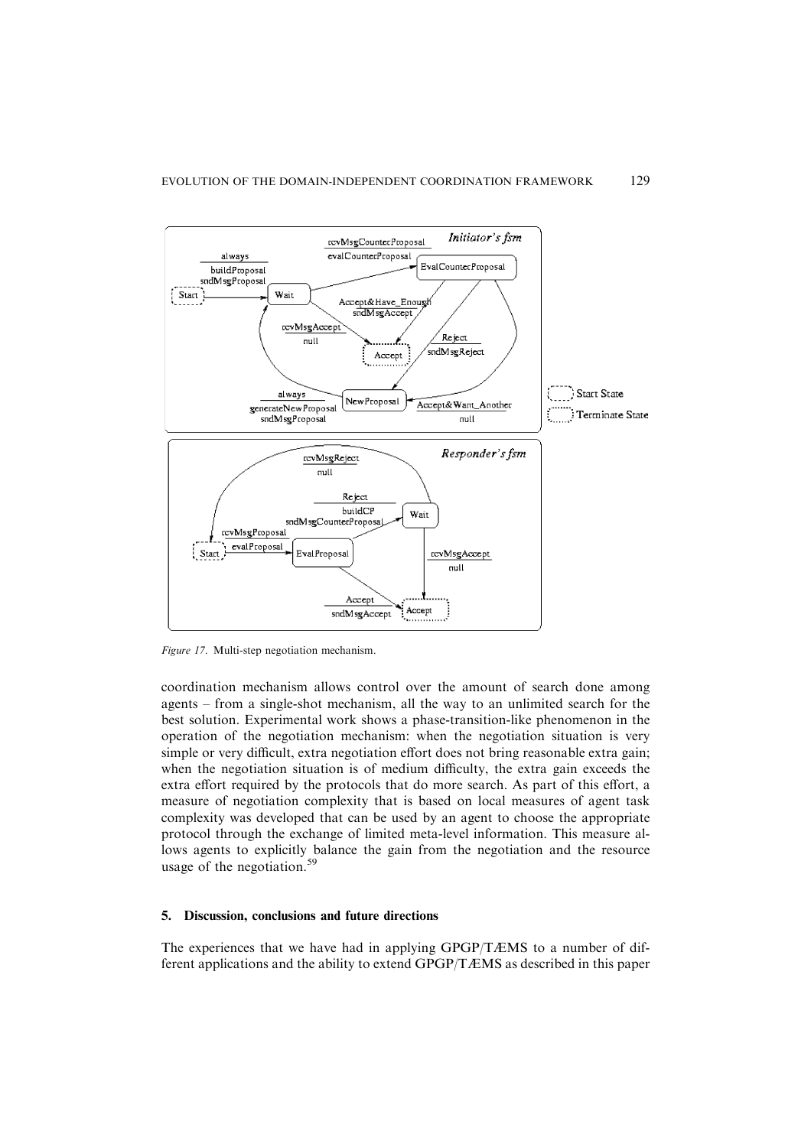

Figure 17. Multi-step negotiation mechanism.

coordination mechanism allows control over the amount of search done among agents – from a single-shot mechanism, all the way to an unlimited search for the best solution. Experimental work shows a phase-transition-like phenomenon in the operation of the negotiation mechanism: when the negotiation situation is very simple or very difficult, extra negotiation effort does not bring reasonable extra gain; when the negotiation situation is of medium difficulty, the extra gain exceeds the extra effort required by the protocols that do more search. As part of this effort, a measure of negotiation complexity that is based on local measures of agent task complexity was developed that can be used by an agent to choose the appropriate protocol through the exchange of limited meta-level information. This measure allows agents to explicitly balance the gain from the negotiation and the resource usage of the negotiation.<sup>59</sup>

# 5. Discussion, conclusions and future directions

The experiences that we have had in applying GPGP/TÆMS to a number of different applications and the ability to extend GPGP/TÆMS as described in this paper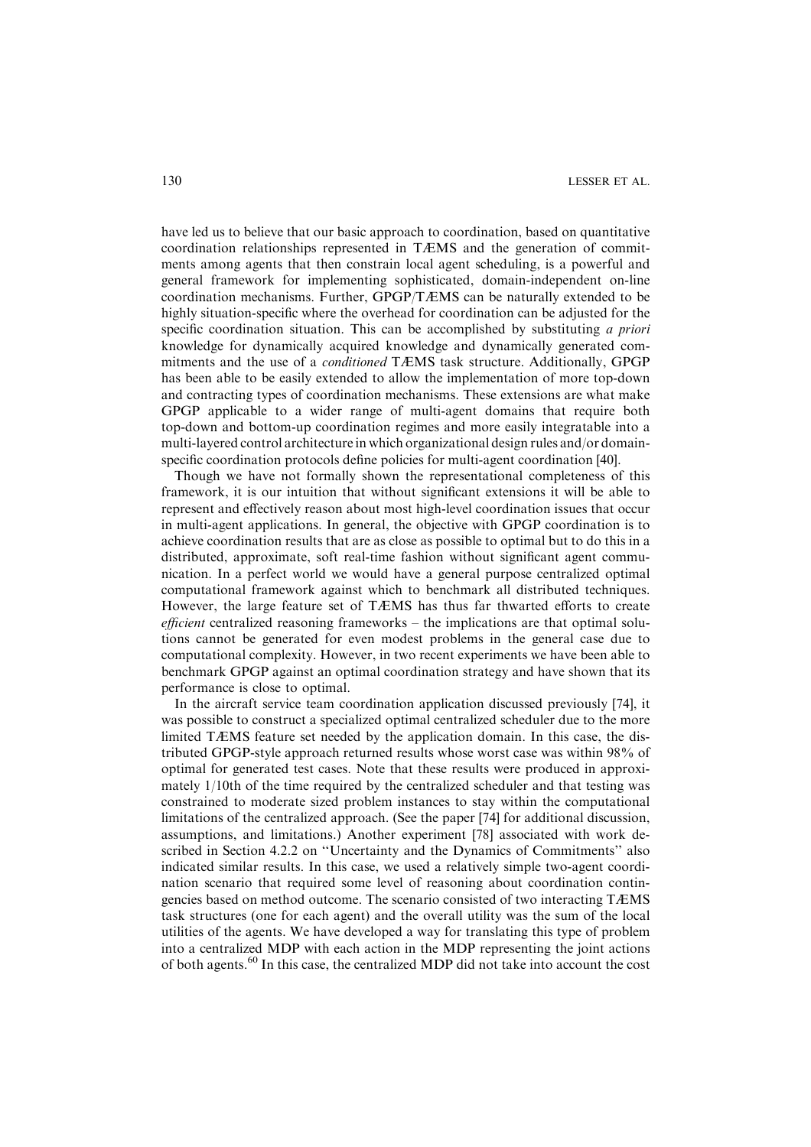have led us to believe that our basic approach to coordination, based on quantitative coordination relationships represented in TÆMS and the generation of commitments among agents that then constrain local agent scheduling, is a powerful and general framework for implementing sophisticated, domain-independent on-line coordination mechanisms. Further, GPGP/TÆMS can be naturally extended to be highly situation-specific where the overhead for coordination can be adjusted for the specific coordination situation. This can be accomplished by substituting a priori knowledge for dynamically acquired knowledge and dynamically generated commitments and the use of a conditioned TÆMS task structure. Additionally, GPGP has been able to be easily extended to allow the implementation of more top-down and contracting types of coordination mechanisms. These extensions are what make GPGP applicable to a wider range of multi-agent domains that require both top-down and bottom-up coordination regimes and more easily integratable into a multi-layered control architecture in which organizational design rules and/or domainspecific coordination protocols define policies for multi-agent coordination [40].

Though we have not formally shown the representational completeness of this framework, it is our intuition that without significant extensions it will be able to represent and effectively reason about most high-level coordination issues that occur in multi-agent applications. In general, the objective with GPGP coordination is to achieve coordination results that are as close as possible to optimal but to do this in a distributed, approximate, soft real-time fashion without significant agent communication. In a perfect world we would have a general purpose centralized optimal computational framework against which to benchmark all distributed techniques. However, the large feature set of TÆMS has thus far thwarted efforts to create efficient centralized reasoning frameworks – the implications are that optimal solutions cannot be generated for even modest problems in the general case due to computational complexity. However, in two recent experiments we have been able to benchmark GPGP against an optimal coordination strategy and have shown that its performance is close to optimal.

In the aircraft service team coordination application discussed previously [74], it was possible to construct a specialized optimal centralized scheduler due to the more limited TÆMS feature set needed by the application domain. In this case, the distributed GPGP-style approach returned results whose worst case was within 98% of optimal for generated test cases. Note that these results were produced in approximately 1/10th of the time required by the centralized scheduler and that testing was constrained to moderate sized problem instances to stay within the computational limitations of the centralized approach. (See the paper [74] for additional discussion, assumptions, and limitations.) Another experiment [78] associated with work described in Section 4.2.2 on ''Uncertainty and the Dynamics of Commitments'' also indicated similar results. In this case, we used a relatively simple two-agent coordination scenario that required some level of reasoning about coordination contingencies based on method outcome. The scenario consisted of two interacting TÆMS task structures (one for each agent) and the overall utility was the sum of the local utilities of the agents. We have developed a way for translating this type of problem into a centralized MDP with each action in the MDP representing the joint actions of both agents.<sup>60</sup> In this case, the centralized MDP did not take into account the cost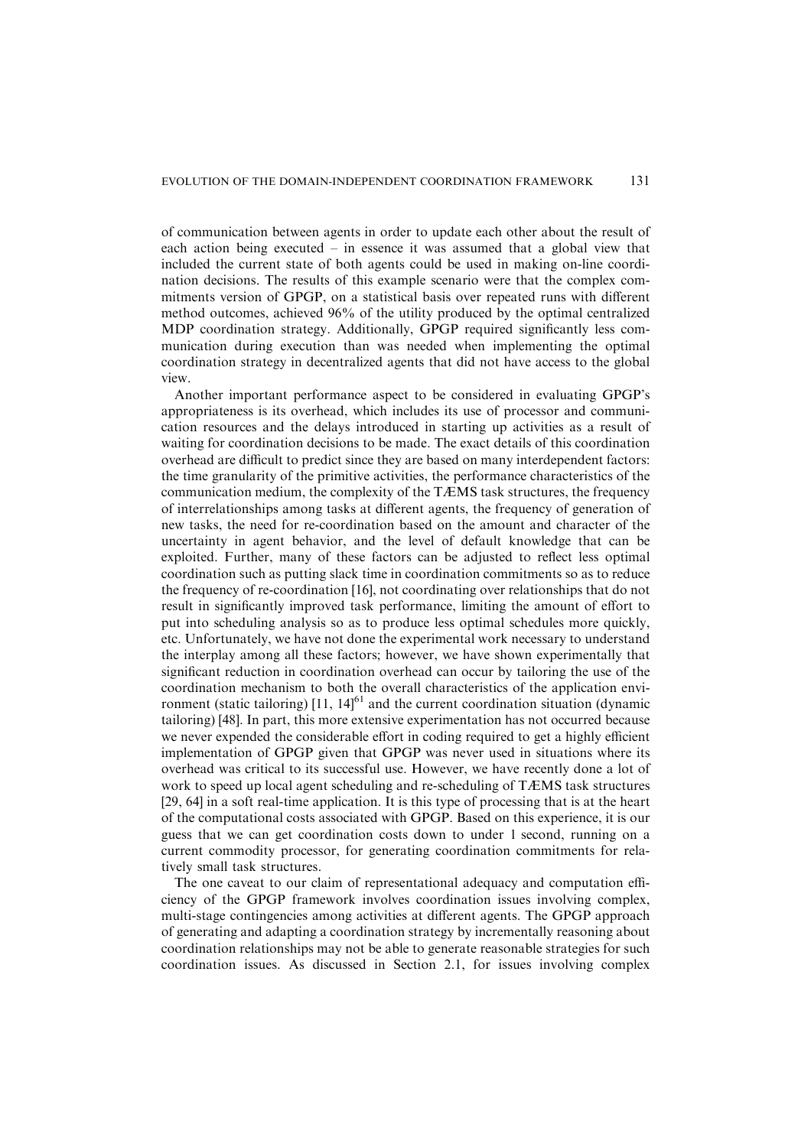of communication between agents in order to update each other about the result of each action being executed – in essence it was assumed that a global view that included the current state of both agents could be used in making on-line coordination decisions. The results of this example scenario were that the complex commitments version of GPGP, on a statistical basis over repeated runs with different method outcomes, achieved 96% of the utility produced by the optimal centralized MDP coordination strategy. Additionally, GPGP required significantly less communication during execution than was needed when implementing the optimal coordination strategy in decentralized agents that did not have access to the global view.

Another important performance aspect to be considered in evaluating GPGP's appropriateness is its overhead, which includes its use of processor and communication resources and the delays introduced in starting up activities as a result of waiting for coordination decisions to be made. The exact details of this coordination overhead are difficult to predict since they are based on many interdependent factors: the time granularity of the primitive activities, the performance characteristics of the communication medium, the complexity of the TÆMS task structures, the frequency of interrelationships among tasks at different agents, the frequency of generation of new tasks, the need for re-coordination based on the amount and character of the uncertainty in agent behavior, and the level of default knowledge that can be exploited. Further, many of these factors can be adjusted to reflect less optimal coordination such as putting slack time in coordination commitments so as to reduce the frequency of re-coordination [16], not coordinating over relationships that do not result in significantly improved task performance, limiting the amount of effort to put into scheduling analysis so as to produce less optimal schedules more quickly, etc. Unfortunately, we have not done the experimental work necessary to understand the interplay among all these factors; however, we have shown experimentally that significant reduction in coordination overhead can occur by tailoring the use of the coordination mechanism to both the overall characteristics of the application environment (static tailoring)  $[11, 14]^{61}$  and the current coordination situation (dynamic tailoring) [48]. In part, this more extensive experimentation has not occurred because we never expended the considerable effort in coding required to get a highly efficient implementation of GPGP given that GPGP was never used in situations where its overhead was critical to its successful use. However, we have recently done a lot of work to speed up local agent scheduling and re-scheduling of TÆMS task structures [29, 64] in a soft real-time application. It is this type of processing that is at the heart of the computational costs associated with GPGP. Based on this experience, it is our guess that we can get coordination costs down to under 1 second, running on a current commodity processor, for generating coordination commitments for relatively small task structures.

The one caveat to our claim of representational adequacy and computation efficiency of the GPGP framework involves coordination issues involving complex, multi-stage contingencies among activities at different agents. The GPGP approach of generating and adapting a coordination strategy by incrementally reasoning about coordination relationships may not be able to generate reasonable strategies for such coordination issues. As discussed in Section 2.1, for issues involving complex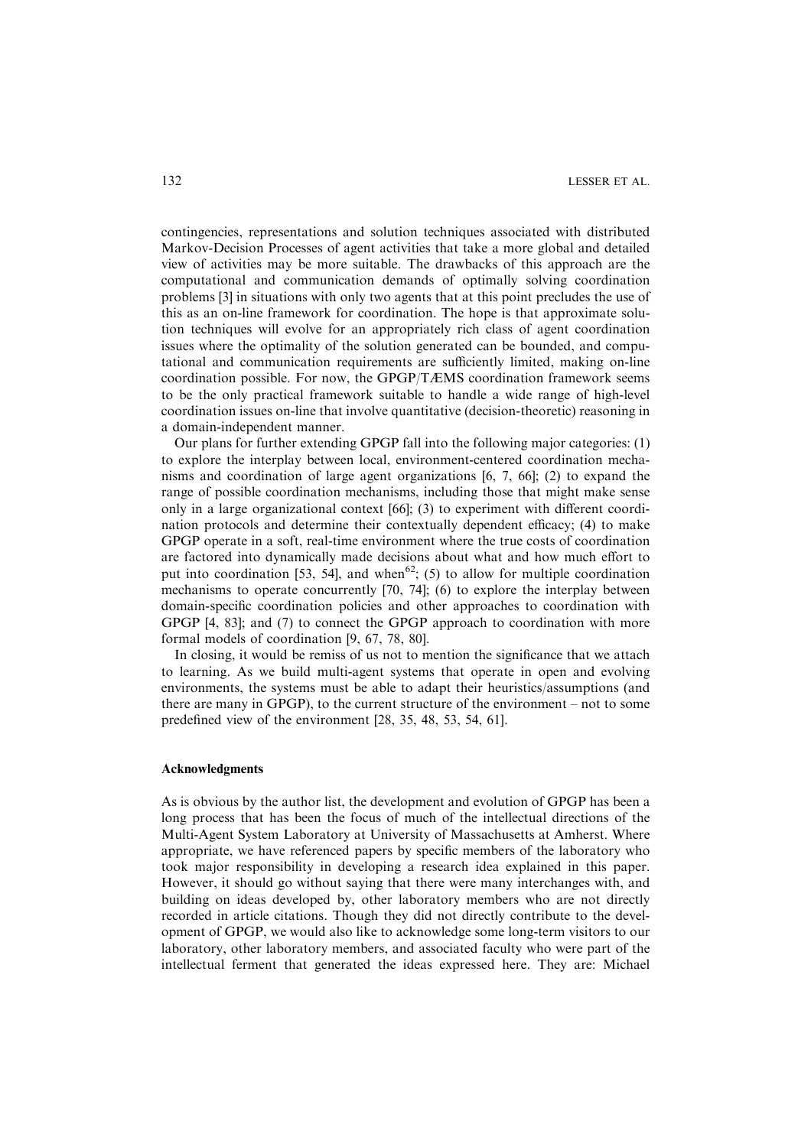contingencies, representations and solution techniques associated with distributed Markov-Decision Processes of agent activities that take a more global and detailed view of activities may be more suitable. The drawbacks of this approach are the computational and communication demands of optimally solving coordination problems [3] in situations with only two agents that at this point precludes the use of this as an on-line framework for coordination. The hope is that approximate solution techniques will evolve for an appropriately rich class of agent coordination issues where the optimality of the solution generated can be bounded, and computational and communication requirements are sufficiently limited, making on-line coordination possible. For now, the GPGP/TÆMS coordination framework seems to be the only practical framework suitable to handle a wide range of high-level coordination issues on-line that involve quantitative (decision-theoretic) reasoning in a domain-independent manner.

Our plans for further extending GPGP fall into the following major categories: (1) to explore the interplay between local, environment-centered coordination mechanisms and coordination of large agent organizations [6, 7, 66]; (2) to expand the range of possible coordination mechanisms, including those that might make sense only in a large organizational context [66]; (3) to experiment with different coordination protocols and determine their contextually dependent efficacy; (4) to make GPGP operate in a soft, real-time environment where the true costs of coordination are factored into dynamically made decisions about what and how much effort to put into coordination [53, 54], and when<sup>62</sup>; (5) to allow for multiple coordination mechanisms to operate concurrently [70, 74]; (6) to explore the interplay between domain-specific coordination policies and other approaches to coordination with GPGP [4, 83]; and (7) to connect the GPGP approach to coordination with more formal models of coordination [9, 67, 78, 80].

In closing, it would be remiss of us not to mention the significance that we attach to learning. As we build multi-agent systems that operate in open and evolving environments, the systems must be able to adapt their heuristics/assumptions (and there are many in GPGP), to the current structure of the environment – not to some predefined view of the environment [28, 35, 48, 53, 54, 61].

# Acknowledgments

As is obvious by the author list, the development and evolution of GPGP has been a long process that has been the focus of much of the intellectual directions of the Multi-Agent System Laboratory at University of Massachusetts at Amherst. Where appropriate, we have referenced papers by specific members of the laboratory who took major responsibility in developing a research idea explained in this paper. However, it should go without saying that there were many interchanges with, and building on ideas developed by, other laboratory members who are not directly recorded in article citations. Though they did not directly contribute to the development of GPGP, we would also like to acknowledge some long-term visitors to our laboratory, other laboratory members, and associated faculty who were part of the intellectual ferment that generated the ideas expressed here. They are: Michael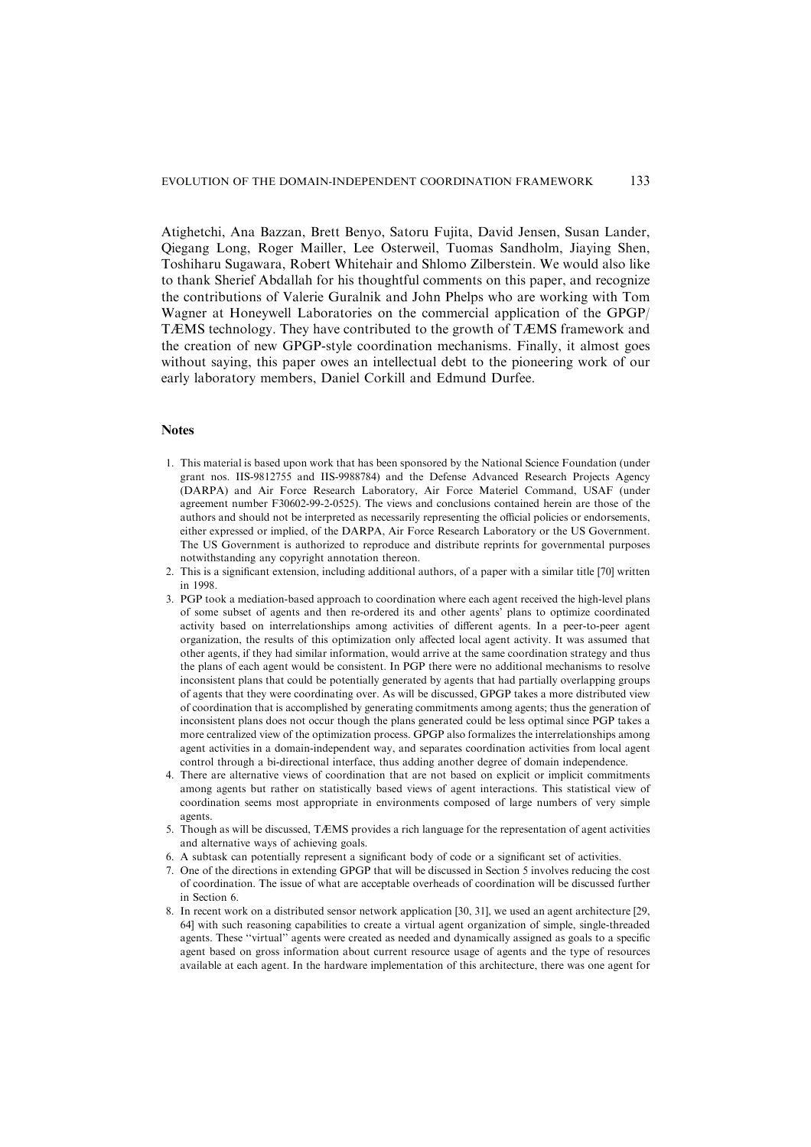Atighetchi, Ana Bazzan, Brett Benyo, Satoru Fujita, David Jensen, Susan Lander, Qiegang Long, Roger Mailler, Lee Osterweil, Tuomas Sandholm, Jiaying Shen, Toshiharu Sugawara, Robert Whitehair and Shlomo Zilberstein. We would also like to thank Sherief Abdallah for his thoughtful comments on this paper, and recognize the contributions of Valerie Guralnik and John Phelps who are working with Tom Wagner at Honeywell Laboratories on the commercial application of the GPGP/ TÆMS technology. They have contributed to the growth of TÆMS framework and the creation of new GPGP-style coordination mechanisms. Finally, it almost goes without saying, this paper owes an intellectual debt to the pioneering work of our early laboratory members, Daniel Corkill and Edmund Durfee.

### **Notes**

- 1. This material is based upon work that has been sponsored by the National Science Foundation (under grant nos. IIS-9812755 and IIS-9988784) and the Defense Advanced Research Projects Agency (DARPA) and Air Force Research Laboratory, Air Force Materiel Command, USAF (under agreement number F30602-99-2-0525). The views and conclusions contained herein are those of the authors and should not be interpreted as necessarily representing the official policies or endorsements, either expressed or implied, of the DARPA, Air Force Research Laboratory or the US Government. The US Government is authorized to reproduce and distribute reprints for governmental purposes notwithstanding any copyright annotation thereon.
- 2. This is a significant extension, including additional authors, of a paper with a similar title [70] written in 1998.
- 3. PGP took a mediation-based approach to coordination where each agent received the high-level plans of some subset of agents and then re-ordered its and other agents' plans to optimize coordinated activity based on interrelationships among activities of different agents. In a peer-to-peer agent organization, the results of this optimization only affected local agent activity. It was assumed that other agents, if they had similar information, would arrive at the same coordination strategy and thus the plans of each agent would be consistent. In PGP there were no additional mechanisms to resolve inconsistent plans that could be potentially generated by agents that had partially overlapping groups of agents that they were coordinating over. As will be discussed, GPGP takes a more distributed view of coordination that is accomplished by generating commitments among agents; thus the generation of inconsistent plans does not occur though the plans generated could be less optimal since PGP takes a more centralized view of the optimization process. GPGP also formalizes the interrelationships among agent activities in a domain-independent way, and separates coordination activities from local agent control through a bi-directional interface, thus adding another degree of domain independence.
- 4. There are alternative views of coordination that are not based on explicit or implicit commitments among agents but rather on statistically based views of agent interactions. This statistical view of coordination seems most appropriate in environments composed of large numbers of very simple agents.
- 5. Though as will be discussed, TÆMS provides a rich language for the representation of agent activities and alternative ways of achieving goals.
- 6. A subtask can potentially represent a significant body of code or a significant set of activities.
- 7. One of the directions in extending GPGP that will be discussed in Section 5 involves reducing the cost of coordination. The issue of what are acceptable overheads of coordination will be discussed further in Section 6.
- 8. In recent work on a distributed sensor network application [30, 31], we used an agent architecture [29, 64] with such reasoning capabilities to create a virtual agent organization of simple, single-threaded agents. These ''virtual'' agents were created as needed and dynamically assigned as goals to a specific agent based on gross information about current resource usage of agents and the type of resources available at each agent. In the hardware implementation of this architecture, there was one agent for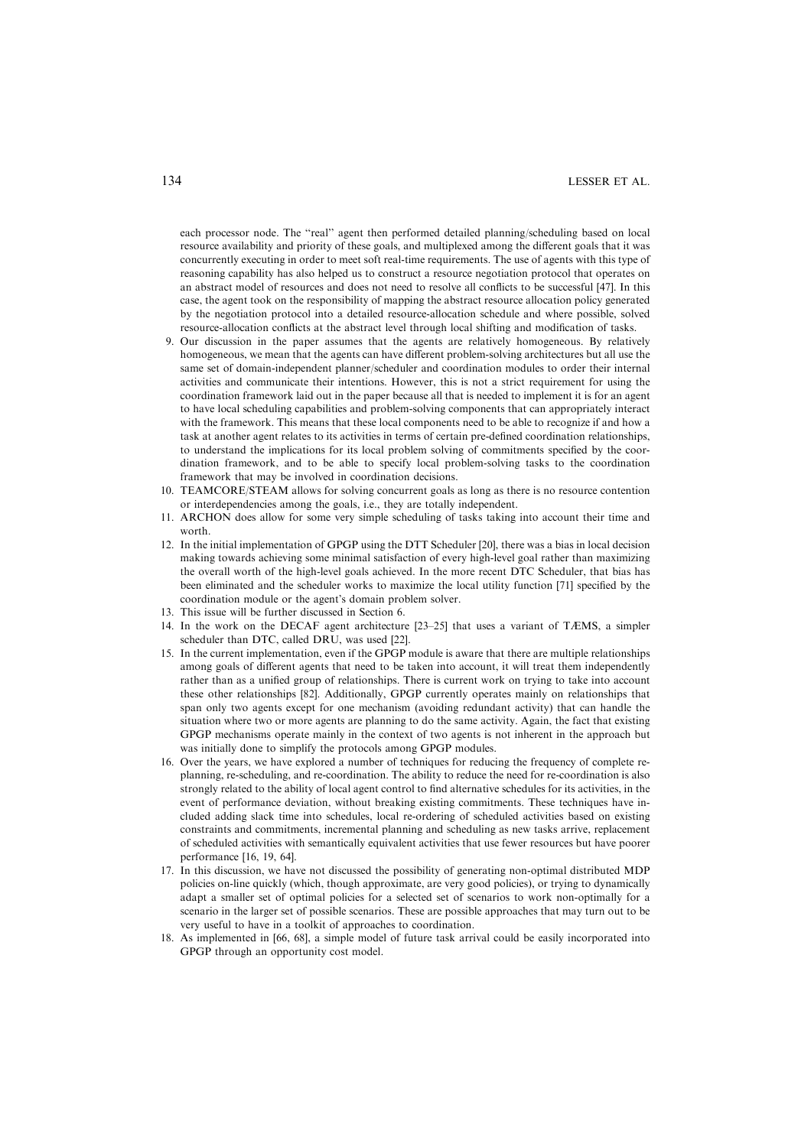each processor node. The ''real'' agent then performed detailed planning/scheduling based on local resource availability and priority of these goals, and multiplexed among the different goals that it was concurrently executing in order to meet soft real-time requirements. The use of agents with this type of reasoning capability has also helped us to construct a resource negotiation protocol that operates on an abstract model of resources and does not need to resolve all conflicts to be successful [47]. In this case, the agent took on the responsibility of mapping the abstract resource allocation policy generated by the negotiation protocol into a detailed resource-allocation schedule and where possible, solved resource-allocation conflicts at the abstract level through local shifting and modification of tasks.

- 9. Our discussion in the paper assumes that the agents are relatively homogeneous. By relatively homogeneous, we mean that the agents can have different problem-solving architectures but all use the same set of domain-independent planner/scheduler and coordination modules to order their internal activities and communicate their intentions. However, this is not a strict requirement for using the coordination framework laid out in the paper because all that is needed to implement it is for an agent to have local scheduling capabilities and problem-solving components that can appropriately interact with the framework. This means that these local components need to be able to recognize if and how a task at another agent relates to its activities in terms of certain pre-defined coordination relationships, to understand the implications for its local problem solving of commitments specified by the coordination framework, and to be able to specify local problem-solving tasks to the coordination framework that may be involved in coordination decisions.
- 10. TEAMCORE/STEAM allows for solving concurrent goals as long as there is no resource contention or interdependencies among the goals, i.e., they are totally independent.
- 11. ARCHON does allow for some very simple scheduling of tasks taking into account their time and worth.
- 12. In the initial implementation of GPGP using the DTT Scheduler [20], there was a bias in local decision making towards achieving some minimal satisfaction of every high-level goal rather than maximizing the overall worth of the high-level goals achieved. In the more recent DTC Scheduler, that bias has been eliminated and the scheduler works to maximize the local utility function [71] specified by the coordination module or the agent's domain problem solver.
- 13. This issue will be further discussed in Section 6.
- 14. In the work on the DECAF agent architecture [23–25] that uses a variant of TÆMS, a simpler scheduler than DTC, called DRU, was used [22].
- 15. In the current implementation, even if the GPGP module is aware that there are multiple relationships among goals of different agents that need to be taken into account, it will treat them independently rather than as a unified group of relationships. There is current work on trying to take into account these other relationships [82]. Additionally, GPGP currently operates mainly on relationships that span only two agents except for one mechanism (avoiding redundant activity) that can handle the situation where two or more agents are planning to do the same activity. Again, the fact that existing GPGP mechanisms operate mainly in the context of two agents is not inherent in the approach but was initially done to simplify the protocols among GPGP modules.
- 16. Over the years, we have explored a number of techniques for reducing the frequency of complete replanning, re-scheduling, and re-coordination. The ability to reduce the need for re-coordination is also strongly related to the ability of local agent control to find alternative schedules for its activities, in the event of performance deviation, without breaking existing commitments. These techniques have included adding slack time into schedules, local re-ordering of scheduled activities based on existing constraints and commitments, incremental planning and scheduling as new tasks arrive, replacement of scheduled activities with semantically equivalent activities that use fewer resources but have poorer performance [16, 19, 64].
- 17. In this discussion, we have not discussed the possibility of generating non-optimal distributed MDP policies on-line quickly (which, though approximate, are very good policies), or trying to dynamically adapt a smaller set of optimal policies for a selected set of scenarios to work non-optimally for a scenario in the larger set of possible scenarios. These are possible approaches that may turn out to be very useful to have in a toolkit of approaches to coordination.
- 18. As implemented in [66, 68], a simple model of future task arrival could be easily incorporated into GPGP through an opportunity cost model.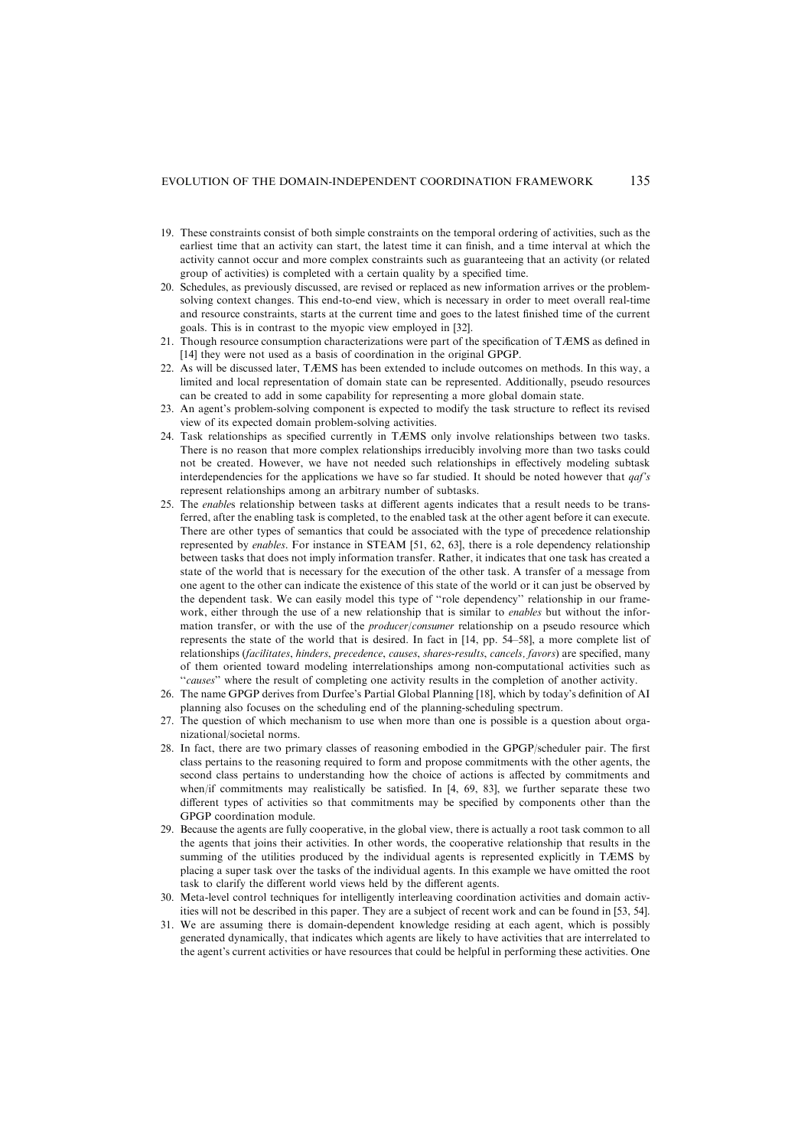- 19. These constraints consist of both simple constraints on the temporal ordering of activities, such as the earliest time that an activity can start, the latest time it can finish, and a time interval at which the activity cannot occur and more complex constraints such as guaranteeing that an activity (or related group of activities) is completed with a certain quality by a specified time.
- 20. Schedules, as previously discussed, are revised or replaced as new information arrives or the problemsolving context changes. This end-to-end view, which is necessary in order to meet overall real-time and resource constraints, starts at the current time and goes to the latest finished time of the current goals. This is in contrast to the myopic view employed in [32].
- 21. Though resource consumption characterizations were part of the specification of TÆMS as defined in [14] they were not used as a basis of coordination in the original GPGP.
- 22. As will be discussed later, TÆMS has been extended to include outcomes on methods. In this way, a limited and local representation of domain state can be represented. Additionally, pseudo resources can be created to add in some capability for representing a more global domain state.
- 23. An agent's problem-solving component is expected to modify the task structure to reflect its revised view of its expected domain problem-solving activities.
- 24. Task relationships as specified currently in TÆMS only involve relationships between two tasks. There is no reason that more complex relationships irreducibly involving more than two tasks could not be created. However, we have not needed such relationships in effectively modeling subtask interdependencies for the applications we have so far studied. It should be noted however that  $qqf$ 's represent relationships among an arbitrary number of subtasks.
- 25. The *enables* relationship between tasks at different agents indicates that a result needs to be transferred, after the enabling task is completed, to the enabled task at the other agent before it can execute. There are other types of semantics that could be associated with the type of precedence relationship represented by enables. For instance in STEAM [51, 62, 63], there is a role dependency relationship between tasks that does not imply information transfer. Rather, it indicates that one task has created a state of the world that is necessary for the execution of the other task. A transfer of a message from one agent to the other can indicate the existence of this state of the world or it can just be observed by the dependent task. We can easily model this type of ''role dependency'' relationship in our framework, either through the use of a new relationship that is similar to *enables* but without the information transfer, or with the use of the *producer/consumer* relationship on a pseudo resource which represents the state of the world that is desired. In fact in [14, pp. 54–58], a more complete list of relationships (facilitates, hinders, precedence, causes, shares-results, cancels, favors) are specified, many of them oriented toward modeling interrelationships among non-computational activities such as 'causes'' where the result of completing one activity results in the completion of another activity.
- 26. The name GPGP derives from Durfee's Partial Global Planning [18], which by today's definition of AI planning also focuses on the scheduling end of the planning-scheduling spectrum.
- 27. The question of which mechanism to use when more than one is possible is a question about organizational/societal norms.
- 28. In fact, there are two primary classes of reasoning embodied in the GPGP/scheduler pair. The first class pertains to the reasoning required to form and propose commitments with the other agents, the second class pertains to understanding how the choice of actions is affected by commitments and when/if commitments may realistically be satisfied. In [4, 69, 83], we further separate these two different types of activities so that commitments may be specified by components other than the GPGP coordination module.
- 29. Because the agents are fully cooperative, in the global view, there is actually a root task common to all the agents that joins their activities. In other words, the cooperative relationship that results in the summing of the utilities produced by the individual agents is represented explicitly in TÆMS by placing a super task over the tasks of the individual agents. In this example we have omitted the root task to clarify the different world views held by the different agents.
- 30. Meta-level control techniques for intelligently interleaving coordination activities and domain activities will not be described in this paper. They are a subject of recent work and can be found in [53, 54].
- 31. We are assuming there is domain-dependent knowledge residing at each agent, which is possibly generated dynamically, that indicates which agents are likely to have activities that are interrelated to the agent's current activities or have resources that could be helpful in performing these activities. One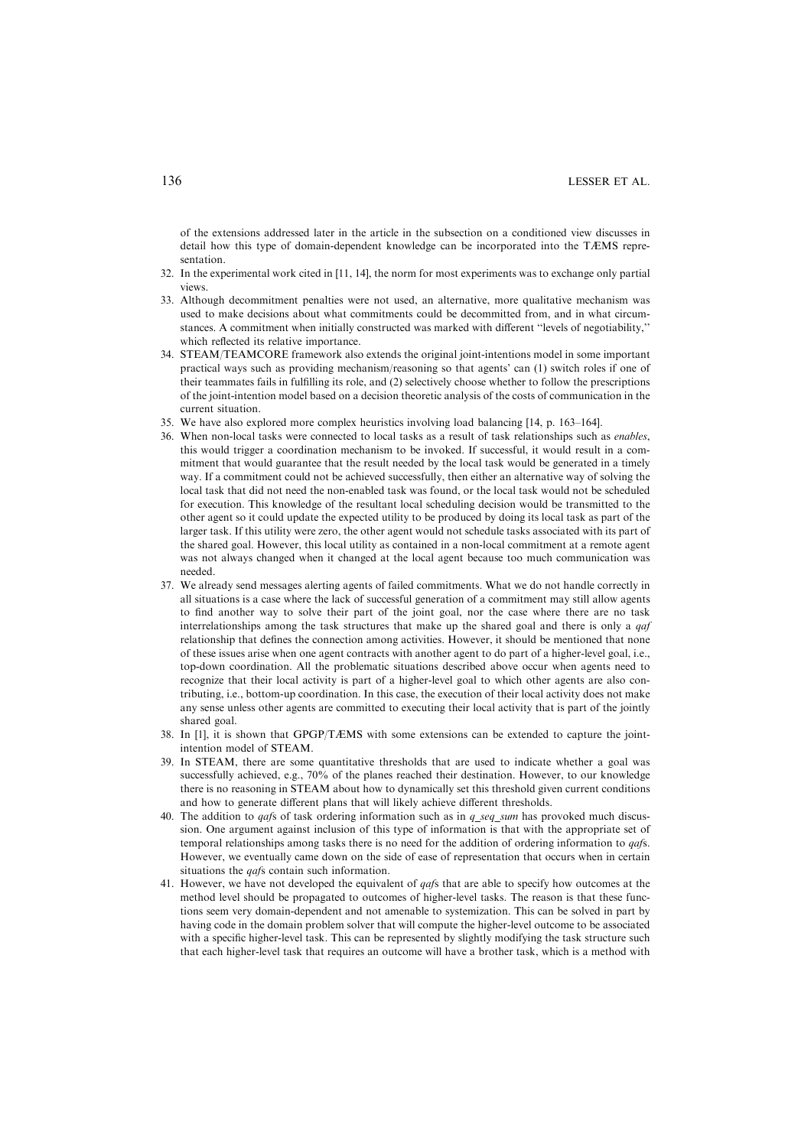of the extensions addressed later in the article in the subsection on a conditioned view discusses in detail how this type of domain-dependent knowledge can be incorporated into the TÆMS representation.

- 32. In the experimental work cited in [11, 14], the norm for most experiments was to exchange only partial views.
- 33. Although decommitment penalties were not used, an alternative, more qualitative mechanism was used to make decisions about what commitments could be decommitted from, and in what circumstances. A commitment when initially constructed was marked with different ''levels of negotiability,'' which reflected its relative importance.
- 34. STEAM/TEAMCORE framework also extends the original joint-intentions model in some important practical ways such as providing mechanism/reasoning so that agents' can (1) switch roles if one of their teammates fails in fulfilling its role, and (2) selectively choose whether to follow the prescriptions of the joint-intention model based on a decision theoretic analysis of the costs of communication in the current situation.
- 35. We have also explored more complex heuristics involving load balancing [14, p. 163–164].
- 36. When non-local tasks were connected to local tasks as a result of task relationships such as enables, this would trigger a coordination mechanism to be invoked. If successful, it would result in a commitment that would guarantee that the result needed by the local task would be generated in a timely way. If a commitment could not be achieved successfully, then either an alternative way of solving the local task that did not need the non-enabled task was found, or the local task would not be scheduled for execution. This knowledge of the resultant local scheduling decision would be transmitted to the other agent so it could update the expected utility to be produced by doing its local task as part of the larger task. If this utility were zero, the other agent would not schedule tasks associated with its part of the shared goal. However, this local utility as contained in a non-local commitment at a remote agent was not always changed when it changed at the local agent because too much communication was needed.
- 37. We already send messages alerting agents of failed commitments. What we do not handle correctly in all situations is a case where the lack of successful generation of a commitment may still allow agents to find another way to solve their part of the joint goal, nor the case where there are no task interrelationships among the task structures that make up the shared goal and there is only a  $qaf$ relationship that defines the connection among activities. However, it should be mentioned that none of these issues arise when one agent contracts with another agent to do part of a higher-level goal, i.e., top-down coordination. All the problematic situations described above occur when agents need to recognize that their local activity is part of a higher-level goal to which other agents are also contributing, i.e., bottom-up coordination. In this case, the execution of their local activity does not make any sense unless other agents are committed to executing their local activity that is part of the jointly shared goal.
- 38. In [1], it is shown that GPGP/TÆMS with some extensions can be extended to capture the jointintention model of STEAM.
- 39. In STEAM, there are some quantitative thresholds that are used to indicate whether a goal was successfully achieved, e.g., 70% of the planes reached their destination. However, to our knowledge there is no reasoning in STEAM about how to dynamically set this threshold given current conditions and how to generate different plans that will likely achieve different thresholds.
- 40. The addition to *qafs* of task ordering information such as in  $q$ -seq\_sum has provoked much discussion. One argument against inclusion of this type of information is that with the appropriate set of temporal relationships among tasks there is no need for the addition of ordering information to qafs. However, we eventually came down on the side of ease of representation that occurs when in certain situations the *qafs* contain such information.
- 41. However, we have not developed the equivalent of *qafs* that are able to specify how outcomes at the method level should be propagated to outcomes of higher-level tasks. The reason is that these functions seem very domain-dependent and not amenable to systemization. This can be solved in part by having code in the domain problem solver that will compute the higher-level outcome to be associated with a specific higher-level task. This can be represented by slightly modifying the task structure such that each higher-level task that requires an outcome will have a brother task, which is a method with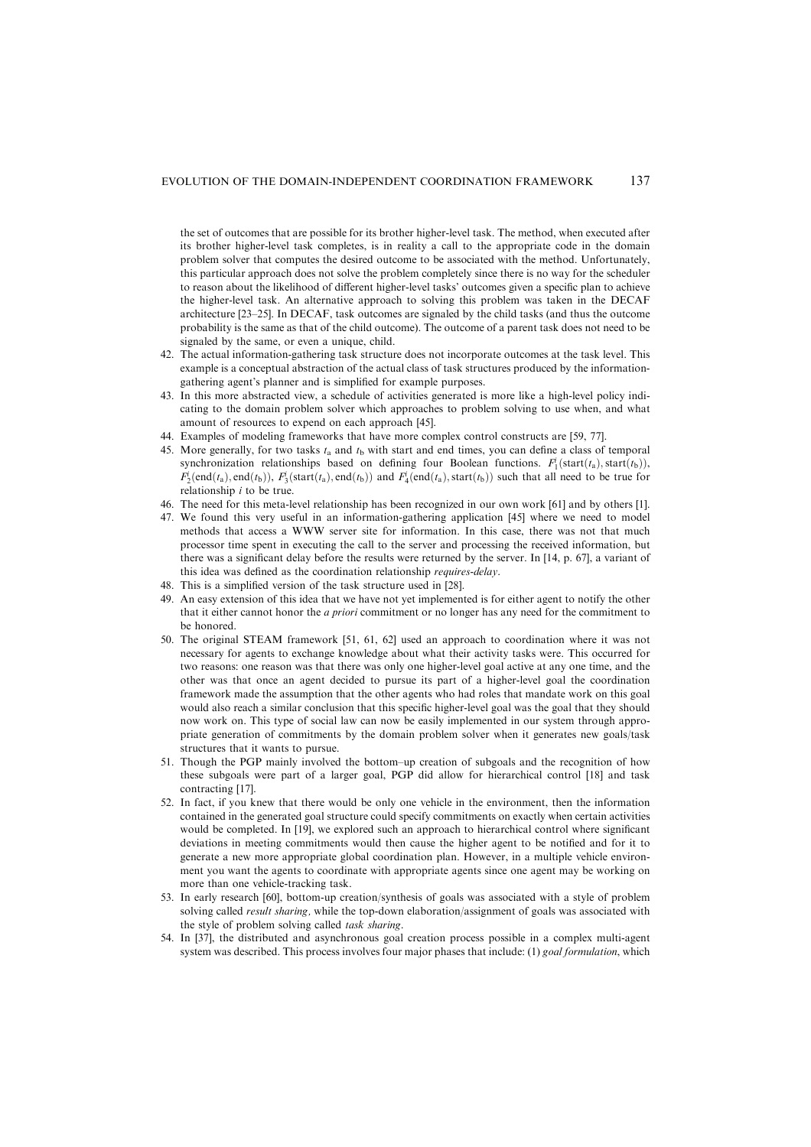the set of outcomes that are possible for its brother higher-level task. The method, when executed after its brother higher-level task completes, is in reality a call to the appropriate code in the domain problem solver that computes the desired outcome to be associated with the method. Unfortunately, this particular approach does not solve the problem completely since there is no way for the scheduler to reason about the likelihood of different higher-level tasks' outcomes given a specific plan to achieve the higher-level task. An alternative approach to solving this problem was taken in the DECAF architecture [23–25]. In DECAF, task outcomes are signaled by the child tasks (and thus the outcome probability is the same as that of the child outcome). The outcome of a parent task does not need to be signaled by the same, or even a unique, child.

- 42. The actual information-gathering task structure does not incorporate outcomes at the task level. This example is a conceptual abstraction of the actual class of task structures produced by the informationgathering agent's planner and is simplified for example purposes.
- 43. In this more abstracted view, a schedule of activities generated is more like a high-level policy indicating to the domain problem solver which approaches to problem solving to use when, and what amount of resources to expend on each approach [45].
- 44. Examples of modeling frameworks that have more complex control constructs are [59, 77].
- 45. More generally, for two tasks  $t_a$  and  $t_b$  with start and end times, you can define a class of temporal synchronization relationships based on defining four Boolean functions.  $F_1$ (start( $t_a$ ), start( $t_b$ )),  $F_2^i$ (end $(t_1)$ , end $(t_2)$ ),  $F_3^i$ (start $(t_3)$ , end $(t_5)$ ) and  $F_4^i$ (end $(t_4)$ , start $(t_5)$ ) such that all need to be true for relationship i to be true.
- 46. The need for this meta-level relationship has been recognized in our own work [61] and by others [1].
- 47. We found this very useful in an information-gathering application [45] where we need to model methods that access a WWW server site for information. In this case, there was not that much processor time spent in executing the call to the server and processing the received information, but there was a significant delay before the results were returned by the server. In [14, p. 67], a variant of this idea was defined as the coordination relationship requires-delay.
- 48. This is a simplified version of the task structure used in [28].
- 49. An easy extension of this idea that we have not yet implemented is for either agent to notify the other that it either cannot honor the a priori commitment or no longer has any need for the commitment to be honored.
- 50. The original STEAM framework [51, 61, 62] used an approach to coordination where it was not necessary for agents to exchange knowledge about what their activity tasks were. This occurred for two reasons: one reason was that there was only one higher-level goal active at any one time, and the other was that once an agent decided to pursue its part of a higher-level goal the coordination framework made the assumption that the other agents who had roles that mandate work on this goal would also reach a similar conclusion that this specific higher-level goal was the goal that they should now work on. This type of social law can now be easily implemented in our system through appropriate generation of commitments by the domain problem solver when it generates new goals/task structures that it wants to pursue.
- 51. Though the PGP mainly involved the bottom–up creation of subgoals and the recognition of how these subgoals were part of a larger goal, PGP did allow for hierarchical control [18] and task contracting [17].
- 52. In fact, if you knew that there would be only one vehicle in the environment, then the information contained in the generated goal structure could specify commitments on exactly when certain activities would be completed. In [19], we explored such an approach to hierarchical control where significant deviations in meeting commitments would then cause the higher agent to be notified and for it to generate a new more appropriate global coordination plan. However, in a multiple vehicle environment you want the agents to coordinate with appropriate agents since one agent may be working on more than one vehicle-tracking task.
- 53. In early research [60], bottom-up creation/synthesis of goals was associated with a style of problem solving called *result sharing*, while the top-down elaboration/assignment of goals was associated with the style of problem solving called task sharing.
- 54. In [37], the distributed and asynchronous goal creation process possible in a complex multi-agent system was described. This process involves four major phases that include: (1) goal formulation, which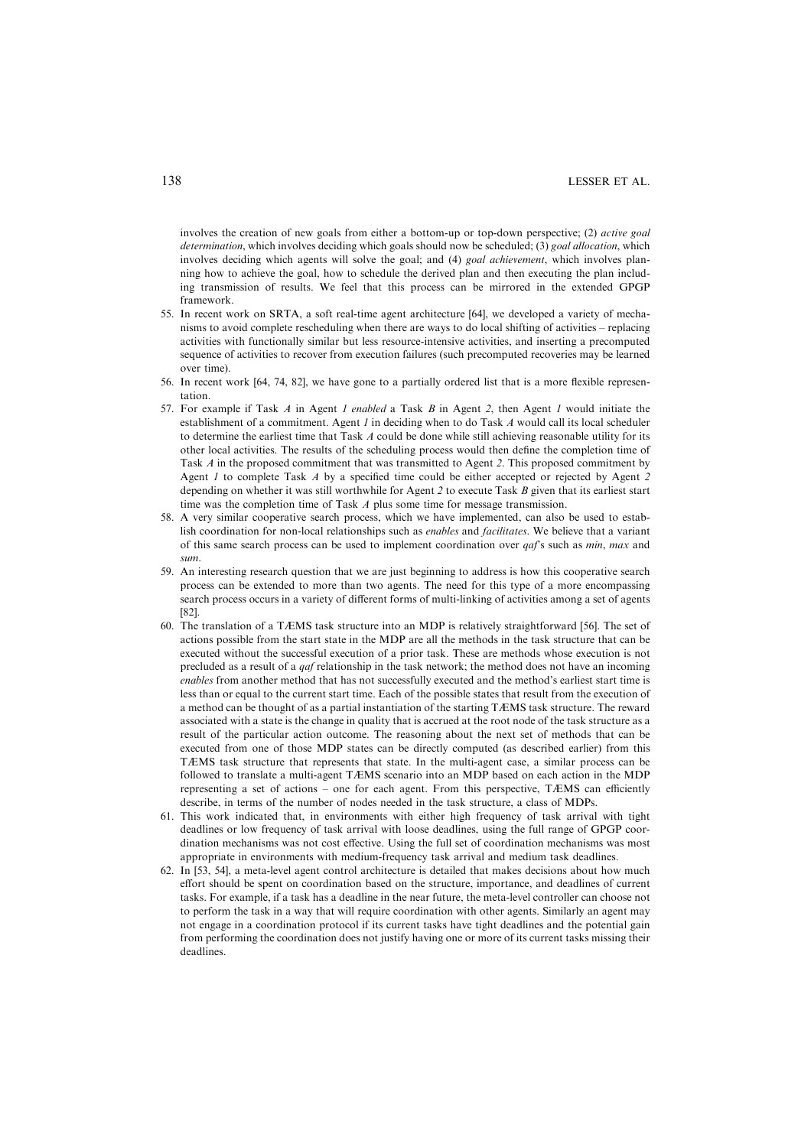involves the creation of new goals from either a bottom-up or top-down perspective; (2) *active goal* determination, which involves deciding which goals should now be scheduled; (3) goal allocation, which involves deciding which agents will solve the goal; and (4) goal achievement, which involves planning how to achieve the goal, how to schedule the derived plan and then executing the plan including transmission of results. We feel that this process can be mirrored in the extended GPGP framework.

- 55. In recent work on SRTA, a soft real-time agent architecture [64], we developed a variety of mechanisms to avoid complete rescheduling when there are ways to do local shifting of activities – replacing activities with functionally similar but less resource-intensive activities, and inserting a precomputed sequence of activities to recover from execution failures (such precomputed recoveries may be learned over time).
- 56. In recent work [64, 74, 82], we have gone to a partially ordered list that is a more flexible representation.
- 57. For example if Task A in Agent 1 enabled a Task B in Agent 2, then Agent 1 would initiate the establishment of a commitment. Agent 1 in deciding when to do Task A would call its local scheduler to determine the earliest time that Task  $A$  could be done while still achieving reasonable utility for its other local activities. The results of the scheduling process would then define the completion time of Task A in the proposed commitment that was transmitted to Agent 2. This proposed commitment by Agent 1 to complete Task A by a specified time could be either accepted or rejected by Agent 2 depending on whether it was still worthwhile for Agent 2 to execute Task B given that its earliest start time was the completion time of Task A plus some time for message transmission.
- 58. A very similar cooperative search process, which we have implemented, can also be used to establish coordination for non-local relationships such as enables and facilitates. We believe that a variant of this same search process can be used to implement coordination over  $qafs$  such as min, max and sum.
- 59. An interesting research question that we are just beginning to address is how this cooperative search process can be extended to more than two agents. The need for this type of a more encompassing search process occurs in a variety of different forms of multi-linking of activities among a set of agents [82].
- 60. The translation of a TÆMS task structure into an MDP is relatively straightforward [56]. The set of actions possible from the start state in the MDP are all the methods in the task structure that can be executed without the successful execution of a prior task. These are methods whose execution is not precluded as a result of a qaf relationship in the task network; the method does not have an incoming enables from another method that has not successfully executed and the method's earliest start time is less than or equal to the current start time. Each of the possible states that result from the execution of a method can be thought of as a partial instantiation of the starting TÆMS task structure. The reward associated with a state is the change in quality that is accrued at the root node of the task structure as a result of the particular action outcome. The reasoning about the next set of methods that can be executed from one of those MDP states can be directly computed (as described earlier) from this TÆMS task structure that represents that state. In the multi-agent case, a similar process can be followed to translate a multi-agent TÆMS scenario into an MDP based on each action in the MDP representing a set of actions – one for each agent. From this perspective, TÆMS can efficiently describe, in terms of the number of nodes needed in the task structure, a class of MDPs.
- 61. This work indicated that, in environments with either high frequency of task arrival with tight deadlines or low frequency of task arrival with loose deadlines, using the full range of GPGP coordination mechanisms was not cost effective. Using the full set of coordination mechanisms was most appropriate in environments with medium-frequency task arrival and medium task deadlines.
- 62. In [53, 54], a meta-level agent control architecture is detailed that makes decisions about how much effort should be spent on coordination based on the structure, importance, and deadlines of current tasks. For example, if a task has a deadline in the near future, the meta-level controller can choose not to perform the task in a way that will require coordination with other agents. Similarly an agent may not engage in a coordination protocol if its current tasks have tight deadlines and the potential gain from performing the coordination does not justify having one or more of its current tasks missing their deadlines.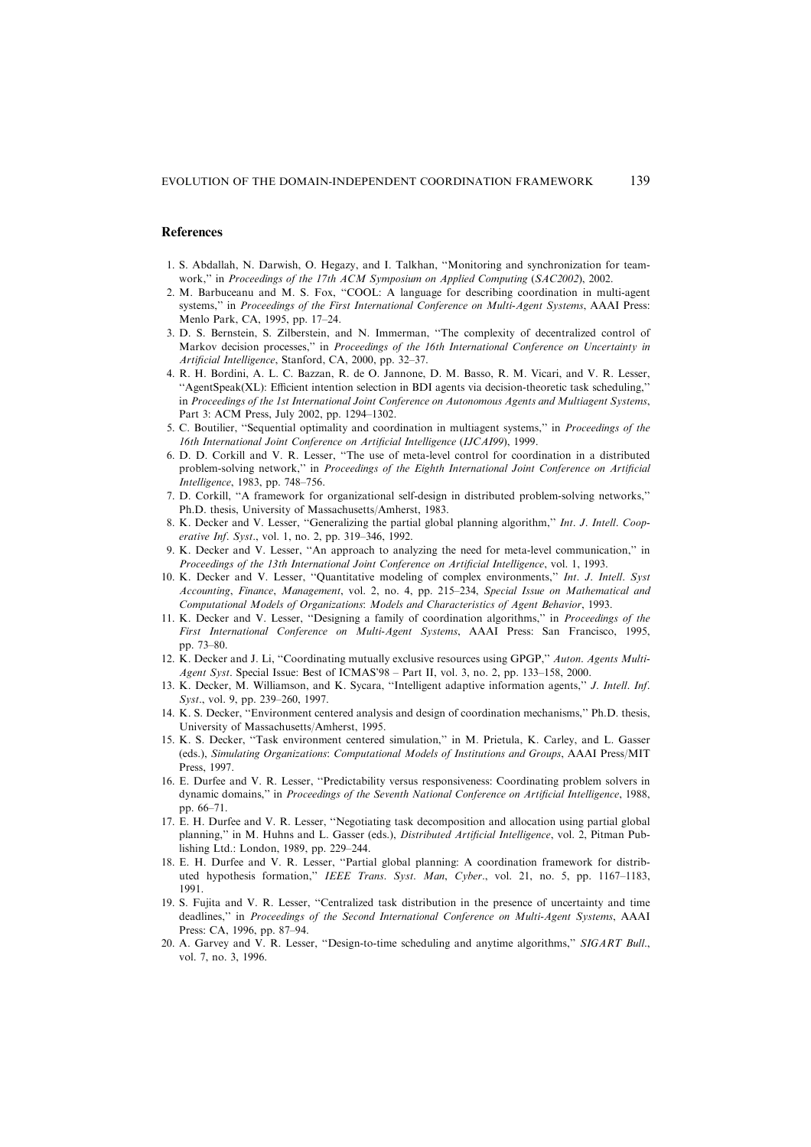#### **References**

- 1. S. Abdallah, N. Darwish, O. Hegazy, and I. Talkhan, ''Monitoring and synchronization for teamwork," in Proceedings of the 17th ACM Symposium on Applied Computing (SAC2002), 2002.
- 2. M. Barbuceanu and M. S. Fox, ''COOL: A language for describing coordination in multi-agent systems," in Proceedings of the First International Conference on Multi-Agent Systems, AAAI Press: Menlo Park, CA, 1995, pp. 17–24.
- 3. D. S. Bernstein, S. Zilberstein, and N. Immerman, ''The complexity of decentralized control of Markov decision processes," in Proceedings of the 16th International Conference on Uncertainty in Artificial Intelligence, Stanford, CA, 2000, pp. 32–37.
- 4. R. H. Bordini, A. L. C. Bazzan, R. de O. Jannone, D. M. Basso, R. M. Vicari, and V. R. Lesser, ''AgentSpeak(XL): Efficient intention selection in BDI agents via decision-theoretic task scheduling,'' in Proceedings of the 1st International Joint Conference on Autonomous Agents and Multiagent Systems, Part 3: ACM Press, July 2002, pp. 1294–1302.
- 5. C. Boutilier, ''Sequential optimality and coordination in multiagent systems,'' in Proceedings of the 16th International Joint Conference on Artificial Intelligence (IJCAI99), 1999.
- 6. D. D. Corkill and V. R. Lesser, ''The use of meta-level control for coordination in a distributed problem-solving network," in Proceedings of the Eighth International Joint Conference on Artificial Intelligence, 1983, pp. 748–756.
- 7. D. Corkill, ''A framework for organizational self-design in distributed problem-solving networks,'' Ph.D. thesis, University of Massachusetts/Amherst, 1983.
- 8. K. Decker and V. Lesser, "Generalizing the partial global planning algorithm," Int. J. Intell. Cooperative Inf. Syst., vol. 1, no. 2, pp. 319–346, 1992.
- 9. K. Decker and V. Lesser, ''An approach to analyzing the need for meta-level communication,'' in Proceedings of the 13th International Joint Conference on Artificial Intelligence, vol. 1, 1993.
- 10. K. Decker and V. Lesser, "Quantitative modeling of complex environments," Int. J. Intell. Syst Accounting, Finance, Management, vol. 2, no. 4, pp. 215–234, Special Issue on Mathematical and Computational Models of Organizations: Models and Characteristics of Agent Behavior, 1993.
- 11. K. Decker and V. Lesser, ''Designing a family of coordination algorithms,'' in Proceedings of the First International Conference on Multi-Agent Systems, AAAI Press: San Francisco, 1995, pp. 73–80.
- 12. K. Decker and J. Li, ''Coordinating mutually exclusive resources using GPGP,'' Auton. Agents Multi-Agent Syst. Special Issue: Best of ICMAS'98 – Part II, vol. 3, no. 2, pp. 133–158, 2000.
- 13. K. Decker, M. Williamson, and K. Sycara, "Intelligent adaptive information agents," J. Intell. Inf. Syst., vol. 9, pp. 239-260, 1997.
- 14. K. S. Decker, ''Environment centered analysis and design of coordination mechanisms,'' Ph.D. thesis, University of Massachusetts/Amherst, 1995.
- 15. K. S. Decker, ''Task environment centered simulation,'' in M. Prietula, K. Carley, and L. Gasser (eds.), Simulating Organizations: Computational Models of Institutions and Groups, AAAI Press/MIT Press, 1997.
- 16. E. Durfee and V. R. Lesser, ''Predictability versus responsiveness: Coordinating problem solvers in dynamic domains,'' in Proceedings of the Seventh National Conference on Artificial Intelligence, 1988, pp. 66–71.
- 17. E. H. Durfee and V. R. Lesser, ''Negotiating task decomposition and allocation using partial global planning," in M. Huhns and L. Gasser (eds.), Distributed Artificial Intelligence, vol. 2, Pitman Publishing Ltd.: London, 1989, pp. 229–244.
- 18. E. H. Durfee and V. R. Lesser, ''Partial global planning: A coordination framework for distributed hypothesis formation,'' IEEE Trans. Syst. Man, Cyber., vol. 21, no. 5, pp. 1167–1183, 1991.
- 19. S. Fujita and V. R. Lesser, ''Centralized task distribution in the presence of uncertainty and time deadlines,'' in Proceedings of the Second International Conference on Multi-Agent Systems, AAAI Press: CA, 1996, pp. 87–94.
- 20. A. Garvey and V. R. Lesser, "Design-to-time scheduling and anytime algorithms," SIGART Bull., vol. 7, no. 3, 1996.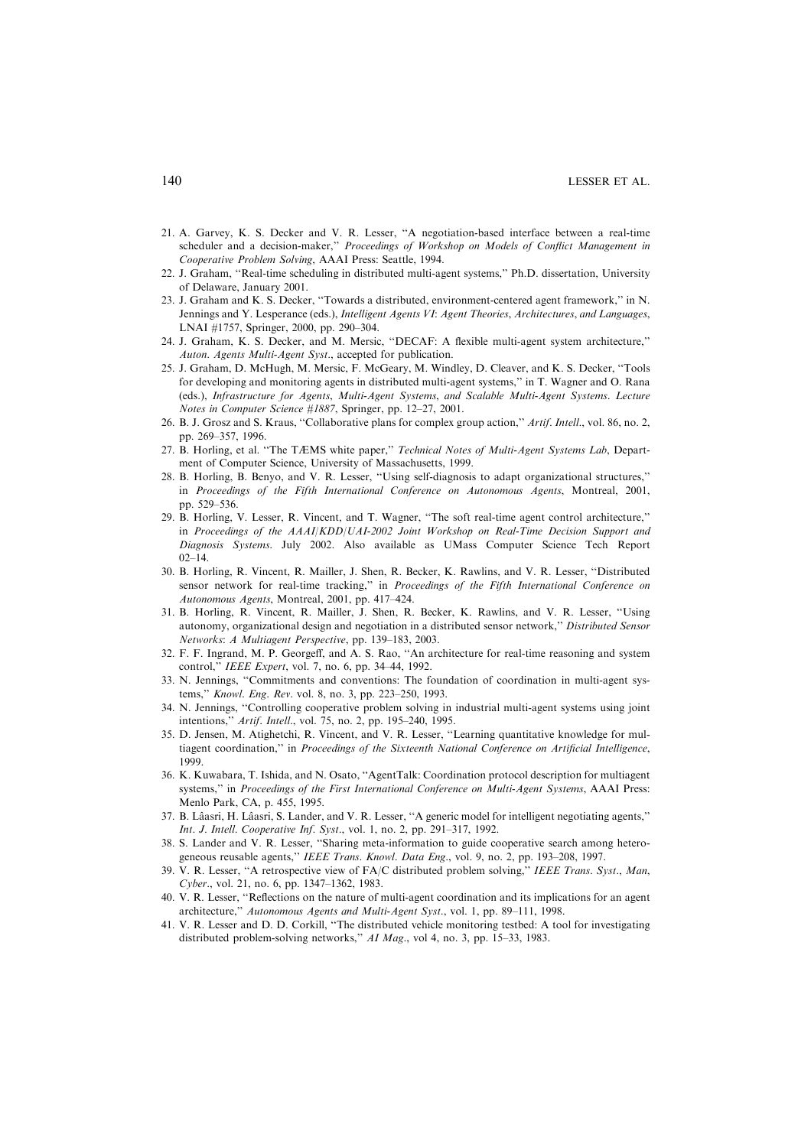- 21. A. Garvey, K. S. Decker and V. R. Lesser, ''A negotiation-based interface between a real-time scheduler and a decision-maker," Proceedings of Workshop on Models of Conflict Management in Cooperative Problem Solving, AAAI Press: Seattle, 1994.
- 22. J. Graham, ''Real-time scheduling in distributed multi-agent systems,'' Ph.D. dissertation, University of Delaware, January 2001.
- 23. J. Graham and K. S. Decker, ''Towards a distributed, environment-centered agent framework,'' in N. Jennings and Y. Lesperance (eds.), Intelligent Agents VI: Agent Theories, Architectures, and Languages, LNAI #1757, Springer, 2000, pp. 290–304.
- 24. J. Graham, K. S. Decker, and M. Mersic, ''DECAF: A flexible multi-agent system architecture,'' Auton. Agents Multi-Agent Syst., accepted for publication.
- 25. J. Graham, D. McHugh, M. Mersic, F. McGeary, M. Windley, D. Cleaver, and K. S. Decker, ''Tools for developing and monitoring agents in distributed multi-agent systems,'' in T. Wagner and O. Rana (eds.), Infrastructure for Agents, Multi-Agent Systems, and Scalable Multi-Agent Systems. Lecture Notes in Computer Science #1887, Springer, pp. 12–27, 2001.
- 26. B. J. Grosz and S. Kraus, ''Collaborative plans for complex group action,'' Artif. Intell., vol. 86, no. 2, pp. 269–357, 1996.
- 27. B. Horling, et al. "The TÆMS white paper," Technical Notes of Multi-Agent Systems Lab, Department of Computer Science, University of Massachusetts, 1999.
- 28. B. Horling, B. Benyo, and V. R. Lesser, ''Using self-diagnosis to adapt organizational structures,'' in Proceedings of the Fifth International Conference on Autonomous Agents, Montreal, 2001, pp. 529–536.
- 29. B. Horling, V. Lesser, R. Vincent, and T. Wagner, ''The soft real-time agent control architecture,'' in Proceedings of the AAAI/KDD/UAI-2002 Joint Workshop on Real-Time Decision Support and Diagnosis Systems. July 2002. Also available as UMass Computer Science Tech Report 02–14.
- 30. B. Horling, R. Vincent, R. Mailler, J. Shen, R. Becker, K. Rawlins, and V. R. Lesser, ''Distributed sensor network for real-time tracking," in Proceedings of the Fifth International Conference on Autonomous Agents, Montreal, 2001, pp. 417–424.
- 31. B. Horling, R. Vincent, R. Mailler, J. Shen, R. Becker, K. Rawlins, and V. R. Lesser, ''Using autonomy, organizational design and negotiation in a distributed sensor network,'' Distributed Sensor Networks: A Multiagent Perspective, pp. 139–183, 2003.
- 32. F. F. Ingrand, M. P. Georgeff, and A. S. Rao, ''An architecture for real-time reasoning and system control,'' IEEE Expert, vol. 7, no. 6, pp. 34–44, 1992.
- 33. N. Jennings, ''Commitments and conventions: The foundation of coordination in multi-agent systems,'' Knowl. Eng. Rev. vol. 8, no. 3, pp. 223–250, 1993.
- 34. N. Jennings, ''Controlling cooperative problem solving in industrial multi-agent systems using joint intentions,'' Artif. Intell., vol. 75, no. 2, pp. 195–240, 1995.
- 35. D. Jensen, M. Atighetchi, R. Vincent, and V. R. Lesser, ''Learning quantitative knowledge for multiagent coordination,'' in Proceedings of the Sixteenth National Conference on Artificial Intelligence, 1999.
- 36. K. Kuwabara, T. Ishida, and N. Osato, ''AgentTalk: Coordination protocol description for multiagent systems,'' in Proceedings of the First International Conference on Multi-Agent Systems, AAAI Press: Menlo Park, CA, p. 455, 1995.
- 37. B. Lâasri, H. Lâasri, S. Lander, and V. R. Lesser, "A generic model for intelligent negotiating agents," Int. J. Intell. Cooperative Inf. Syst., vol. 1, no. 2, pp. 291–317, 1992.
- 38. S. Lander and V. R. Lesser, ''Sharing meta-information to guide cooperative search among heterogeneous reusable agents," IEEE Trans. Knowl. Data Eng., vol. 9, no. 2, pp. 193-208, 1997.
- 39. V. R. Lesser, ''A retrospective view of FA/C distributed problem solving,'' IEEE Trans. Syst., Man, Cyber., vol. 21, no. 6, pp. 1347–1362, 1983.
- 40. V. R. Lesser, ''Reflections on the nature of multi-agent coordination and its implications for an agent architecture,'' Autonomous Agents and Multi-Agent Syst., vol. 1, pp. 89–111, 1998.
- 41. V. R. Lesser and D. D. Corkill, ''The distributed vehicle monitoring testbed: A tool for investigating distributed problem-solving networks," AI Mag., vol 4, no. 3, pp. 15–33, 1983.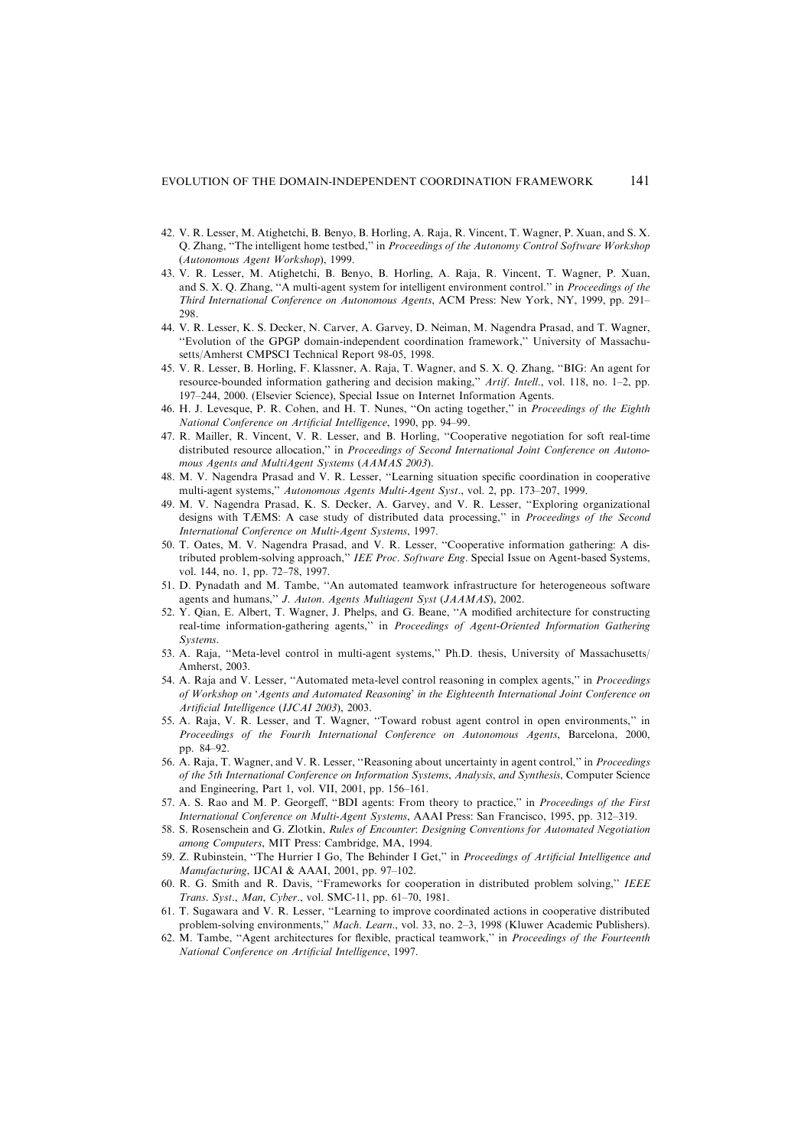- 42. V. R. Lesser, M. Atighetchi, B. Benyo, B. Horling, A. Raja, R. Vincent, T. Wagner, P. Xuan, and S. X. Q. Zhang, "The intelligent home testbed," in Proceedings of the Autonomy Control Software Workshop (Autonomous Agent Workshop), 1999.
- 43. V. R. Lesser, M. Atighetchi, B. Benyo, B. Horling, A. Raja, R. Vincent, T. Wagner, P. Xuan, and S. X. Q. Zhang, "A multi-agent system for intelligent environment control." in *Proceedings of the* Third International Conference on Autonomous Agents, ACM Press: New York, NY, 1999, pp. 291– 298.
- 44. V. R. Lesser, K. S. Decker, N. Carver, A. Garvey, D. Neiman, M. Nagendra Prasad, and T. Wagner, ''Evolution of the GPGP domain-independent coordination framework,'' University of Massachusetts/Amherst CMPSCI Technical Report 98-05, 1998.
- 45. V. R. Lesser, B. Horling, F. Klassner, A. Raja, T. Wagner, and S. X. Q. Zhang, ''BIG: An agent for resource-bounded information gathering and decision making,'' Artif. Intell., vol. 118, no. 1–2, pp. 197–244, 2000. (Elsevier Science), Special Issue on Internet Information Agents.
- 46. H. J. Levesque, P. R. Cohen, and H. T. Nunes, "On acting together," in *Proceedings of the Eighth* National Conference on Artificial Intelligence, 1990, pp. 94–99.
- 47. R. Mailler, R. Vincent, V. R. Lesser, and B. Horling, ''Cooperative negotiation for soft real-time distributed resource allocation," in Proceedings of Second International Joint Conference on Autonomous Agents and MultiAgent Systems (AAMAS 2003).
- 48. M. V. Nagendra Prasad and V. R. Lesser, ''Learning situation specific coordination in cooperative multi-agent systems,'' Autonomous Agents Multi-Agent Syst., vol. 2, pp. 173–207, 1999.
- 49. M. V. Nagendra Prasad, K. S. Decker, A. Garvey, and V. R. Lesser, ''Exploring organizational designs with TÆMS: A case study of distributed data processing,'' in Proceedings of the Second International Conference on Multi-Agent Systems, 1997.
- 50. T. Oates, M. V. Nagendra Prasad, and V. R. Lesser, ''Cooperative information gathering: A distributed problem-solving approach," IEE Proc. Software Eng. Special Issue on Agent-based Systems, vol. 144, no. 1, pp. 72–78, 1997.
- 51. D. Pynadath and M. Tambe, ''An automated teamwork infrastructure for heterogeneous software agents and humans,'' J. Auton. Agents Multiagent Syst (JAAMAS), 2002.
- 52. Y. Qian, E. Albert, T. Wagner, J. Phelps, and G. Beane, ''A modified architecture for constructing real-time information-gathering agents,'' in Proceedings of Agent-Oriented Information Gathering Systems.
- 53. A. Raja, ''Meta-level control in multi-agent systems,'' Ph.D. thesis, University of Massachusetts/ Amherst, 2003.
- 54. A. Raja and V. Lesser, ''Automated meta-level control reasoning in complex agents,'' in Proceedings of Workshop on 'Agents and Automated Reasoning' in the Eighteenth International Joint Conference on Artificial Intelligence (IJCAI 2003), 2003.
- 55. A. Raja, V. R. Lesser, and T. Wagner, ''Toward robust agent control in open environments,'' in Proceedings of the Fourth International Conference on Autonomous Agents, Barcelona, 2000, pp. 84–92.
- 56. A. Raja, T. Wagner, and V. R. Lesser, ''Reasoning about uncertainty in agent control,'' in Proceedings of the 5th International Conference on Information Systems, Analysis, and Synthesis, Computer Science and Engineering, Part 1, vol. VII, 2001, pp. 156–161.
- 57. A. S. Rao and M. P. Georgeff, ''BDI agents: From theory to practice,'' in Proceedings of the First International Conference on Multi-Agent Systems, AAAI Press: San Francisco, 1995, pp. 312–319.
- 58. S. Rosenschein and G. Zlotkin, Rules of Encounter: Designing Conventions for Automated Negotiation among Computers, MIT Press: Cambridge, MA, 1994.
- 59. Z. Rubinstein, "The Hurrier I Go, The Behinder I Get," in Proceedings of Artificial Intelligence and Manufacturing, IJCAI & AAAI, 2001, pp. 97-102.
- 60. R. G. Smith and R. Davis, ''Frameworks for cooperation in distributed problem solving,'' IEEE Trans. Syst., Man, Cyber., vol. SMC-11, pp. 61–70, 1981.
- 61. T. Sugawara and V. R. Lesser, ''Learning to improve coordinated actions in cooperative distributed problem-solving environments,'' Mach. Learn., vol. 33, no. 2–3, 1998 (Kluwer Academic Publishers).
- 62. M. Tambe, ''Agent architectures for flexible, practical teamwork,'' in Proceedings of the Fourteenth National Conference on Artificial Intelligence, 1997.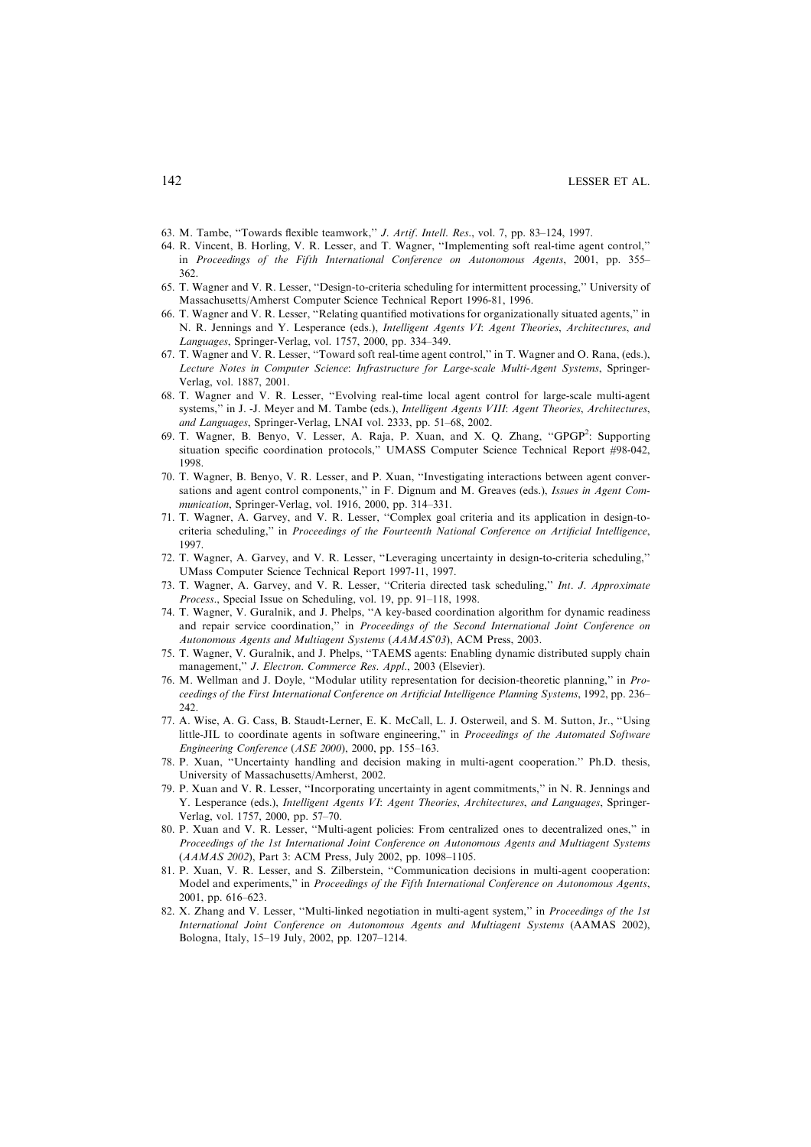- 63. M. Tambe, ''Towards flexible teamwork,'' J. Artif. Intell. Res., vol. 7, pp. 83–124, 1997.
- 64. R. Vincent, B. Horling, V. R. Lesser, and T. Wagner, ''Implementing soft real-time agent control,'' in Proceedings of the Fifth International Conference on Autonomous Agents, 2001, pp. 355– 362.
- 65. T. Wagner and V. R. Lesser, ''Design-to-criteria scheduling for intermittent processing,'' University of Massachusetts/Amherst Computer Science Technical Report 1996-81, 1996.
- 66. T. Wagner and V. R. Lesser, ''Relating quantified motivations for organizationally situated agents,'' in N. R. Jennings and Y. Lesperance (eds.), Intelligent Agents VI: Agent Theories, Architectures, and Languages, Springer-Verlag, vol. 1757, 2000, pp. 334–349.
- 67. T. Wagner and V. R. Lesser, ''Toward soft real-time agent control,'' in T. Wagner and O. Rana, (eds.), Lecture Notes in Computer Science: Infrastructure for Large-scale Multi-Agent Systems, Springer-Verlag, vol. 1887, 2001.
- 68. T. Wagner and V. R. Lesser, ''Evolving real-time local agent control for large-scale multi-agent systems," in J. -J. Meyer and M. Tambe (eds.), Intelligent Agents VIII: Agent Theories, Architectures, and Languages, Springer-Verlag, LNAI vol. 2333, pp. 51–68, 2002.
- 69. T. Wagner, B. Benyo, V. Lesser, A. Raja, P. Xuan, and X. Q. Zhang, "GPGP<sup>2</sup>: Supporting situation specific coordination protocols,'' UMASS Computer Science Technical Report #98-042, 1998.
- 70. T. Wagner, B. Benyo, V. R. Lesser, and P. Xuan, ''Investigating interactions between agent conversations and agent control components," in F. Dignum and M. Greaves (eds.), Issues in Agent Communication, Springer-Verlag, vol. 1916, 2000, pp. 314–331.
- 71. T. Wagner, A. Garvey, and V. R. Lesser, ''Complex goal criteria and its application in design-tocriteria scheduling,'' in Proceedings of the Fourteenth National Conference on Artificial Intelligence, 1997.
- 72. T. Wagner, A. Garvey, and V. R. Lesser, ''Leveraging uncertainty in design-to-criteria scheduling,'' UMass Computer Science Technical Report 1997-11, 1997.
- 73. T. Wagner, A. Garvey, and V. R. Lesser, "Criteria directed task scheduling," Int. J. Approximate Process., Special Issue on Scheduling, vol. 19, pp. 91–118, 1998.
- 74. T. Wagner, V. Guralnik, and J. Phelps, ''A key-based coordination algorithm for dynamic readiness and repair service coordination," in Proceedings of the Second International Joint Conference on Autonomous Agents and Multiagent Systems (AAMAS'03), ACM Press, 2003.
- 75. T. Wagner, V. Guralnik, and J. Phelps, ''TAEMS agents: Enabling dynamic distributed supply chain management,'' J. Electron. Commerce Res. Appl., 2003 (Elsevier).
- 76. M. Wellman and J. Doyle, ''Modular utility representation for decision-theoretic planning,'' in Proceedings of the First International Conference on Artificial Intelligence Planning Systems, 1992, pp. 236– 242.
- 77. A. Wise, A. G. Cass, B. Staudt-Lerner, E. K. McCall, L. J. Osterweil, and S. M. Sutton, Jr., ''Using little-JIL to coordinate agents in software engineering," in Proceedings of the Automated Software Engineering Conference (ASE 2000), 2000, pp. 155–163.
- 78. P. Xuan, ''Uncertainty handling and decision making in multi-agent cooperation.'' Ph.D. thesis, University of Massachusetts/Amherst, 2002.
- 79. P. Xuan and V. R. Lesser, ''Incorporating uncertainty in agent commitments,'' in N. R. Jennings and Y. Lesperance (eds.), *Intelligent Agents VI: Agent Theories, Architectures, and Languages*, Springer-Verlag, vol. 1757, 2000, pp. 57–70.
- 80. P. Xuan and V. R. Lesser, ''Multi-agent policies: From centralized ones to decentralized ones,'' in Proceedings of the 1st International Joint Conference on Autonomous Agents and Multiagent Systems (AAMAS 2002), Part 3: ACM Press, July 2002, pp. 1098–1105.
- 81. P. Xuan, V. R. Lesser, and S. Zilberstein, ''Communication decisions in multi-agent cooperation: Model and experiments,'' in Proceedings of the Fifth International Conference on Autonomous Agents, 2001, pp. 616–623.
- 82. X. Zhang and V. Lesser, "Multi-linked negotiation in multi-agent system," in Proceedings of the 1st International Joint Conference on Autonomous Agents and Multiagent Systems (AAMAS 2002), Bologna, Italy, 15–19 July, 2002, pp. 1207–1214.